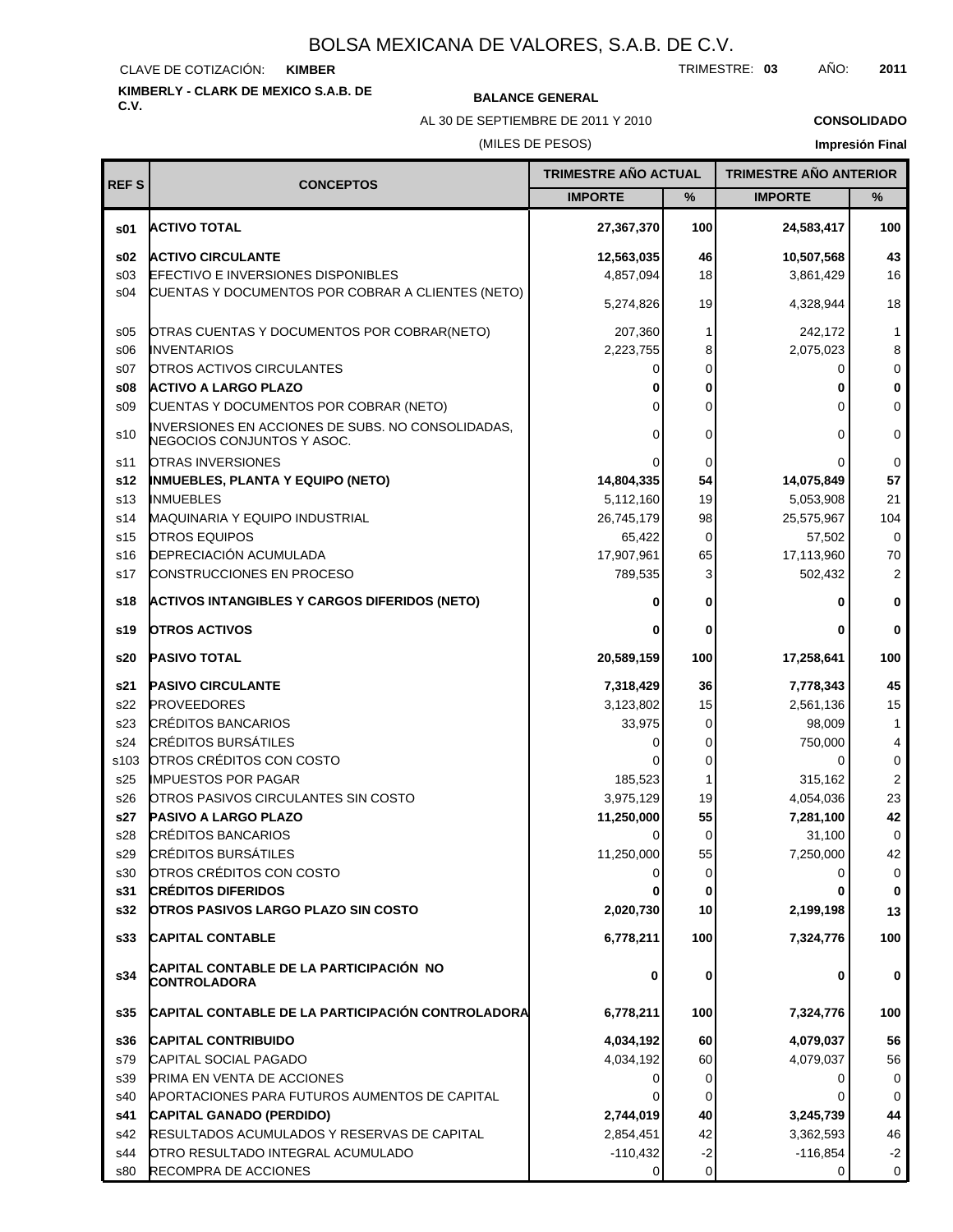CLAVE DE COTIZACIÓN: **KIMBER**

# **KIMBERLY - CLARK DE MEXICO S.A.B. DE**

## **C.V. BALANCE GENERAL**

AL 30 DE SEPTIEMBRE DE 2011 Y 2010

**CONSOLIDADO**

## (MILES DE PESOS)

| <b>REFS</b>     |                                                                                 | TRIMESTRE AÑO ACTUAL |             | <b>TRIMESTRE AÑO ANTERIOR</b> |                         |
|-----------------|---------------------------------------------------------------------------------|----------------------|-------------|-------------------------------|-------------------------|
|                 | <b>CONCEPTOS</b>                                                                | <b>IMPORTE</b>       | %           | <b>IMPORTE</b>                | %                       |
| \$01            | <b>ACTIVO TOTAL</b>                                                             | 27,367,370           | 100         | 24,583,417                    | 100                     |
| \$02            | <b>ACTIVO CIRCULANTE</b>                                                        | 12,563,035           | 46          | 10,507,568                    | 43                      |
| \$03            | <b>EFECTIVO E INVERSIONES DISPONIBLES</b>                                       | 4,857,094            | 18          | 3,861,429                     | 16                      |
| s04             | CUENTAS Y DOCUMENTOS POR COBRAR A CLIENTES (NETO)                               | 5,274,826            | 19          | 4,328,944                     | 18                      |
| \$05            | OTRAS CUENTAS Y DOCUMENTOS POR COBRAR(NETO)                                     | 207,360              | 1           | 242,172                       | $\mathbf{1}$            |
| \$06            | <b>INVENTARIOS</b>                                                              | 2,223,755            | 8           | 2,075,023                     | 8                       |
| s07             | <b>OTROS ACTIVOS CIRCULANTES</b>                                                | 0                    | 0           | 0                             | 0                       |
| \$08            | <b>ACTIVO A LARGO PLAZO</b>                                                     | 0                    | 0           |                               | 0                       |
| \$09            | CUENTAS Y DOCUMENTOS POR COBRAR (NETO)                                          | ი                    | 0           | $\Omega$                      | 0                       |
| s10             | INVERSIONES EN ACCIONES DE SUBS. NO CONSOLIDADAS,<br>NEGOCIOS CONJUNTOS Y ASOC. | $\Omega$             | 0           | $\Omega$                      | 0                       |
| s11             | <b>OTRAS INVERSIONES</b>                                                        | $\Omega$             | 0           |                               | 0                       |
| s12             | <b>INMUEBLES, PLANTA Y EQUIPO (NETO)</b>                                        | 14,804,335           | 54          | 14,075,849                    | 57                      |
| s <sub>13</sub> | <b>INMUEBLES</b>                                                                | 5,112,160            | 19          | 5,053,908                     | 21                      |
| s14             | <b>MAQUINARIA Y EQUIPO INDUSTRIAL</b>                                           | 26,745,179           | 98          | 25,575,967                    | 104                     |
| s <sub>15</sub> | <b>OTROS EQUIPOS</b>                                                            | 65,422               | $\mathbf 0$ | 57,502                        | 0                       |
| s16             | DEPRECIACIÓN ACUMULADA                                                          | 17,907,961           | 65          | 17,113,960                    | 70                      |
| s17             | CONSTRUCCIONES EN PROCESO                                                       | 789,535              | 3           | 502,432                       | 2                       |
| s18             | <b>ACTIVOS INTANGIBLES Y CARGOS DIFERIDOS (NETO)</b>                            | 0                    | 0           | 0                             | $\bf{0}$                |
| s19             | <b>OTROS ACTIVOS</b>                                                            | 0                    | 0           | 0                             | $\bf{0}$                |
| s20             | <b>PASIVO TOTAL</b>                                                             | 20,589,159           | 100         | 17,258,641                    | 100                     |
| s21             | <b>PASIVO CIRCULANTE</b>                                                        | 7,318,429            | 36          | 7,778,343                     | 45                      |
| s22             | <b>PROVEEDORES</b>                                                              | 3,123,802            | 15          | 2,561,136                     | 15                      |
| s23             | <b>CRÉDITOS BANCARIOS</b>                                                       | 33,975               | 0           | 98,009                        | $\mathbf{1}$            |
| s24             | <b>CRÉDITOS BURSÁTILES</b>                                                      | 0                    | 0           | 750,000                       | 4                       |
| s103            | OTROS CRÉDITOS CON COSTO                                                        |                      | 0           | 0                             | 0                       |
| s25             | <b>IMPUESTOS POR PAGAR</b>                                                      | 185,523              | 1           | 315,162                       | $\overline{\mathbf{c}}$ |
| s26             | OTROS PASIVOS CIRCULANTES SIN COSTO                                             | 3,975,129            | 19          | 4,054,036                     | 23                      |
| s27             | <b>PASIVO A LARGO PLAZO</b>                                                     | 11,250,000           | 55          | 7,281,100                     | 42                      |
| s28             | <b>CRÉDITOS BANCARIOS</b>                                                       |                      | 0           | 31,100                        | 0                       |
| s29             | <b>CRÉDITOS BURSÁTILES</b>                                                      | 11,250,000           | 55          | 7,250,000                     | 42                      |
| s30             | OTROS CRÉDITOS CON COSTO                                                        | 0                    | 0           | 0                             | 0                       |
| s31             | <b>CRÉDITOS DIFERIDOS</b>                                                       |                      | 0           |                               | $\bf{0}$                |
| s32             | <b>OTROS PASIVOS LARGO PLAZO SIN COSTO</b>                                      | 2,020,730            | 10          | 2,199,198                     | 13                      |
| s33             | <b>CAPITAL CONTABLE</b>                                                         | 6,778,211            | 100         | 7,324,776                     | 100                     |
| s34             | CAPITAL CONTABLE DE LA PARTICIPACIÓN NO<br><b>CONTROLADORA</b>                  | 0                    | 0           | 0                             | 0                       |
| s35             | CAPITAL CONTABLE DE LA PARTICIPACIÓN CONTROLADORA                               | 6,778,211            | 100         | 7,324,776                     | 100                     |
| s36             | <b>CAPITAL CONTRIBUIDO</b>                                                      | 4,034,192            | 60          | 4,079,037                     | 56                      |
| s79             | CAPITAL SOCIAL PAGADO                                                           | 4,034,192            | 60          | 4,079,037                     | 56                      |
| s39             | PRIMA EN VENTA DE ACCIONES                                                      | 0                    | 0           | 0                             | 0                       |
| s40             | APORTACIONES PARA FUTUROS AUMENTOS DE CAPITAL                                   |                      | 0           | 0                             | 0                       |
| s41             | <b>CAPITAL GANADO (PERDIDO)</b>                                                 | 2,744,019            | 40          | 3,245,739                     | 44                      |
| s42             | RESULTADOS ACUMULADOS Y RESERVAS DE CAPITAL                                     | 2,854,451            | 42          | 3,362,593                     | 46                      |
| s44             | OTRO RESULTADO INTEGRAL ACUMULADO                                               | $-110,432$           | $-2$        | $-116,854$                    | $-2$                    |
| s80             | RECOMPRA DE ACCIONES                                                            | 0                    | 0           | 0                             | $\mathsf{O}$            |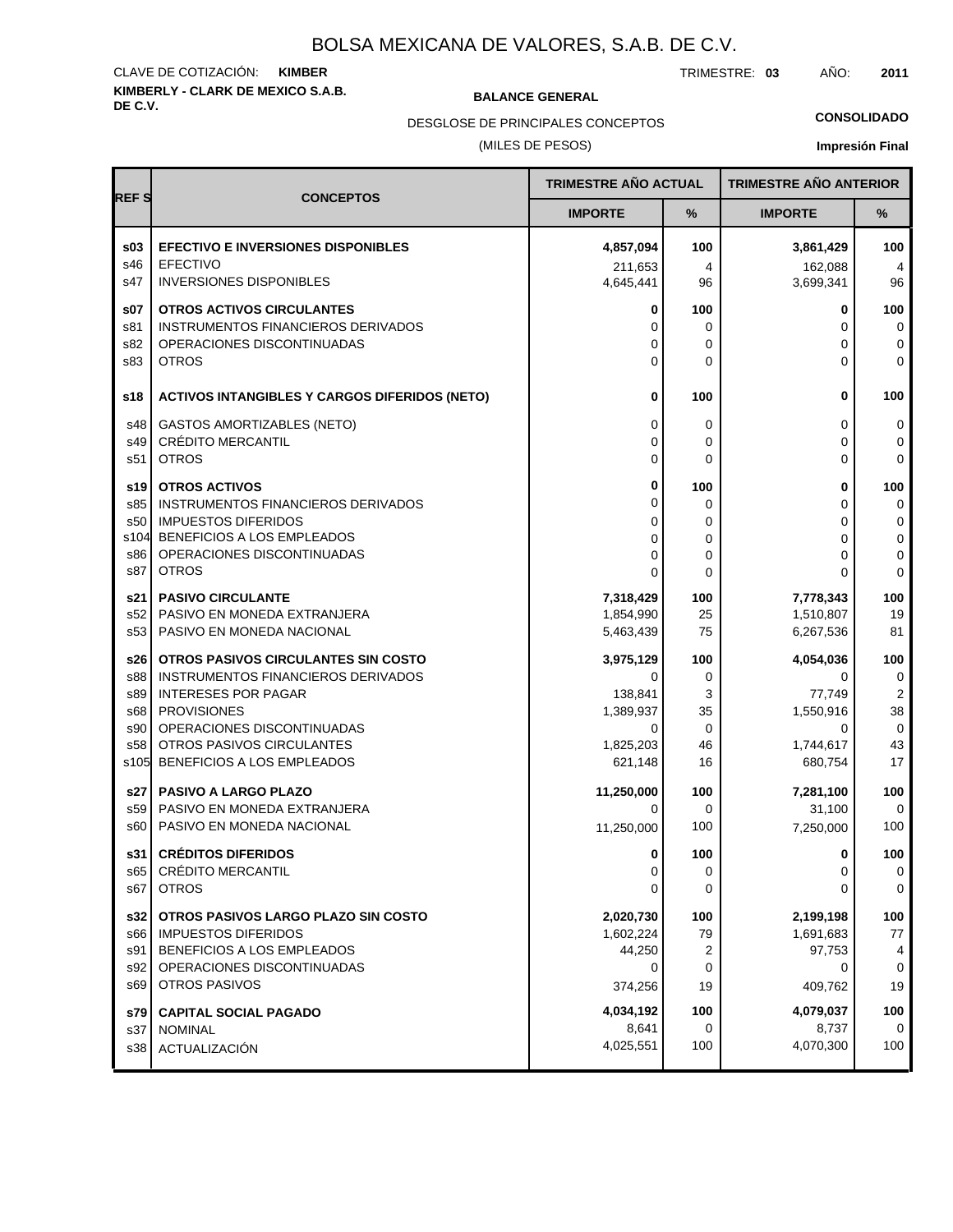# **KIMBERLY - CLARK DE MEXICO S.A.B.** CLAVE DE COTIZACIÓN: **KIMBER**

**BALANCE GENERAL** 

TRIMESTRE: **03** AÑO: **2011**

**CONSOLIDADO**

(MILES DE PESOS) DESGLOSE DE PRINCIPALES CONCEPTOS

| <b>REFS</b> | TRIMESTRE AÑO ACTUAL<br><b>CONCEPTOS</b>                                |                      |                  | <b>TRIMESTRE AÑO ANTERIOR</b> |                  |
|-------------|-------------------------------------------------------------------------|----------------------|------------------|-------------------------------|------------------|
|             |                                                                         | <b>IMPORTE</b>       | %                | <b>IMPORTE</b>                | $\%$             |
| \$03<br>s46 | <b>EFECTIVO E INVERSIONES DISPONIBLES</b><br><b>EFECTIVO</b>            | 4,857,094            | 100              | 3,861,429                     | 100              |
| s47         | <b>INVERSIONES DISPONIBLES</b>                                          | 211,653<br>4,645,441 | 4<br>96          | 162,088<br>3,699,341          | 4<br>96          |
| \$07        | OTROS ACTIVOS CIRCULANTES                                               | 0                    | 100              | 0                             | 100              |
| s81<br>s82  | <b>INSTRUMENTOS FINANCIEROS DERIVADOS</b><br>OPERACIONES DISCONTINUADAS | 0<br>0               | 0<br>$\mathbf 0$ | 0<br>0                        | $\mathbf 0$<br>0 |
| s83         | <b>OTROS</b>                                                            | $\Omega$             | $\Omega$         | 0                             | $\mathbf 0$      |
| s18         | <b>ACTIVOS INTANGIBLES Y CARGOS DIFERIDOS (NETO)</b>                    | 0                    | 100              | 0                             | 100              |
| s48         | <b>GASTOS AMORTIZABLES (NETO)</b>                                       | 0                    | 0                | 0                             | 0                |
| s49         | <b>CRÉDITO MERCANTIL</b>                                                | $\Omega$             | $\mathbf 0$      | 0                             | 0                |
| s51         | <b>OTROS</b>                                                            | 0                    | $\Omega$         | 0                             | $\Omega$         |
| s19         | <b>OTROS ACTIVOS</b>                                                    | 0                    | 100              | 0                             | 100              |
| s85         | INSTRUMENTOS FINANCIEROS DERIVADOS                                      | 0                    | 0                | 0                             | 0                |
| s50<br>s104 | <b>IMPUESTOS DIFERIDOS</b><br>BENEFICIOS A LOS EMPLEADOS                | 0                    | $\mathbf 0$      | 0                             | 0                |
| s86         | OPERACIONES DISCONTINUADAS                                              | 0<br>0               | $\mathbf 0$<br>0 | 0<br>0                        | 0<br>0           |
| s87         | <b>OTROS</b>                                                            | 0                    | $\Omega$         | 0                             | $\Omega$         |
| s21         | <b>PASIVO CIRCULANTE</b>                                                | 7,318,429            | 100              | 7,778,343                     | 100              |
| s52         | PASIVO EN MONEDA EXTRANJERA                                             | 1,854,990            | 25               | 1,510,807                     | 19               |
| s53         | PASIVO EN MONEDA NACIONAL                                               | 5,463,439            | 75               | 6,267,536                     | 81               |
| s26         | OTROS PASIVOS CIRCULANTES SIN COSTO                                     | 3,975,129            | 100              | 4,054,036                     | 100              |
| s88         | INSTRUMENTOS FINANCIEROS DERIVADOS                                      | 0                    | 0                | 0                             | 0                |
| s89<br>s68  | <b>INTERESES POR PAGAR</b><br><b>PROVISIONES</b>                        | 138,841<br>1,389,937 | 3<br>35          | 77,749<br>1,550,916           | 2<br>38          |
| s90         | OPERACIONES DISCONTINUADAS                                              | 0                    | $\mathbf 0$      | 0                             | 0                |
| s58         | OTROS PASIVOS CIRCULANTES                                               | 1,825,203            | 46               | 1,744,617                     | 43               |
| s105        | BENEFICIOS A LOS EMPLEADOS                                              | 621,148              | 16               | 680,754                       | 17               |
| s27         | <b>PASIVO A LARGO PLAZO</b>                                             | 11,250,000           | 100              | 7,281,100                     | 100              |
| s59         | PASIVO EN MONEDA EXTRANJERA                                             | 0                    | $\Omega$         | 31,100                        | $\mathbf 0$      |
| s60         | PASIVO EN MONEDA NACIONAL                                               | 11,250,000           | 100              | 7,250,000                     | 100              |
| s31         | <b>CRÉDITOS DIFERIDOS</b>                                               | 0                    | 100              | 0                             | 100              |
| s65         | <b>CREDITO MERCANTIL</b>                                                | 0                    | 0                | 0                             | 0                |
| s67         | <b>OTROS</b>                                                            | 0                    | 0                | 0                             | 0                |
| s32         | OTROS PASIVOS LARGO PLAZO SIN COSTO                                     | 2,020,730            | 100              | 2,199,198                     | 100              |
| s66         | <b>IMPUESTOS DIFERIDOS</b>                                              | 1,602,224<br>44,250  | 79               | 1,691,683                     | 77               |
| s91<br>s92  | BENEFICIOS A LOS EMPLEADOS<br>OPERACIONES DISCONTINUADAS                | 0                    | 2<br>0           | 97,753<br>0                   | 4<br>$\mathbf 0$ |
| s69         | OTROS PASIVOS                                                           | 374,256              | 19               | 409,762                       | 19               |
| s79         | <b>CAPITAL SOCIAL PAGADO</b>                                            | 4,034,192            | 100              | 4,079,037                     | 100              |
| s37         | <b>NOMINAL</b>                                                          | 8,641                | 0                | 8,737                         | $\Omega$         |
| s38         | ACTUALIZACIÓN                                                           | 4,025,551            | 100              | 4,070,300                     | 100              |
|             |                                                                         |                      |                  |                               |                  |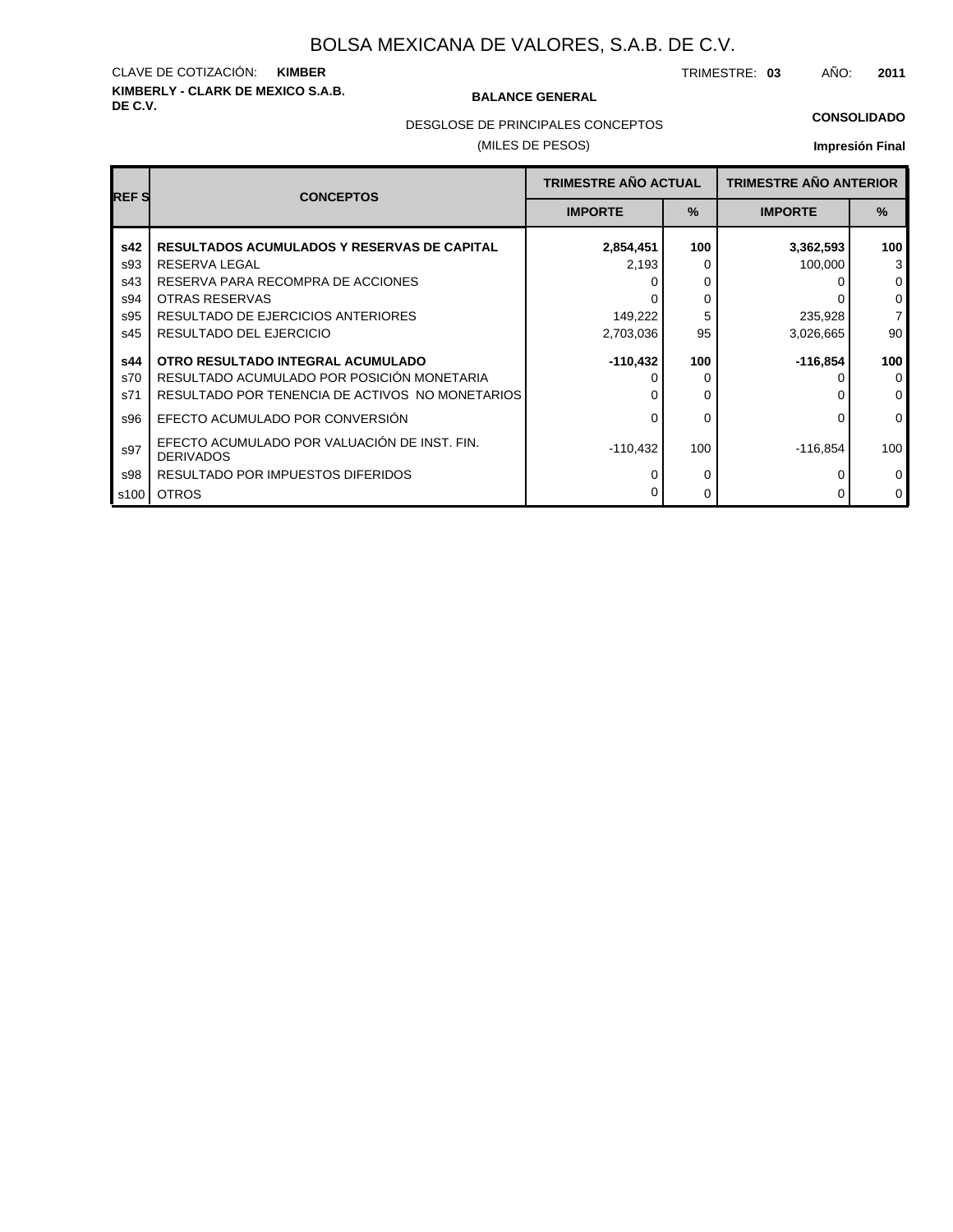# **KIMBERLY - CLARK DE MEXICO S.A.B.** CLAVE DE COTIZACIÓN: **KIMBER**

### **BALANCE GENERAL**

TRIMESTRE: **03** AÑO: **2011**

#### **CONSOLIDADO**

DESGLOSE DE PRINCIPALES CONCEPTOS

## (MILES DE PESOS)

| <b>REFS</b>       | <b>CONCEPTOS</b>                                                                                                                   | <b>TRIMESTRE AÑO ACTUAL</b> |               | <b>TRIMESTRE AÑO ANTERIOR</b> |                                     |
|-------------------|------------------------------------------------------------------------------------------------------------------------------------|-----------------------------|---------------|-------------------------------|-------------------------------------|
|                   |                                                                                                                                    | <b>IMPORTE</b>              | $\frac{9}{6}$ | <b>IMPORTE</b>                | $\%$                                |
| s42               | <b>RESULTADOS ACUMULADOS Y RESERVAS DE CAPITAL</b>                                                                                 | 2,854,451                   | 100           | 3,362,593                     | 100<br>3                            |
| s93<br>s43<br>s94 | RESERVA LEGAL<br>RESERVA PARA RECOMPRA DE ACCIONES<br>OTRAS RESERVAS                                                               | 2,193                       | 0<br>0<br>0   | 100,000                       | $\mathbf 0$<br>0                    |
| s95<br>s45        | RESULTADO DE EJERCICIOS ANTERIORES<br>RESULTADO DEL EJERCICIO                                                                      | 149,222<br>2,703,036        | 5<br>95       | 235,928<br>3,026,665          | $\overline{7}$<br>90                |
| s44<br>s70<br>s71 | OTRO RESULTADO INTEGRAL ACUMULADO<br>RESULTADO ACUMULADO POR POSICIÓN MONETARIA<br>RESULTADO POR TENENCIA DE ACTIVOS NO MONETARIOS | $-110,432$                  | 100<br>0      | $-116,854$                    | 100<br>$\mathbf{0}$<br>$\mathbf{0}$ |
| s96               | EFECTO ACUMULADO POR CONVERSIÓN                                                                                                    |                             | 0             |                               | $\mathbf{0}$                        |
| s97               | EFECTO ACUMULADO POR VALUACIÓN DE INST. FIN.<br><b>DERIVADOS</b>                                                                   | $-110,432$                  | 100           | $-116,854$                    | 100                                 |
| s98<br>s100       | RESULTADO POR IMPUESTOS DIFERIDOS<br><b>OTROS</b>                                                                                  |                             | 0<br>0        |                               | $\mathbf{0}$<br>$\mathbf 0$         |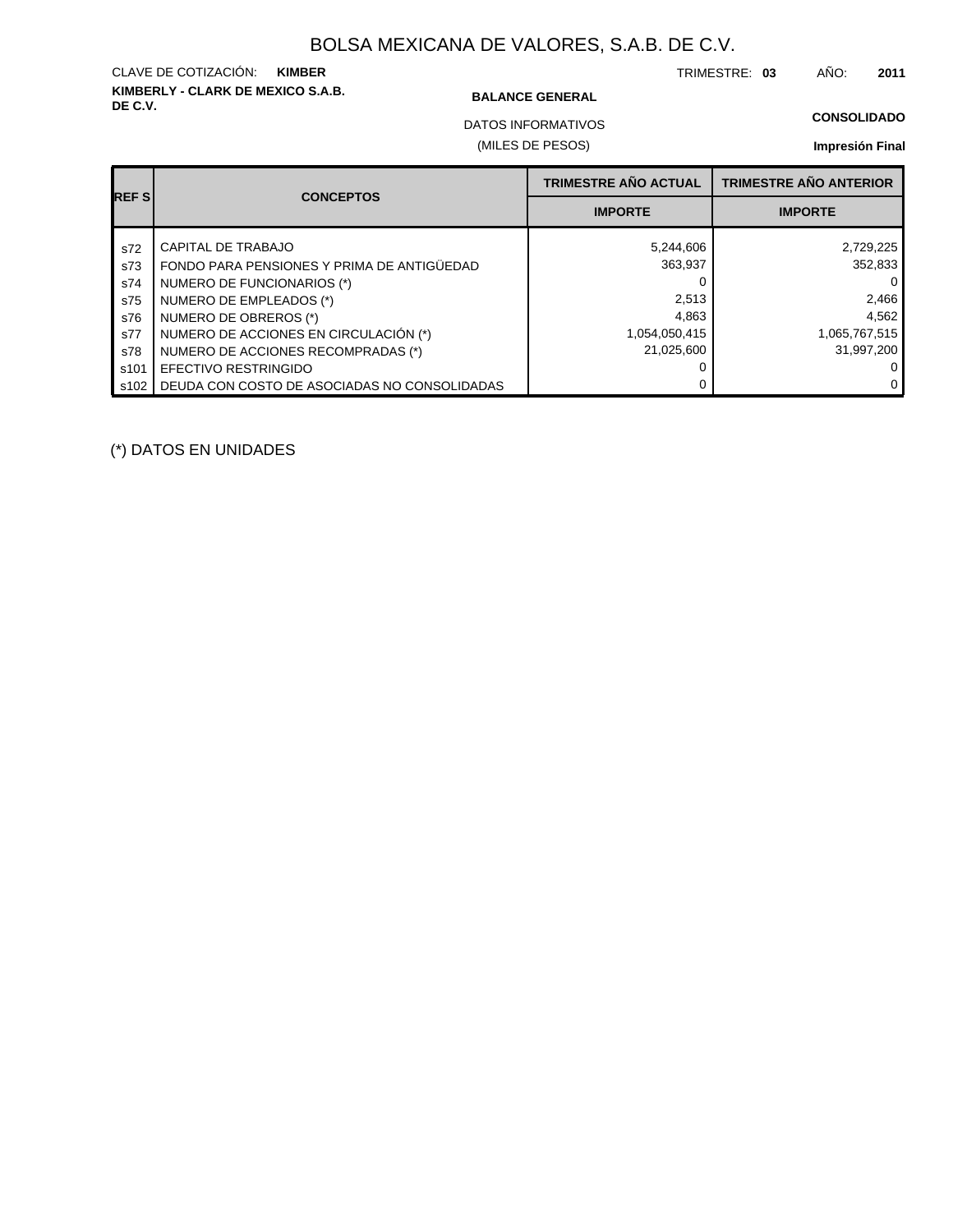# **KIMBERLY - CLARK DE MEXICO S.A.B.** CLAVE DE COTIZACIÓN: **KIMBER**

### **BALANCE GENERAL**

TRIMESTRE: **03** AÑO: **2011**

**CONSOLIDADO**

DATOS INFORMATIVOS

### (MILES DE PESOS)

## **Impresión Final**

|              | <b>CONCEPTOS</b>                             | <b>TRIMESTRE AÑO ACTUAL</b> | <b>TRIMESTRE AÑO ANTERIOR</b> |
|--------------|----------------------------------------------|-----------------------------|-------------------------------|
| <b>REFSI</b> |                                              | <b>IMPORTE</b>              | <b>IMPORTE</b>                |
| s72          | CAPITAL DE TRABAJO                           | 5,244,606                   | 2,729,225                     |
| s73          | FONDO PARA PENSIONES Y PRIMA DE ANTIGÜEDAD   | 363,937                     | 352,833                       |
| s74          | NUMERO DE FUNCIONARIOS (*)                   |                             |                               |
| s75          | NUMERO DE EMPLEADOS (*)                      | 2,513                       | 2,466                         |
| s76          | NUMERO DE OBREROS (*)                        | 4.863                       | 4,562                         |
| s77          | NUMERO DE ACCIONES EN CIRCULACIÓN (*)        | 1,054,050,415               | 1,065,767,515                 |
| s78          | NUMERO DE ACCIONES RECOMPRADAS (*)           | 21,025,600                  | 31,997,200                    |
| s101         | EFECTIVO RESTRINGIDO                         |                             |                               |
| s102         | DEUDA CON COSTO DE ASOCIADAS NO CONSOLIDADAS |                             | 0                             |

(\*) DATOS EN UNIDADES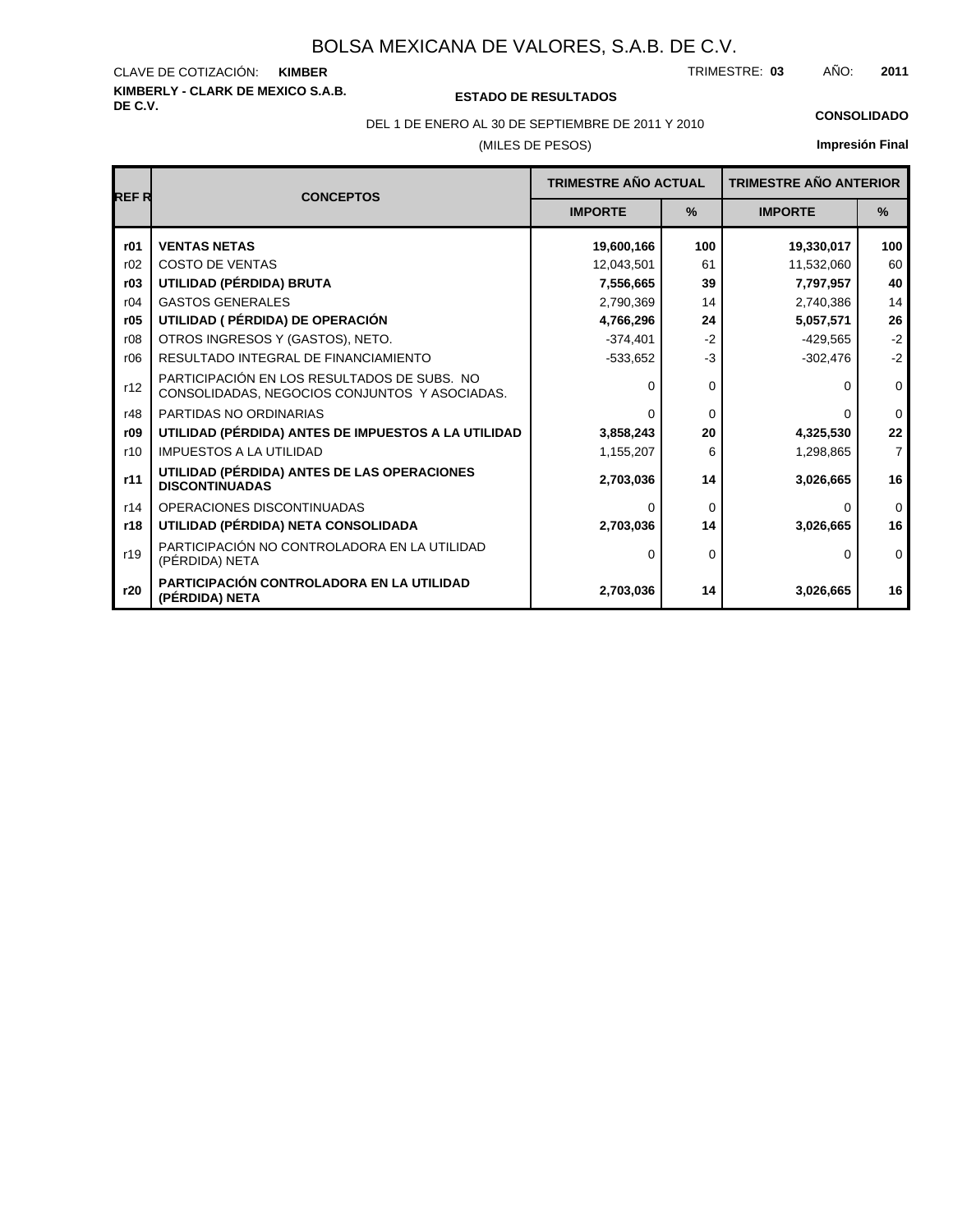# **KIMBERLY - CLARK DE MEXICO S.A.B.** CLAVE DE COTIZACIÓN:

**DE C.V. ESTADO DE RESULTADOS**

TRIMESTRE: AÑO: **KIMBER 03 2011**

(MILES DE PESOS) DEL 1 DE ENERO AL 30 DE SEPTIEMBRE DE 2011 Y 2010 **CONSOLIDADO**

| <b>REFR</b> | <b>CONCEPTOS</b>                                                                             |                | <b>TRIMESTRE AÑO ACTUAL</b><br><b>TRIMESTRE AÑO ANTERIOR</b> |                |                |
|-------------|----------------------------------------------------------------------------------------------|----------------|--------------------------------------------------------------|----------------|----------------|
|             |                                                                                              | <b>IMPORTE</b> | $\frac{9}{6}$                                                | <b>IMPORTE</b> | $\frac{9}{6}$  |
| r01         | <b>VENTAS NETAS</b>                                                                          | 19,600,166     | 100                                                          | 19,330,017     | 100            |
| r02         | <b>COSTO DE VENTAS</b>                                                                       | 12,043,501     | 61                                                           | 11,532,060     | 60             |
| r03         | UTILIDAD (PÉRDIDA) BRUTA                                                                     | 7,556,665      | 39                                                           | 7,797,957      | 40             |
| r04         | <b>GASTOS GENERALES</b>                                                                      | 2,790,369      | 14                                                           | 2,740,386      | 14             |
| r05         | UTILIDAD ( PÉRDIDA) DE OPERACIÓN                                                             | 4,766,296      | 24                                                           | 5,057,571      | 26             |
| r08         | OTROS INGRESOS Y (GASTOS), NETO.                                                             | $-374,401$     | $-2$                                                         | $-429,565$     | $-2$           |
| r06         | RESULTADO INTEGRAL DE FINANCIAMIENTO                                                         | $-533,652$     | $-3$                                                         | $-302,476$     | $-2$           |
| r12         | PARTICIPACIÓN EN LOS RESULTADOS DE SUBS. NO<br>CONSOLIDADAS, NEGOCIOS CONJUNTOS Y ASOCIADAS. |                | $\Omega$                                                     | <sup>0</sup>   | $\mathbf 0$    |
| r48         | PARTIDAS NO ORDINARIAS                                                                       | ∩              | 0                                                            | $\Omega$       | $\mathbf 0$    |
| r09         | UTILIDAD (PÉRDIDA) ANTES DE IMPUESTOS A LA UTILIDAD                                          | 3,858,243      | 20                                                           | 4,325,530      | 22             |
| r10         | <b>IMPUESTOS A LA UTILIDAD</b>                                                               | 1,155,207      | 6                                                            | 1,298,865      | $\overline{7}$ |
| r11         | UTILIDAD (PÉRDIDA) ANTES DE LAS OPERACIONES<br><b>DISCONTINUADAS</b>                         | 2,703,036      | 14                                                           | 3,026,665      | 16             |
| r14         | OPERACIONES DISCONTINUADAS                                                                   |                | $\Omega$                                                     | $\Omega$       | $\Omega$       |
| r18         | UTILIDAD (PÉRDIDA) NETA CONSOLIDADA                                                          | 2,703,036      | 14                                                           | 3,026,665      | 16             |
| r19         | PARTICIPACIÓN NO CONTROLADORA EN LA UTILIDAD<br>(PÉRDIDA) NETA                               | 0              | $\Omega$                                                     | $\Omega$       | $\mathbf 0$    |
| r20         | PARTICIPACIÓN CONTROLADORA EN LA UTILIDAD<br>(PÉRDIDA) NETA                                  | 2,703,036      | 14                                                           | 3,026,665      | 16             |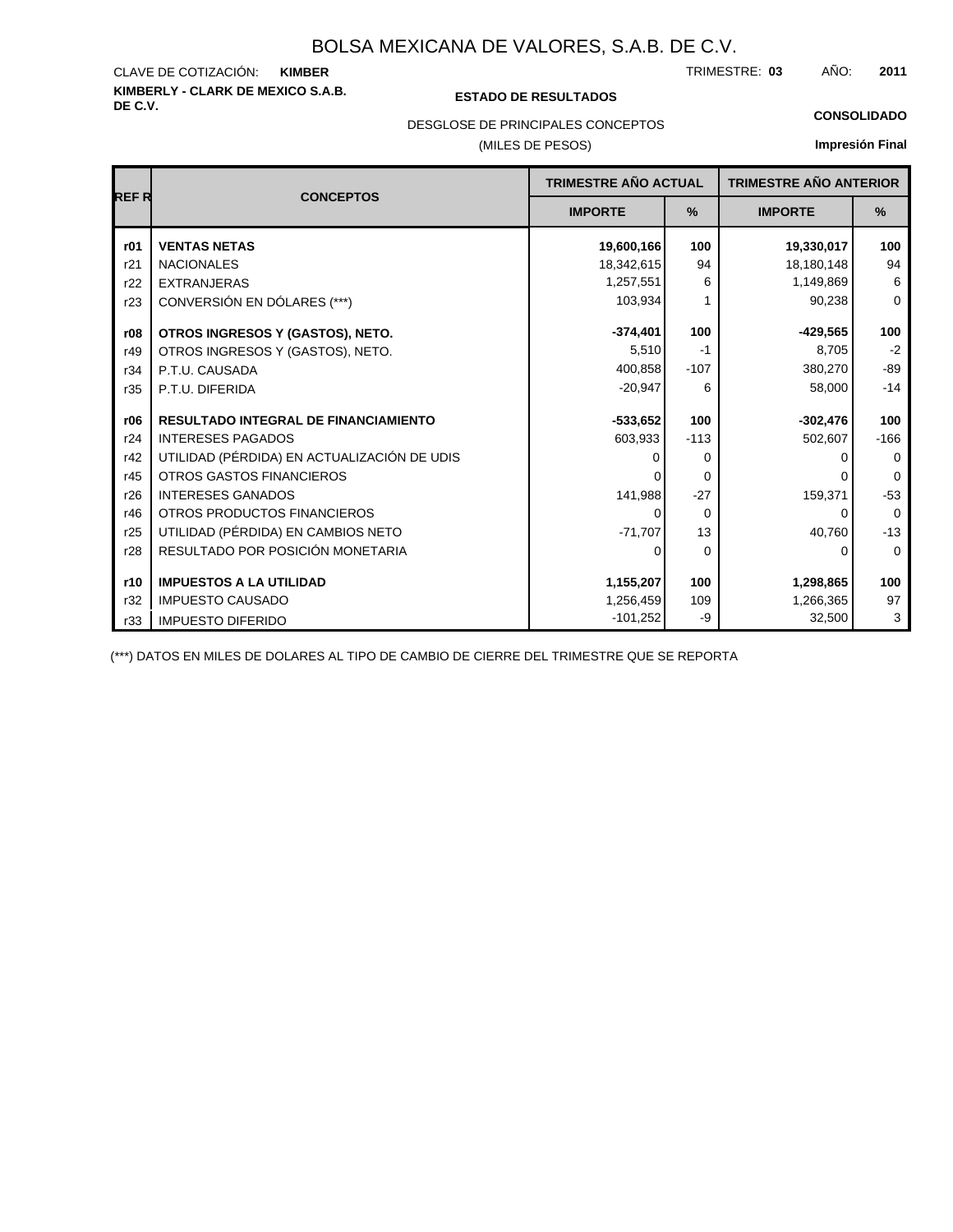# **KIMBERLY - CLARK DE MEXICO S.A.B.** CLAVE DE COTIZACIÓN:

## **DE C.V. ESTADO DE RESULTADOS**

TRIMESTRE: AÑO: **KIMBER 03 2011**

#### **CONSOLIDADO**

## DESGLOSE DE PRINCIPALES CONCEPTOS

## (MILES DE PESOS)

## **Impresión Final**

| <b>REFR</b> | <b>CONCEPTOS</b>                            | <b>TRIMESTRE AÑO ACTUAL</b>     |          | <b>TRIMESTRE AÑO ANTERIOR</b> |               |  |
|-------------|---------------------------------------------|---------------------------------|----------|-------------------------------|---------------|--|
|             |                                             | $\frac{9}{6}$<br><b>IMPORTE</b> |          | <b>IMPORTE</b>                | $\frac{9}{6}$ |  |
| r01         | <b>VENTAS NETAS</b>                         | 19,600,166                      | 100      | 19,330,017                    | 100           |  |
| r21         | <b>NACIONALES</b>                           | 18,342,615                      | 94       | 18,180,148                    | 94            |  |
| r22         | <b>EXTRANJERAS</b>                          | 1,257,551                       | 6        | 1,149,869                     | 6             |  |
| r23         | CONVERSIÓN EN DÓLARES (***)                 | 103,934                         |          | 90,238                        | $\mathbf 0$   |  |
| r08         | OTROS INGRESOS Y (GASTOS), NETO.            | $-374,401$                      | 100      | $-429,565$                    | 100           |  |
| r49         | OTROS INGRESOS Y (GASTOS), NETO.            | 5,510                           | $-1$     | 8.705                         | $-2$          |  |
| r34         | P.T.U. CAUSADA                              | 400,858                         | $-107$   | 380,270                       | $-89$         |  |
| r35         | P.T.U. DIFERIDA                             | $-20,947$                       | 6        | 58,000                        | $-14$         |  |
| r06         | <b>RESULTADO INTEGRAL DE FINANCIAMIENTO</b> | $-533,652$                      | 100      | $-302,476$                    | 100           |  |
| r24         | <b>INTERESES PAGADOS</b>                    | 603,933                         | $-113$   | 502,607                       | $-166$        |  |
| r42         | UTILIDAD (PÉRDIDA) EN ACTUALIZACIÓN DE UDIS | 0                               | 0        | 0                             | 0             |  |
| r45         | <b>OTROS GASTOS FINANCIEROS</b>             |                                 | $\Omega$ |                               | $\Omega$      |  |
| r26         | <b>INTERESES GANADOS</b>                    | 141,988                         | $-27$    | 159,371                       | $-53$         |  |
| r46         | OTROS PRODUCTOS FINANCIEROS                 | 0                               | $\Omega$ | 0                             | $\Omega$      |  |
| r25         | UTILIDAD (PÉRDIDA) EN CAMBIOS NETO          | $-71,707$                       | 13       | 40,760                        | $-13$         |  |
| r28         | RESULTADO POR POSICIÓN MONETARIA            | 0                               | $\Omega$ | 0                             | $\Omega$      |  |
| r10         | <b>IMPUESTOS A LA UTILIDAD</b>              | 1,155,207                       | 100      | 1,298,865                     | 100           |  |
| r32         | <b>IMPUESTO CAUSADO</b>                     | 1,256,459                       | 109      | 1,266,365                     | 97            |  |
| r33         | <b>IMPUESTO DIFERIDO</b>                    | $-101,252$                      | -9       | 32,500                        | 3             |  |

(\*\*\*) DATOS EN MILES DE DOLARES AL TIPO DE CAMBIO DE CIERRE DEL TRIMESTRE QUE SE REPORTA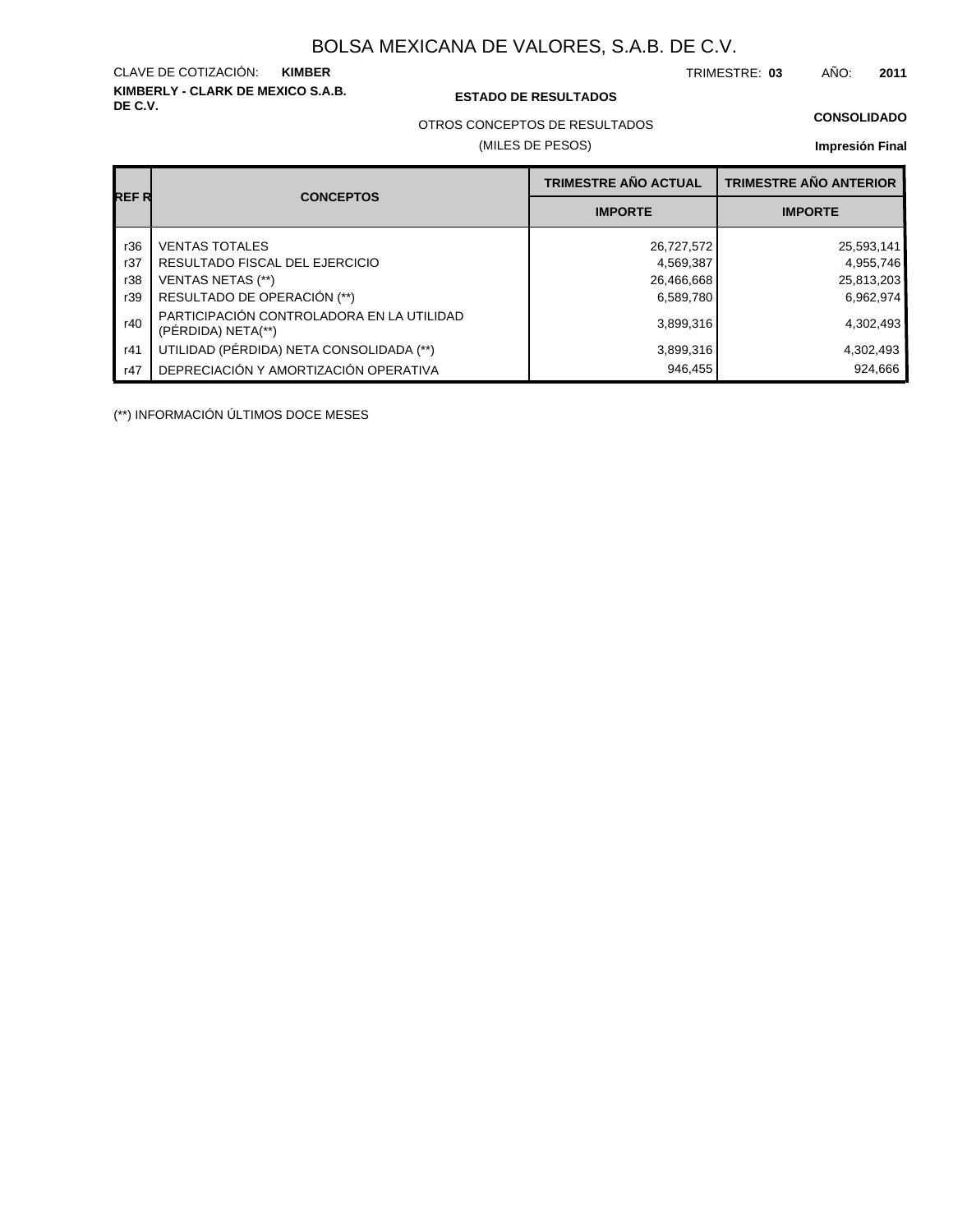**KIMBERLY - CLARK DE MEXICO S.A.B.** CLAVE DE COTIZACIÓN:

## **DE C.V. ESTADO DE RESULTADOS**

TRIMESTRE: AÑO: **KIMBER 03 2011**

#### **CONSOLIDADO**

OTROS CONCEPTOS DE RESULTADOS

## (MILES DE PESOS)

#### **Impresión Final**

|       |                                                                 | <b>TRIMESTRE AÑO ACTUAL</b> | <b>TRIMESTRE AÑO ANTERIOR</b> |
|-------|-----------------------------------------------------------------|-----------------------------|-------------------------------|
| REF R | <b>CONCEPTOS</b>                                                | <b>IMPORTE</b>              | <b>IMPORTE</b>                |
| r36   | <b>VENTAS TOTALES</b>                                           | 26,727,572                  | 25,593,141                    |
| r37   | RESULTADO FISCAL DEL EJERCICIO                                  | 4,569,387                   | 4,955,746                     |
| r38   | <b>VENTAS NETAS (**)</b>                                        | 26,466,668                  | 25,813,203                    |
| r39   | RESULTADO DE OPERACIÓN (**)                                     | 6,589,780                   | 6,962,974                     |
| r40   | PARTICIPACIÓN CONTROLADORA EN LA UTILIDAD<br>(PÉRDIDA) NETA(**) | 3,899,316                   | 4,302,493                     |
| r41   | UTILIDAD (PÉRDIDA) NETA CONSOLIDADA (**)                        | 3,899,316                   | 4,302,493                     |
| r47   | DEPRECIACIÓN Y AMORTIZACIÓN OPERATIVA                           | 946,455                     | 924,666                       |

(\*\*) INFORMACIÓN ÚLTIMOS DOCE MESES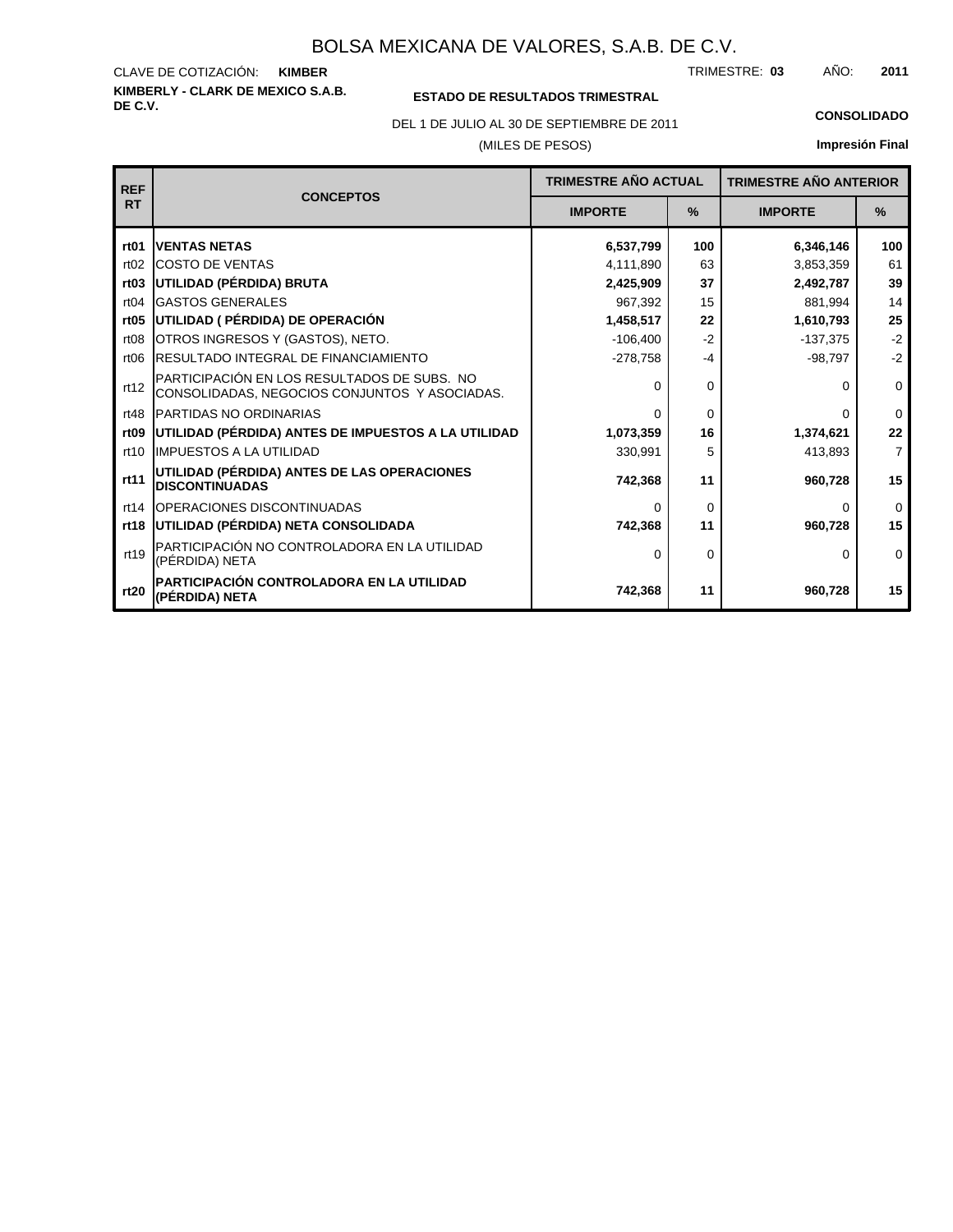**KIMBERLY - CLARK DE MEXICO S.A.B.** CLAVE DE COTIZACIÓN: TRIMESTRE: AÑO: **KIMBER 03 2011**

## **ESTADO DE RESULTADOS TRIMESTRAL**

DEL 1 DE JULIO AL 30 DE SEPTIEMBRE DE 2011 **CONSOLIDADO**

## (MILES DE PESOS)

| <b>REF</b>       | <b>CONCEPTOS</b>                                                                             | <b>TRIMESTRE AÑO ACTUAL</b> |          | <b>TRIMESTRE AÑO ANTERIOR</b> |                |  |  |
|------------------|----------------------------------------------------------------------------------------------|-----------------------------|----------|-------------------------------|----------------|--|--|
| <b>RT</b>        |                                                                                              | <b>IMPORTE</b>              | $\%$     | <b>IMPORTE</b>                | $\frac{9}{6}$  |  |  |
| rt <sub>01</sub> | <b>IVENTAS NETAS</b>                                                                         | 6,537,799                   | 100      | 6,346,146                     | 100            |  |  |
| rt02             | <b>ICOSTO DE VENTAS</b>                                                                      | 4,111,890                   | 63       | 3,853,359                     | 61             |  |  |
| rt03             | UTILIDAD (PÉRDIDA) BRUTA                                                                     | 2,425,909                   | 37       | 2,492,787                     | 39             |  |  |
| rt04             | <b>GASTOS GENERALES</b>                                                                      | 967,392                     | 15       | 881,994                       | 14             |  |  |
| rt <sub>05</sub> | UTILIDAD ( PÉRDIDA) DE OPERACIÓN                                                             | 1,458,517                   | 22       | 1,610,793                     | 25             |  |  |
| rt08             | OTROS INGRESOS Y (GASTOS), NETO.                                                             | $-106,400$                  | $-2$     | $-137,375$                    | $-2$           |  |  |
| rt <sub>06</sub> | <b>IRESULTADO INTEGRAL DE FINANCIAMIENTO</b>                                                 | $-278,758$                  | $-4$     | $-98,797$                     | $-2$           |  |  |
| rt12             | PARTICIPACIÓN EN LOS RESULTADOS DE SUBS. NO<br>CONSOLIDADAS, NEGOCIOS CONJUNTOS Y ASOCIADAS. | $\Omega$                    | 0        | 0                             | 0              |  |  |
| rt48             | <b>IPARTIDAS NO ORDINARIAS</b>                                                               | $\Omega$                    | $\Omega$ | O                             | $\Omega$       |  |  |
| rt <sub>09</sub> | UTILIDAD (PÉRDIDA) ANTES DE IMPUESTOS A LA UTILIDAD                                          | 1,073,359                   | 16       | 1,374,621                     | 22             |  |  |
| rt10             | <b>IIMPUESTOS A LA UTILIDAD</b>                                                              | 330,991                     | 5        | 413,893                       | $\overline{7}$ |  |  |
| rt11             | UTILIDAD (PÉRDIDA) ANTES DE LAS OPERACIONES<br><b>DISCONTINUADAS</b>                         | 742,368                     | 11       | 960,728                       | 15             |  |  |
| rt14             | <b>IOPERACIONES DISCONTINUADAS</b>                                                           | $\Omega$                    | 0        | 0                             | $\mathbf 0$    |  |  |
| rt18             | UTILIDAD (PÉRDIDA) NETA CONSOLIDADA                                                          | 742,368                     | 11       | 960,728                       | 15             |  |  |
| rt19             | PARTICIPACIÓN NO CONTROLADORA EN LA UTILIDAD<br>(PÉRDIDA) NETA                               | $\Omega$                    | 0        | 0                             | $\Omega$       |  |  |
| rt20             | IPARTICIPACIÓN CONTROLADORA EN LA UTILIDAD<br>(PÉRDIDA) NETA                                 | 742,368                     | 11       | 960,728                       | 15             |  |  |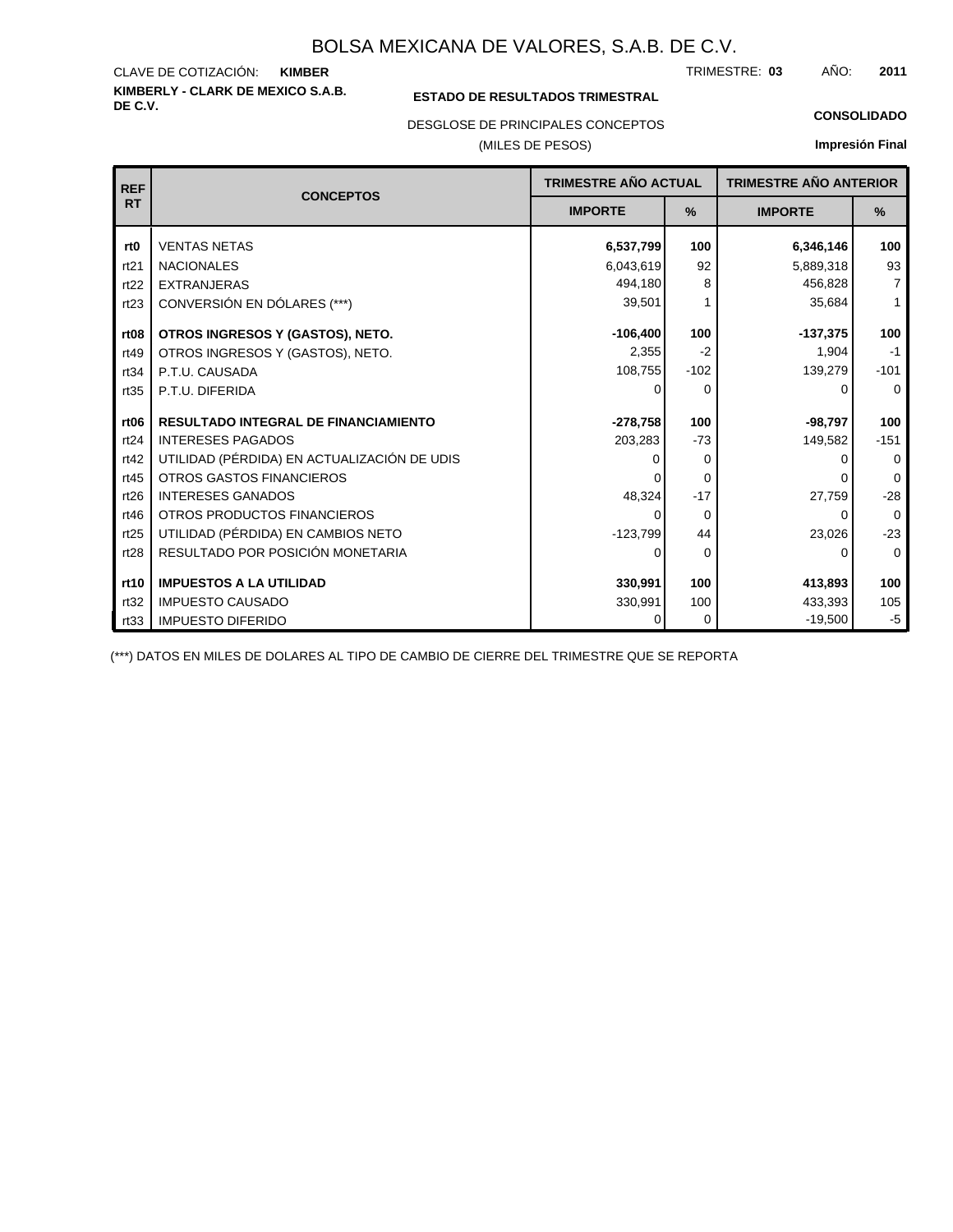#### **KIMBERLY - CLARK DE MEXICO S.A.B.** CLAVE DE COTIZACIÓN: TRIMESTRE: AÑO: **KIMBER 03 2011**

## **ESTADO DE RESULTADOS TRIMESTRAL**

DESGLOSE DE PRINCIPALES CONCEPTOS

## (MILES DE PESOS)

#### **CONSOLIDADO**

**Impresión Final**

| <b>REF</b>       | <b>CONCEPTOS</b>                            | <b>TRIMESTRE AÑO ACTUAL</b> |               | <b>TRIMESTRE AÑO ANTERIOR</b> |                |
|------------------|---------------------------------------------|-----------------------------|---------------|-------------------------------|----------------|
| <b>RT</b>        |                                             | <b>IMPORTE</b>              | $\frac{9}{6}$ | <b>IMPORTE</b>                | $\%$           |
| rt <sub>0</sub>  | <b>VENTAS NETAS</b>                         | 6,537,799                   | 100           | 6,346,146                     | 100            |
| rt21             | <b>NACIONALES</b>                           | 6,043,619                   | 92            | 5,889,318                     | 93             |
| rt22             | <b>EXTRANJERAS</b>                          | 494,180                     | 8             | 456,828                       | $\overline{7}$ |
| rt23             | CONVERSIÓN EN DÓLARES (***)                 | 39,501                      |               | 35,684                        | $\mathbf{1}$   |
| rt <sub>08</sub> | OTROS INGRESOS Y (GASTOS), NETO.            | $-106,400$                  | 100           | $-137,375$                    | 100            |
| rt49             | OTROS INGRESOS Y (GASTOS), NETO.            | 2,355                       | $-2$          | 1,904                         | $-1$           |
| rt34             | P.T.U. CAUSADA                              | 108,755                     | $-102$        | 139,279                       | $-101$         |
| rt35             | P.T.U. DIFERIDA                             | $\Omega$                    | 0             | O                             | $\Omega$       |
|                  |                                             |                             |               |                               |                |
| rt <sub>06</sub> | <b>RESULTADO INTEGRAL DE FINANCIAMIENTO</b> | $-278,758$                  | 100           | $-98,797$                     | 100            |
| rt24             | <b>INTERESES PAGADOS</b>                    | 203,283                     | $-73$         | 149,582                       | $-151$         |
| rt42             | UTILIDAD (PÉRDIDA) EN ACTUALIZACIÓN DE UDIS |                             | 0             | O                             | $\Omega$       |
| rt45             | OTROS GASTOS FINANCIEROS                    |                             | 0             |                               | $\Omega$       |
| rt26             | <b>INTERESES GANADOS</b>                    | 48,324                      | $-17$         | 27,759                        | $-28$          |
| rt46             | OTROS PRODUCTOS FINANCIEROS                 | $\Omega$                    | $\Omega$      | $\Omega$                      | $\Omega$       |
| rt25             | UTILIDAD (PÉRDIDA) EN CAMBIOS NETO          | $-123,799$                  | 44            | 23,026                        | $-23$          |
| rt28             | RESULTADO POR POSICIÓN MONETARIA            | 0                           | $\Omega$      | 0                             | $\Omega$       |
|                  |                                             |                             |               |                               |                |
| rt10             | <b>IMPUESTOS A LA UTILIDAD</b>              | 330,991                     | 100           | 413,893                       | 100            |
| rt32             | <b>IMPUESTO CAUSADO</b>                     | 330,991                     | 100           | 433,393                       | 105            |
| rt33             | <b>IMPUESTO DIFERIDO</b>                    | 0                           | 0             | $-19,500$                     | $-5$           |

(\*\*\*) DATOS EN MILES DE DOLARES AL TIPO DE CAMBIO DE CIERRE DEL TRIMESTRE QUE SE REPORTA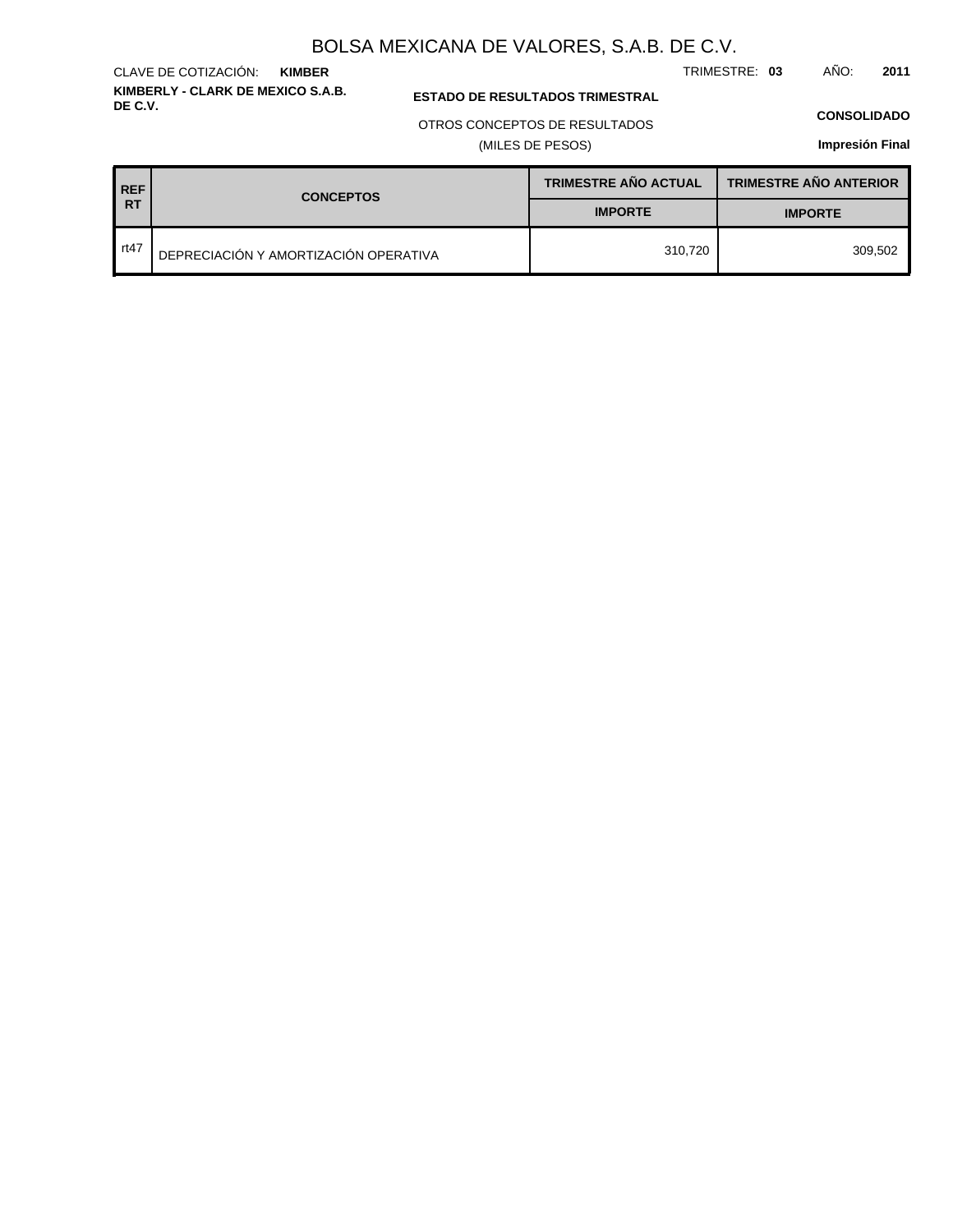TRIMESTRE: **03** AÑO: **2011**

## **ESTADO DE RESULTADOS TRIMESTRAL**

OTROS CONCEPTOS DE RESULTADOS

(MILES DE PESOS)

#### **CONSOLIDADO**

**Impresión Final**

| <b>REF</b> | <b>CONCEPTOS</b>                      | <b>TRIMESTRE AÑO ACTUAL</b> | <b>TRIMESTRE AÑO ANTERIOR</b> |
|------------|---------------------------------------|-----------------------------|-------------------------------|
| I RT       |                                       | <b>IMPORTE</b>              | <b>IMPORTE</b>                |
| rt47       | DEPRECIACIÓN Y AMORTIZACIÓN OPERATIVA | 310.720                     | 309.502                       |

# **KIMBERLY - CLARK DE MEXICO S.A.B.**

**KIMBER**

CLAVE DE COTIZACIÓN: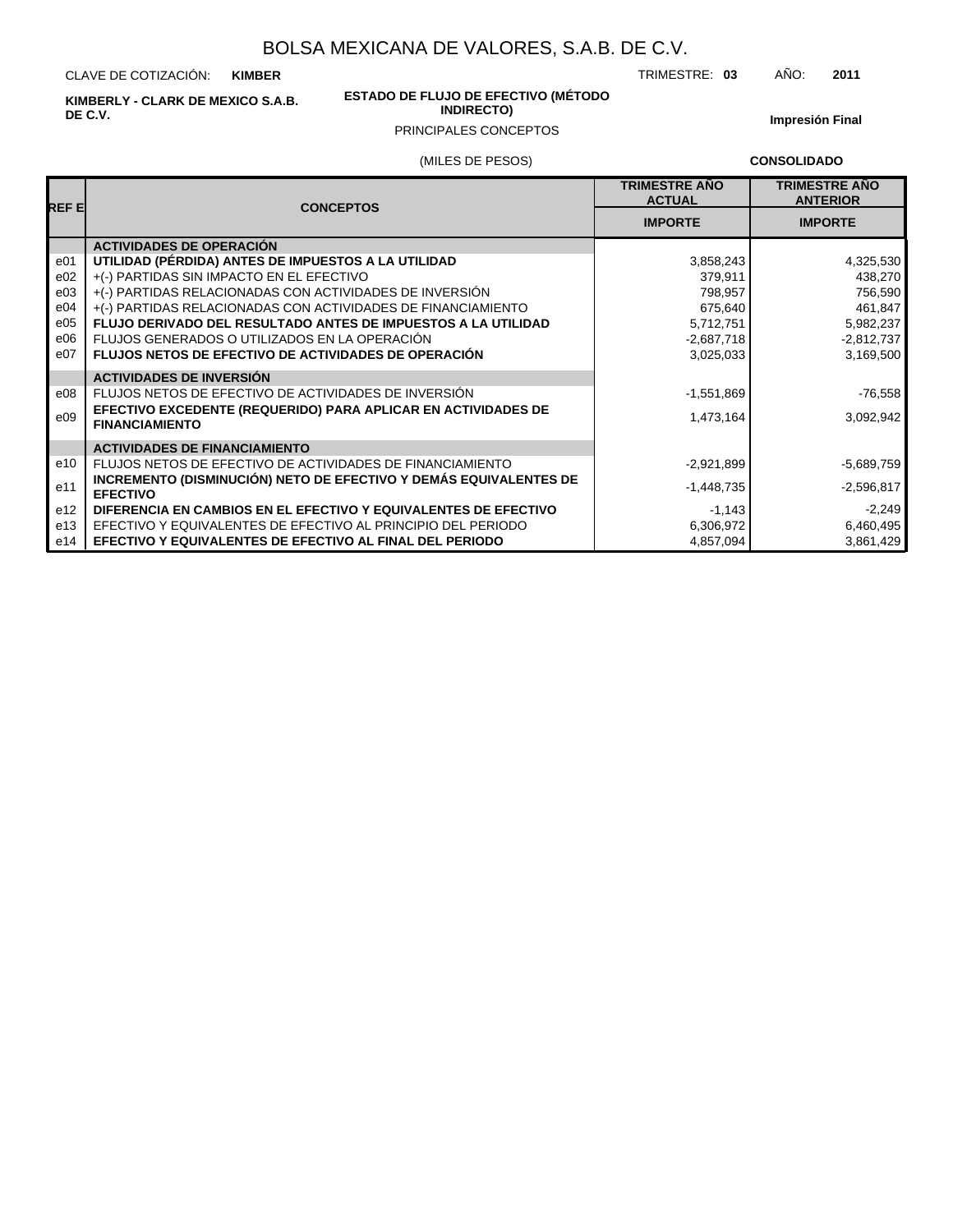CLAVE DE COTIZACIÓN: **KIMBER**

**KIMBERLY - CLARK DE MEXICO S.A.B. DE C.V.**

#### **ESTADO DE FLUJO DE EFECTIVO (MÉTODO INDIRECTO)**

**Impresión Final**

# PRINCIPALES CONCEPTOS

(MILES DE PESOS)

**CONSOLIDADO**

TRIMESTRE: **03** AÑO: **2011**

| REF EI          | <b>CONCEPTOS</b>                                                                       | <b>TRIMESTRE AÑO</b><br><b>ACTUAL</b> | <b>TRIMESTRE AÑO</b><br><b>ANTERIOR</b> |
|-----------------|----------------------------------------------------------------------------------------|---------------------------------------|-----------------------------------------|
|                 |                                                                                        | <b>IMPORTE</b>                        | <b>IMPORTE</b>                          |
|                 | <b>ACTIVIDADES DE OPERACIÓN</b>                                                        |                                       |                                         |
| e01             | UTILIDAD (PÉRDIDA) ANTES DE IMPUESTOS A LA UTILIDAD                                    | 3,858,243                             | 4,325,530                               |
| e02             | +(-) PARTIDAS SIN IMPACTO EN EL EFECTIVO                                               | 379.911                               | 438,270                                 |
| e03             | +(-) PARTIDAS RELACIONADAS CON ACTIVIDADES DE INVERSIÓN                                | 798,957                               | 756,590                                 |
| e04             | +(-) PARTIDAS RELACIONADAS CON ACTIVIDADES DE FINANCIAMIENTO                           | 675,640                               | 461,847                                 |
| e05             | FLUJO DERIVADO DEL RESULTADO ANTES DE IMPUESTOS A LA UTILIDAD                          | 5,712,751                             | 5,982,237                               |
| e06             | FLUJOS GENERADOS O UTILIZADOS EN LA OPERACIÓN                                          | $-2,687,718$                          | $-2,812,737$                            |
| e07             | <b>FLUJOS NETOS DE EFECTIVO DE ACTIVIDADES DE OPERACIÓN</b>                            | 3,025,033                             | 3,169,500                               |
|                 | <b>ACTIVIDADES DE INVERSIÓN</b>                                                        |                                       |                                         |
| e08             | FLUJOS NETOS DE EFECTIVO DE ACTIVIDADES DE INVERSIÓN                                   | $-1,551,869$                          | $-76,558$                               |
| e09             | EFECTIVO EXCEDENTE (REQUERIDO) PARA APLICAR EN ACTIVIDADES DE<br><b>FINANCIAMIENTO</b> | 1,473,164                             | 3,092,942                               |
|                 | <b>ACTIVIDADES DE FINANCIAMIENTO</b>                                                   |                                       |                                         |
| e10             | FLUJOS NETOS DE EFECTIVO DE ACTIVIDADES DE FINANCIAMIENTO                              | $-2,921,899$                          | $-5,689,759$                            |
| e11             | INCREMENTO (DISMINUCIÓN) NETO DE EFECTIVO Y DEMÁS EQUIVALENTES DE<br><b>EFECTIVO</b>   | $-1,448,735$                          | $-2,596,817$                            |
| e <sub>12</sub> | DIFERENCIA EN CAMBIOS EN EL EFECTIVO Y EQUIVALENTES DE EFECTIVO                        | $-1,143$                              | $-2,249$                                |
| e13             | EFECTIVO Y EQUIVALENTES DE EFECTIVO AL PRINCIPIO DEL PERIODO                           | 6,306,972                             | 6,460,495                               |
| e14             | EFECTIVO Y EQUIVALENTES DE EFECTIVO AL FINAL DEL PERIODO                               | 4,857,094                             | 3,861,429                               |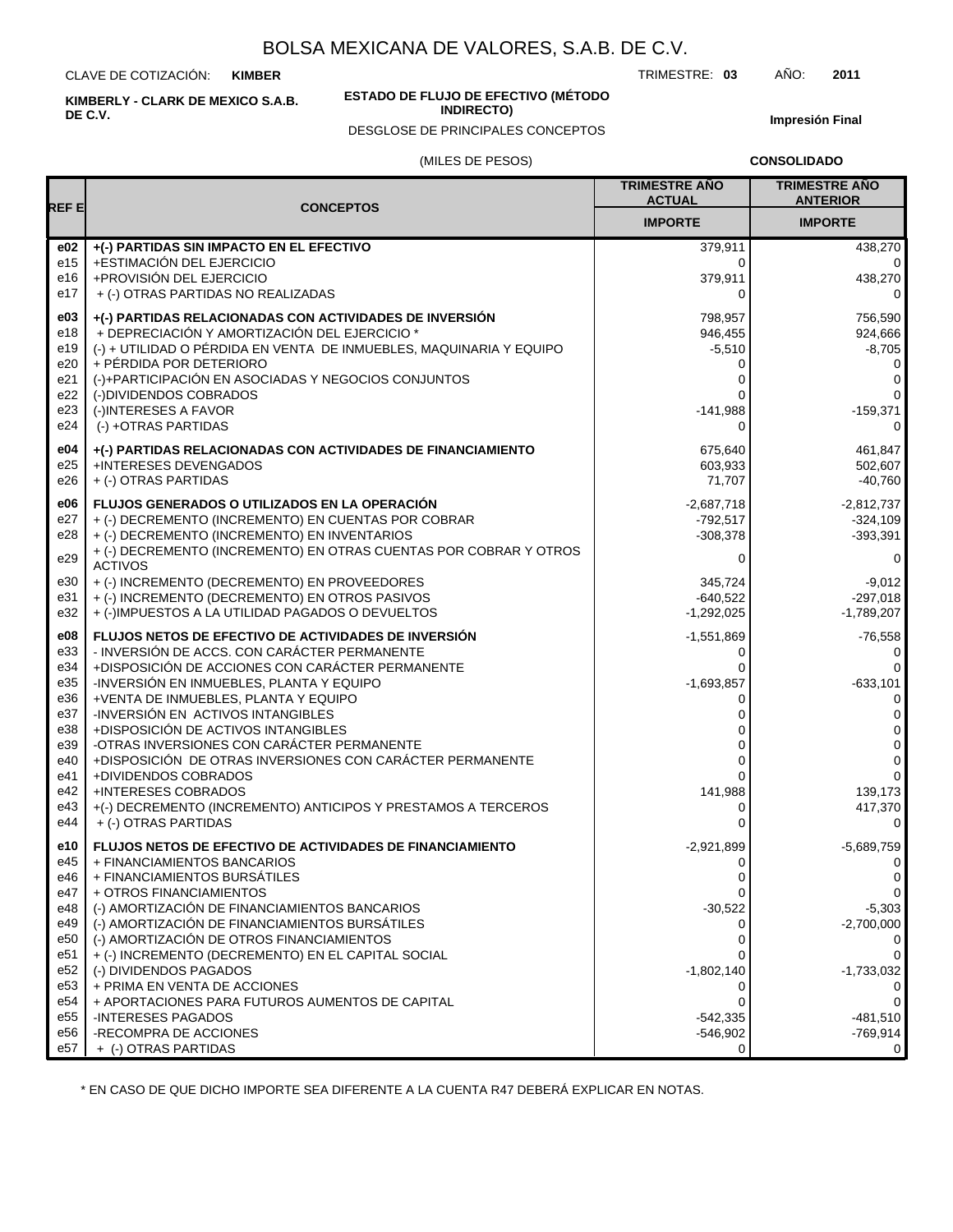CLAVE DE COTIZACIÓN: **KIMBER**

**KIMBERLY - CLARK DE MEXICO S.A.B. DE C.V.**

#### **ESTADO DE FLUJO DE EFECTIVO (MÉTODO INDIRECTO)**

DESGLOSE DE PRINCIPALES CONCEPTOS

TRIMESTRE: **03** AÑO: **2011**

**Impresión Final**

#### (MILES DE PESOS)

**CONSOLIDADO**

| REF E                  |                                                                                     | <b>TRIMESTRE AÑO</b><br><b>ACTUAL</b> | <b>TRIMESTRE AÑO</b><br><b>ANTERIOR</b> |
|------------------------|-------------------------------------------------------------------------------------|---------------------------------------|-----------------------------------------|
|                        | <b>CONCEPTOS</b>                                                                    | <b>IMPORTE</b>                        | <b>IMPORTE</b>                          |
| e02                    | +(-) PARTIDAS SIN IMPACTO EN EL EFECTIVO                                            | 379,911                               | 438,270                                 |
| e15                    | +ESTIMACIÓN DEL EJERCICIO                                                           | 0                                     | $\Omega$                                |
| e16                    | +PROVISIÓN DEL EJERCICIO                                                            | 379,911                               | 438,270                                 |
| e17                    | + (-) OTRAS PARTIDAS NO REALIZADAS                                                  | 0                                     | 0                                       |
| e03                    | +(-) PARTIDAS RELACIONADAS CON ACTIVIDADES DE INVERSIÓN                             | 798,957                               | 756,590                                 |
| e18                    | + DEPRECIACIÓN Y AMORTIZACIÓN DEL EJERCICIO *                                       | 946,455                               | 924,666                                 |
| e19                    | (-) + UTILIDAD O PÉRDIDA EN VENTA DE INMUEBLES, MAQUINARIA Y EQUIPO                 | $-5,510$                              | $-8,705$                                |
| e20                    | + PÉRDIDA POR DETERIORO                                                             | 0                                     | 0                                       |
| e21                    | (-)+PARTICIPACIÓN EN ASOCIADAS Y NEGOCIOS CONJUNTOS                                 | 0                                     | 0                                       |
| e22                    | (-)DIVIDENDOS COBRADOS                                                              | 0                                     | $\Omega$                                |
| e23                    | (-)INTERESES A FAVOR                                                                | $-141,988$                            | $-159,371$                              |
| e24                    | (-) +OTRAS PARTIDAS                                                                 | 0                                     | 0                                       |
| e04                    | +(-) PARTIDAS RELACIONADAS CON ACTIVIDADES DE FINANCIAMIENTO                        | 675,640                               | 461,847                                 |
| e25                    | +INTERESES DEVENGADOS                                                               | 603,933                               | 502,607                                 |
| e26                    | + (-) OTRAS PARTIDAS                                                                | 71,707                                | $-40,760$                               |
| e06                    | FLUJOS GENERADOS O UTILIZADOS EN LA OPERACIÓN                                       | $-2,687,718$                          | $-2,812,737$                            |
| e27                    | + (-) DECREMENTO (INCREMENTO) EN CUENTAS POR COBRAR                                 | -792,517                              | $-324,109$                              |
| e28                    | + (-) DECREMENTO (INCREMENTO) EN INVENTARIOS                                        | $-308,378$                            | $-393,391$                              |
| e29                    | + (-) DECREMENTO (INCREMENTO) EN OTRAS CUENTAS POR COBRAR Y OTROS<br><b>ACTIVOS</b> | 0                                     | 0                                       |
| e30                    | + (-) INCREMENTO (DECREMENTO) EN PROVEEDORES                                        | 345,724                               | $-9.012$                                |
| e31                    | + (-) INCREMENTO (DECREMENTO) EN OTROS PASIVOS                                      | $-640.522$                            | $-297,018$                              |
| e32                    | + (-)IMPUESTOS A LA UTILIDAD PAGADOS O DEVUELTOS                                    | $-1,292,025$                          | $-1,789,207$                            |
| e08                    | FLUJOS NETOS DE EFECTIVO DE ACTIVIDADES DE INVERSIÓN                                | $-1,551,869$                          | $-76,558$                               |
| e33                    | - INVERSIÓN DE ACCS. CON CARÁCTER PERMANENTE                                        | 0                                     | 0                                       |
| e34                    | +DISPOSICIÓN DE ACCIONES CON CARÁCTER PERMANENTE                                    | 0                                     | $\mathbf 0$                             |
| e35                    | -INVERSIÓN EN INMUEBLES, PLANTA Y EQUIPO                                            | $-1,693,857$                          | $-633,101$                              |
| e36                    | +VENTA DE INMUEBLES, PLANTA Y EQUIPO                                                | 0                                     | 0                                       |
| e37                    | -INVERSIÓN EN ACTIVOS INTANGIBLES                                                   | 0                                     | 0                                       |
| e38                    | +DISPOSICIÓN DE ACTIVOS INTANGIBLES                                                 | 0                                     | 0                                       |
| e39                    | -OTRAS INVERSIONES CON CARÁCTER PERMANENTE                                          | 0                                     | 0                                       |
| e40                    | +DISPOSICIÓN DE OTRAS INVERSIONES CON CARÁCTER PERMANENTE                           | $\mathbf{0}$                          | 0                                       |
| e41<br>e42             | +DIVIDENDOS COBRADOS<br><b>+INTERESES COBRADOS</b>                                  | 0<br>141,988                          | $\mathbf 0$<br>139,173                  |
| e43                    | +(-) DECREMENTO (INCREMENTO) ANTICIPOS Y PRESTAMOS A TERCEROS                       | 0                                     | 417,370                                 |
| e44                    | + (-) OTRAS PARTIDAS                                                                | 0                                     | 0                                       |
| e10                    | FLUJOS NETOS DE EFECTIVO DE ACTIVIDADES DE FINANCIAMIENTO                           | $-2,921,899$                          | $-5,689,759$                            |
| e45                    | + FINANCIAMIENTOS BANCARIOS                                                         | 0                                     | 0                                       |
| e46                    | + FINANCIAMIENTOS BURSÁTILES                                                        |                                       | $\mathbf 0$                             |
| e47                    | + OTROS FINANCIAMIENTOS                                                             | 0                                     | 0                                       |
| e48                    | (-) AMORTIZACIÓN DE FINANCIAMIENTOS BANCARIOS                                       | $-30,522$                             | $-5,303$                                |
| e49                    | (-) AMORTIZACIÓN DE FINANCIAMIENTOS BURSÁTILES                                      | 0                                     | $-2,700,000$                            |
| e50                    | (-) AMORTIZACIÓN DE OTROS FINANCIAMIENTOS                                           | 0<br>0                                | 0<br>0                                  |
| e51<br>e <sub>52</sub> | + (-) INCREMENTO (DECREMENTO) EN EL CAPITAL SOCIAL<br>(-) DIVIDENDOS PAGADOS        | $-1,802,140$                          |                                         |
| e <sub>53</sub>        | + PRIMA EN VENTA DE ACCIONES                                                        | 0                                     | $-1,733,032$<br>0                       |
| e54                    | + APORTACIONES PARA FUTUROS AUMENTOS DE CAPITAL                                     | 0                                     | 0                                       |
| e <sub>55</sub>        | -INTERESES PAGADOS                                                                  | $-542,335$                            | $-481,510$                              |
| e56                    | -RECOMPRA DE ACCIONES                                                               | $-546,902$                            | $-769,914$                              |
| e57                    | + (-) OTRAS PARTIDAS                                                                | 0                                     | 0                                       |

\* EN CASO DE QUE DICHO IMPORTE SEA DIFERENTE A LA CUENTA R47 DEBERÁ EXPLICAR EN NOTAS.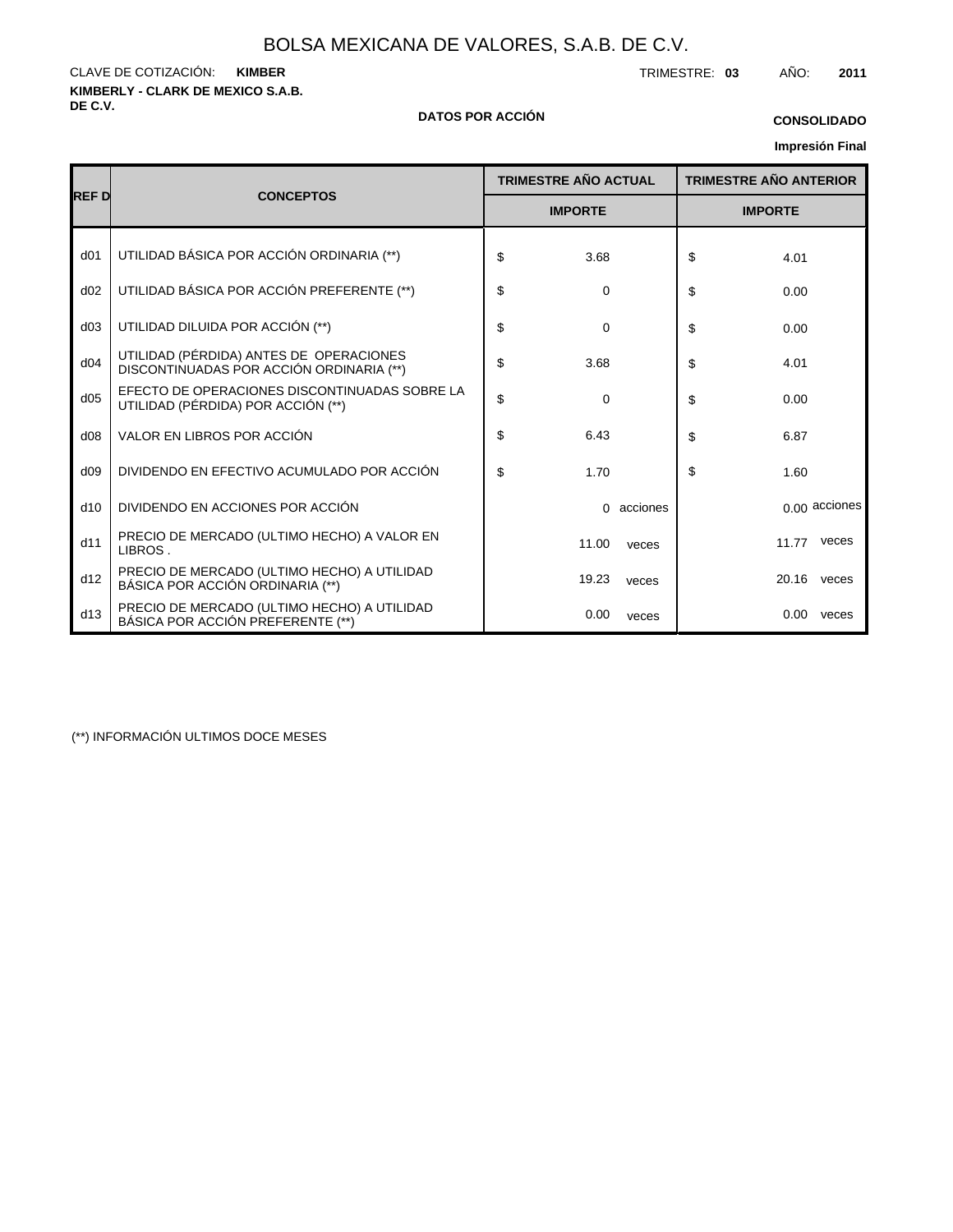**KIMBERLY - CLARK DE MEXICO S.A.B.** CLAVE DE COTIZACIÓN: TRIMESTRE: **03** AÑO: **2011 KIMBER**

#### **DE C.V. DATOS POR ACCIÓN**

# **CONSOLIDADO**

## **Impresión Final**

|                 |                                                                                     | <b>TRIMESTRE AÑO ACTUAL</b> | <b>TRIMESTRE AÑO ANTERIOR</b> |  |  |  |
|-----------------|-------------------------------------------------------------------------------------|-----------------------------|-------------------------------|--|--|--|
| <b>REFD</b>     | <b>CONCEPTOS</b>                                                                    | <b>IMPORTE</b>              | <b>IMPORTE</b>                |  |  |  |
| d <sub>01</sub> | UTILIDAD BÁSICA POR ACCIÓN ORDINARIA (**)                                           | \$<br>3.68                  | \$<br>4.01                    |  |  |  |
| d02             | UTILIDAD BÁSICA POR ACCIÓN PREFERENTE (**)                                          | \$<br>0                     | \$<br>0.00                    |  |  |  |
| d03             | UTILIDAD DILUIDA POR ACCIÓN (**)                                                    | \$<br>0                     | \$<br>0.00                    |  |  |  |
| d04             | UTILIDAD (PÉRDIDA) ANTES DE OPERACIONES<br>DISCONTINUADAS POR ACCIÓN ORDINARIA (**) | \$<br>3.68                  | \$<br>4.01                    |  |  |  |
| d05             | EFECTO DE OPERACIONES DISCONTINUADAS SOBRE LA<br>UTILIDAD (PÉRDIDA) POR ACCIÓN (**) | \$<br>$\Omega$              | \$<br>0.00                    |  |  |  |
| d08             | VALOR EN LIBROS POR ACCIÓN                                                          | \$<br>6.43                  | \$<br>6.87                    |  |  |  |
| d09             | DIVIDENDO EN EFECTIVO ACUMULADO POR ACCIÓN                                          | \$<br>1.70                  | \$<br>1.60                    |  |  |  |
| d10             | DIVIDENDO EN ACCIONES POR ACCIÓN                                                    | acciones<br>$\Omega$        | 0.00 acciones                 |  |  |  |
| d11             | PRECIO DE MERCADO (ULTIMO HECHO) A VALOR EN<br>LIBROS.                              | 11.00<br>veces              | 11.77<br>veces                |  |  |  |
| d12             | PRECIO DE MERCADO (ULTIMO HECHO) A UTILIDAD<br>BÁSICA POR ACCIÓN ORDINARIA (**)     | 19.23<br>veces              | 20.16<br>veces                |  |  |  |
| d13             | PRECIO DE MERCADO (ULTIMO HECHO) A UTILIDAD<br>BÁSICA POR ACCIÓN PREFERENTE (**)    | 0.00<br>veces               | $0.00\,$<br>veces             |  |  |  |

(\*\*) INFORMACIÓN ULTIMOS DOCE MESES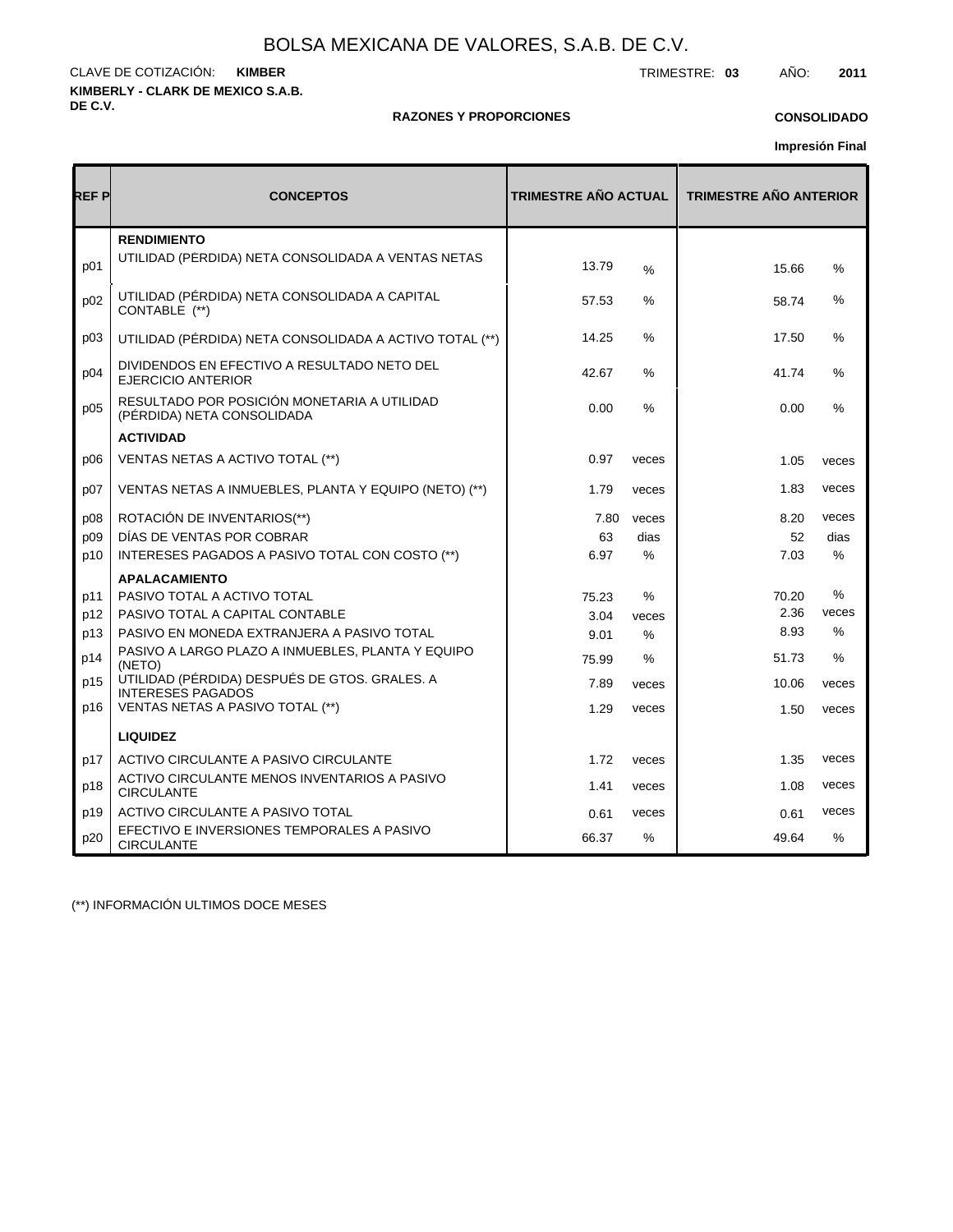**KIMBERLY - CLARK DE MEXICO S.A.B. DE C.V.** CLAVE DE COTIZACIÓN: TRIMESTRE: **03** AÑO: **2011 KIMBER**

## **RAZONES Y PROPORCIONES**

## **CONSOLIDADO**

**Impresión Final**

| REF P | <b>CONCEPTOS</b>                                                          | <b>TRIMESTRE AÑO ACTUAL</b> |               | <b>TRIMESTRE AÑO ANTERIOR</b> |               |  |  |
|-------|---------------------------------------------------------------------------|-----------------------------|---------------|-------------------------------|---------------|--|--|
| p01   | <b>RENDIMIENTO</b><br>UTILIDAD (PERDIDA) NETA CONSOLIDADA A VENTAS NETAS  | 13.79                       | $\%$          | 15.66                         | $\%$          |  |  |
| p02   | UTILIDAD (PÉRDIDA) NETA CONSOLIDADA A CAPITAL<br>CONTABLE (**)            | 57.53                       | ℅             | 58.74                         | %             |  |  |
| p03   | UTILIDAD (PÉRDIDA) NETA CONSOLIDADA A ACTIVO TOTAL (**)                   | 14.25                       | $\%$          | 17.50                         | %             |  |  |
| p04   | DIVIDENDOS EN EFECTIVO A RESULTADO NETO DEL<br><b>EJERCICIO ANTERIOR</b>  | 42.67                       | $\%$          | 41.74                         | %             |  |  |
| p05   | RESULTADO POR POSICIÓN MONETARIA A UTILIDAD<br>(PÉRDIDA) NETA CONSOLIDADA | 0.00                        | $\frac{0}{0}$ | 0.00                          | $\%$          |  |  |
|       | <b>ACTIVIDAD</b>                                                          |                             |               |                               |               |  |  |
| p06   | VENTAS NETAS A ACTIVO TOTAL (**)                                          | 0.97                        | veces         | 1.05                          | veces         |  |  |
| p07   | VENTAS NETAS A INMUEBLES, PLANTA Y EQUIPO (NETO) (**)                     | 1.79                        | veces         | 1.83                          | veces         |  |  |
| p08   | ROTACIÓN DE INVENTARIOS(**)                                               | 7.80                        | veces         | 8.20                          | veces         |  |  |
| p09   | DÍAS DE VENTAS POR COBRAR                                                 | 63                          | dias          | 52                            | dias          |  |  |
| p10   | INTERESES PAGADOS A PASIVO TOTAL CON COSTO (**)                           | 6.97                        | $\%$          | 7.03                          | %             |  |  |
|       | <b>APALACAMIENTO</b>                                                      |                             |               |                               |               |  |  |
| p11   | PASIVO TOTAL A ACTIVO TOTAL                                               | 75.23                       | $\%$          | 70.20                         | %             |  |  |
| p12   | PASIVO TOTAL A CAPITAL CONTABLE                                           | 3.04                        | veces         | 2.36                          | veces         |  |  |
| p13   | PASIVO EN MONEDA EXTRANJERA A PASIVO TOTAL                                | 9.01                        | %             | 8.93                          | $\%$          |  |  |
| p14   | PASIVO A LARGO PLAZO A INMUEBLES, PLANTA Y EQUIPO<br>(NETO)               | 75.99                       | %             | 51.73                         | $\frac{0}{0}$ |  |  |
| p15   | UTILIDAD (PÉRDIDA) DESPUÉS DE GTOS. GRALES. A<br><b>INTERESES PAGADOS</b> | 7.89                        | veces         | 10.06                         | veces         |  |  |
| p16   | VENTAS NETAS A PASIVO TOTAL (**)                                          | 1.29                        | veces         | 1.50                          | veces         |  |  |
|       | <b>LIQUIDEZ</b>                                                           |                             |               |                               |               |  |  |
| p17   | ACTIVO CIRCULANTE A PASIVO CIRCULANTE                                     | 1.72                        | veces         | 1.35                          | veces         |  |  |
| p18   | ACTIVO CIRCULANTE MENOS INVENTARIOS A PASIVO<br><b>CIRCULANTE</b>         | 1.41                        | veces         | 1.08                          | veces         |  |  |
| p19   | ACTIVO CIRCULANTE A PASIVO TOTAL                                          | 0.61                        | veces         | 0.61                          | veces         |  |  |
| p20   | EFECTIVO E INVERSIONES TEMPORALES A PASIVO<br><b>CIRCULANTE</b>           | 66.37                       | %             | 49.64                         | $\%$          |  |  |

(\*\*) INFORMACIÓN ULTIMOS DOCE MESES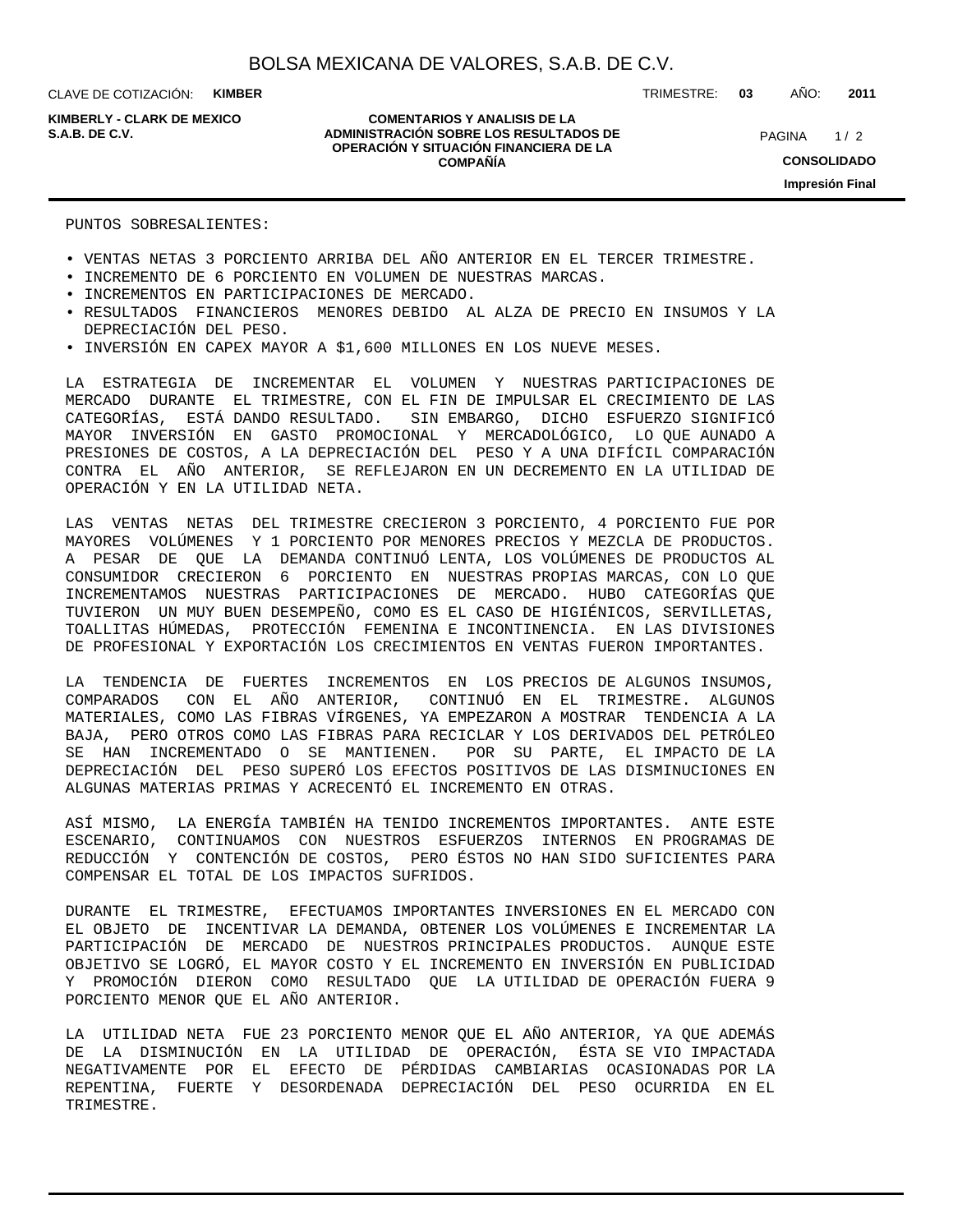**KIMBERLY - CLARK DE MEXICO**

#### **COMENTARIOS Y ANALISIS DE LA ADMINISTRACIÓN SOBRE LOS RESULTADOS DE S.A.B. DE C.V.** PAGINA / 2 **OPERACIÓN Y SITUACIÓN FINANCIERA DE LA COMPAÑÍA**

TRIMESTRE: **03** AÑO: **2011**

 $1/2$ **CONSOLIDADO Impresión Final**

PUNTOS SOBRESALIENTES:

- VENTAS NETAS 3 PORCIENTO ARRIBA DEL AÑO ANTERIOR EN EL TERCER TRIMESTRE.
- INCREMENTO DE 6 PORCIENTO EN VOLUMEN DE NUESTRAS MARCAS.
- INCREMENTOS EN PARTICIPACIONES DE MERCADO.
- RESULTADOS FINANCIEROS MENORES DEBIDO AL ALZA DE PRECIO EN INSUMOS Y LA DEPRECIACIÓN DEL PESO.
- INVERSIÓN EN CAPEX MAYOR A \$1,600 MILLONES EN LOS NUEVE MESES.

LA ESTRATEGIA DE INCREMENTAR EL VOLUMEN Y NUESTRAS PARTICIPACIONES DE MERCADO DURANTE EL TRIMESTRE, CON EL FIN DE IMPULSAR EL CRECIMIENTO DE LAS CATEGORÍAS, ESTÁ DANDO RESULTADO. SIN EMBARGO, DICHO ESFUERZO SIGNIFICÓ MAYOR INVERSIÓN EN GASTO PROMOCIONAL Y MERCADOLÓGICO, LO QUE AUNADO A PRESIONES DE COSTOS, A LA DEPRECIACIÓN DEL PESO Y A UNA DIFÍCIL COMPARACIÓN CONTRA EL AÑO ANTERIOR, SE REFLEJARON EN UN DECREMENTO EN LA UTILIDAD DE OPERACIÓN Y EN LA UTILIDAD NETA.

LAS VENTAS NETAS DEL TRIMESTRE CRECIERON 3 PORCIENTO, 4 PORCIENTO FUE POR MAYORES VOLÚMENES Y 1 PORCIENTO POR MENORES PRECIOS Y MEZCLA DE PRODUCTOS. A PESAR DE QUE LA DEMANDA CONTINUÓ LENTA, LOS VOLÚMENES DE PRODUCTOS AL CONSUMIDOR CRECIERON 6 PORCIENTO EN NUESTRAS PROPIAS MARCAS, CON LO QUE INCREMENTAMOS NUESTRAS PARTICIPACIONES DE MERCADO. HUBO CATEGORÍAS QUE TUVIERON UN MUY BUEN DESEMPEÑO, COMO ES EL CASO DE HIGIÉNICOS, SERVILLETAS, TOALLITAS HÚMEDAS, PROTECCIÓN FEMENINA E INCONTINENCIA. EN LAS DIVISIONES DE PROFESIONAL Y EXPORTACIÓN LOS CRECIMIENTOS EN VENTAS FUERON IMPORTANTES.

LA TENDENCIA DE FUERTES INCREMENTOS EN LOS PRECIOS DE ALGUNOS INSUMOS, COMPARADOS CON EL AÑO ANTERIOR, CONTINUÓ EN EL TRIMESTRE. ALGUNOS MATERIALES, COMO LAS FIBRAS VÍRGENES, YA EMPEZARON A MOSTRAR TENDENCIA A LA BAJA, PERO OTROS COMO LAS FIBRAS PARA RECICLAR Y LOS DERIVADOS DEL PETRÓLEO SE HAN INCREMENTADO O SE MANTIENEN. POR SU PARTE, EL IMPACTO DE LA DEPRECIACIÓN DEL PESO SUPERÓ LOS EFECTOS POSITIVOS DE LAS DISMINUCIONES EN ALGUNAS MATERIAS PRIMAS Y ACRECENTÓ EL INCREMENTO EN OTRAS.

ASÍ MISMO, LA ENERGÍA TAMBIÉN HA TENIDO INCREMENTOS IMPORTANTES. ANTE ESTE ESCENARIO, CONTINUAMOS CON NUESTROS ESFUERZOS INTERNOS EN PROGRAMAS DE REDUCCIÓN Y CONTENCIÓN DE COSTOS, PERO ÉSTOS NO HAN SIDO SUFICIENTES PARA COMPENSAR EL TOTAL DE LOS IMPACTOS SUFRIDOS.

DURANTE EL TRIMESTRE, EFECTUAMOS IMPORTANTES INVERSIONES EN EL MERCADO CON EL OBJETO DE INCENTIVAR LA DEMANDA, OBTENER LOS VOLÚMENES E INCREMENTAR LA PARTICIPACIÓN DE MERCADO DE NUESTROS PRINCIPALES PRODUCTOS. AUNQUE ESTE OBJETIVO SE LOGRÓ, EL MAYOR COSTO Y EL INCREMENTO EN INVERSIÓN EN PUBLICIDAD Y PROMOCIÓN DIERON COMO RESULTADO QUE LA UTILIDAD DE OPERACIÓN FUERA 9 PORCIENTO MENOR QUE EL AÑO ANTERIOR.

LA UTILIDAD NETA FUE 23 PORCIENTO MENOR QUE EL AÑO ANTERIOR, YA QUE ADEMÁS DE LA DISMINUCIÓN EN LA UTILIDAD DE OPERACIÓN, ÉSTA SE VIO IMPACTADA NEGATIVAMENTE POR EL EFECTO DE PÉRDIDAS CAMBIARIAS OCASIONADAS POR LA REPENTINA, FUERTE Y DESORDENADA DEPRECIACIÓN DEL PESO OCURRIDA EN EL TRIMESTRE.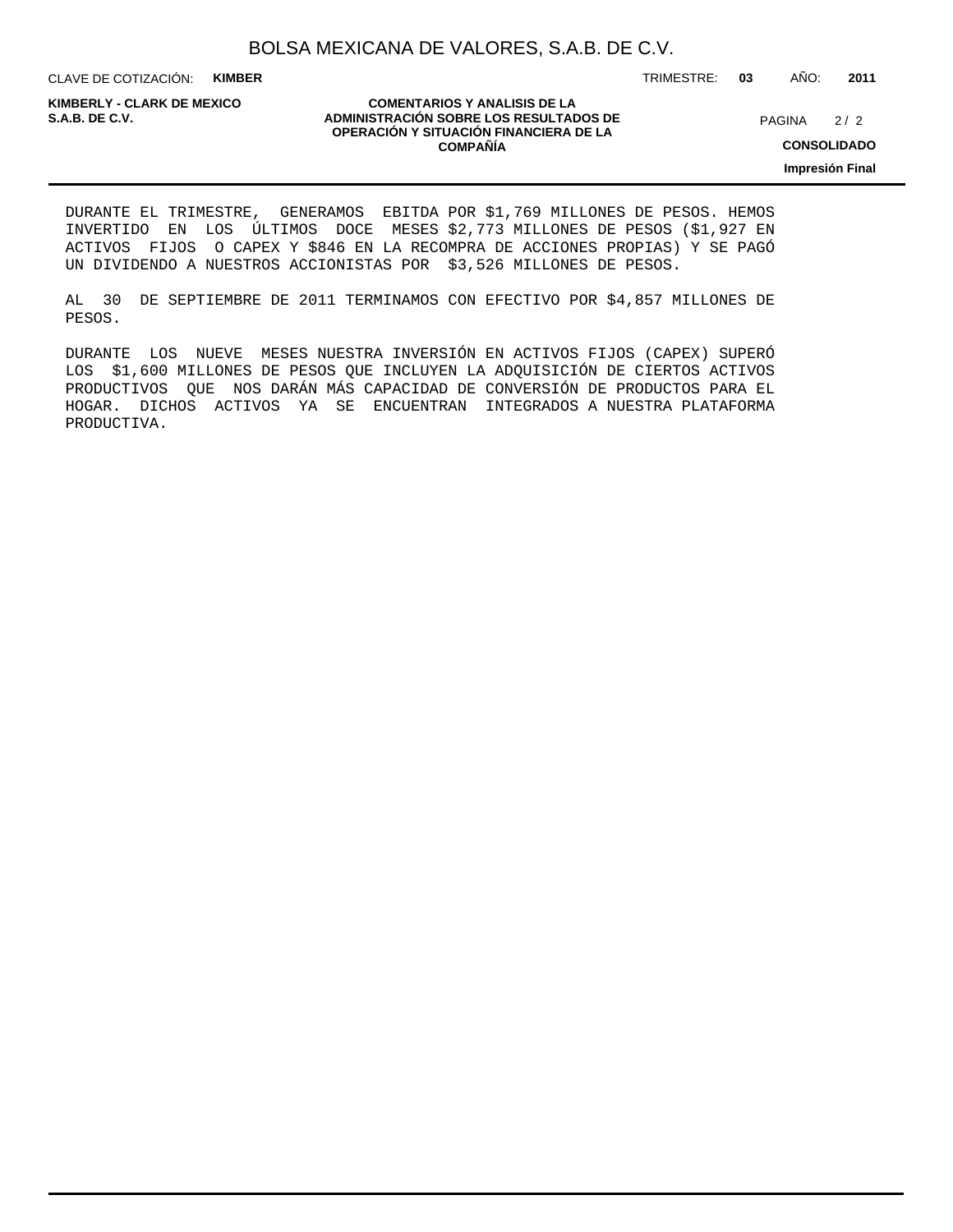CLAVE DE COTIZACIÓN: **KIMBER**

**KIMBERLY - CLARK DE MEXICO**

#### **COMENTARIOS Y ANALISIS DE LA ADMINISTRACIÓN SOBRE LOS RESULTADOS DE PAGINA 2/2 ADMINISTRACIÓN SOBRE LOS RESULTADOS DE** PAGINA 2/2 **OPERACIÓN Y SITUACIÓN FINANCIERA DE LA COMPAÑÍA**

 $2/2$ 

**CONSOLIDADO**

**Impresión Final**

DURANTE EL TRIMESTRE, GENERAMOS EBITDA POR \$1,769 MILLONES DE PESOS. HEMOS INVERTIDO EN LOS ÚLTIMOS DOCE MESES \$2,773 MILLONES DE PESOS (\$1,927 EN ACTIVOS FIJOS O CAPEX Y \$846 EN LA RECOMPRA DE ACCIONES PROPIAS) Y SE PAGÓ UN DIVIDENDO A NUESTROS ACCIONISTAS POR \$3,526 MILLONES DE PESOS.

AL 30 DE SEPTIEMBRE DE 2011 TERMINAMOS CON EFECTIVO POR \$4,857 MILLONES DE PESOS.

DURANTE LOS NUEVE MESES NUESTRA INVERSIÓN EN ACTIVOS FIJOS (CAPEX) SUPERÓ LOS \$1,600 MILLONES DE PESOS QUE INCLUYEN LA ADQUISICIÓN DE CIERTOS ACTIVOS PRODUCTIVOS QUE NOS DARÁN MÁS CAPACIDAD DE CONVERSIÓN DE PRODUCTOS PARA EL HOGAR. DICHOS ACTIVOS YA SE ENCUENTRAN INTEGRADOS A NUESTRA PLATAFORMA PRODUCTIVA.

TRIMESTRE: **03** AÑO: **2011**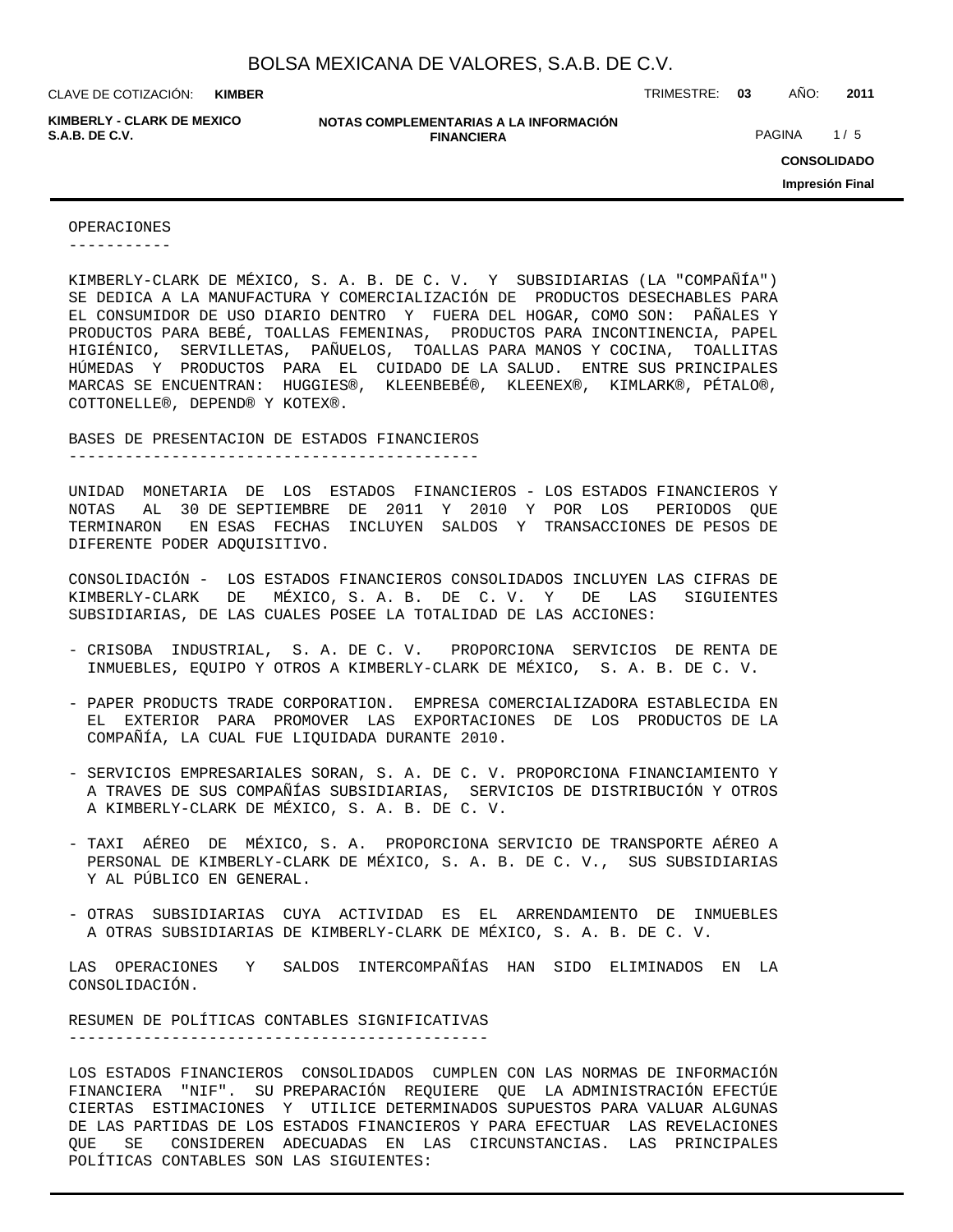**KIMBER**

**KIMBERLY - CLARK DE MEXICO**

#### **NOTAS COMPLEMENTARIAS A LA INFORMACIÓN FINANCIERA S.A.B. DE C.V.** PAGINA 1/5

CLAVE DE COTIZACIÓN: TRIMESTRE: **03** AÑO: **2011**

**CONSOLIDADO Impresión Final**

#### OPERACIONES

-----------

KIMBERLY-CLARK DE MÉXICO, S. A. B. DE C. V. Y SUBSIDIARIAS (LA "COMPAÑÍA") SE DEDICA A LA MANUFACTURA Y COMERCIALIZACIÓN DE PRODUCTOS DESECHABLES PARA EL CONSUMIDOR DE USO DIARIO DENTRO Y FUERA DEL HOGAR, COMO SON: PAÑALES Y PRODUCTOS PARA BEBÉ, TOALLAS FEMENINAS, PRODUCTOS PARA INCONTINENCIA, PAPEL HIGIÉNICO, SERVILLETAS, PAÑUELOS, TOALLAS PARA MANOS Y COCINA, TOALLITAS HÚMEDAS Y PRODUCTOS PARA EL CUIDADO DE LA SALUD. ENTRE SUS PRINCIPALES MARCAS SE ENCUENTRAN: HUGGIES®, KLEENBEBÉ®, KLEENEX®, KIMLARK®, PÉTALO®, COTTONELLE®, DEPEND® Y KOTEX®.

BASES DE PRESENTACION DE ESTADOS FINANCIEROS

--------------------------------------------

UNIDAD MONETARIA DE LOS ESTADOS FINANCIEROS - LOS ESTADOS FINANCIEROS Y NOTAS AL 30 DE SEPTIEMBRE DE 2011 Y 2010 Y POR LOS PERIODOS QUE TERMINARON EN ESAS FECHAS INCLUYEN SALDOS Y TRANSACCIONES DE PESOS DE DIFERENTE PODER ADQUISITIVO.

CONSOLIDACIÓN - LOS ESTADOS FINANCIEROS CONSOLIDADOS INCLUYEN LAS CIFRAS DE KIMBERLY-CLARK DE MÉXICO, S. A. B. DE C. V. Y DE LAS SIGUIENTES SUBSIDIARIAS, DE LAS CUALES POSEE LA TOTALIDAD DE LAS ACCIONES:

- CRISOBA INDUSTRIAL, S. A. DE C. V. PROPORCIONA SERVICIOS DE RENTA DE INMUEBLES, EQUIPO Y OTROS A KIMBERLY-CLARK DE MÉXICO, S. A. B. DE C. V.
- PAPER PRODUCTS TRADE CORPORATION. EMPRESA COMERCIALIZADORA ESTABLECIDA EN EL EXTERIOR PARA PROMOVER LAS EXPORTACIONES DE LOS PRODUCTOS DE LA COMPAÑÍA, LA CUAL FUE LIQUIDADA DURANTE 2010.
- SERVICIOS EMPRESARIALES SORAN, S. A. DE C. V. PROPORCIONA FINANCIAMIENTO Y A TRAVES DE SUS COMPAÑÍAS SUBSIDIARIAS, SERVICIOS DE DISTRIBUCIÓN Y OTROS A KIMBERLY-CLARK DE MÉXICO, S. A. B. DE C. V.
- TAXI AÉREO DE MÉXICO, S. A. PROPORCIONA SERVICIO DE TRANSPORTE AÉREO A PERSONAL DE KIMBERLY-CLARK DE MÉXICO, S. A. B. DE C. V., SUS SUBSIDIARIAS Y AL PÚBLICO EN GENERAL.
- OTRAS SUBSIDIARIAS CUYA ACTIVIDAD ES EL ARRENDAMIENTO DE INMUEBLES A OTRAS SUBSIDIARIAS DE KIMBERLY-CLARK DE MÉXICO, S. A. B. DE C. V.

LAS OPERACIONES Y SALDOS INTERCOMPAÑÍAS HAN SIDO ELIMINADOS EN LA CONSOLIDACIÓN.

RESUMEN DE POLÍTICAS CONTABLES SIGNIFICATIVAS ---------------------------------------------

LOS ESTADOS FINANCIEROS CONSOLIDADOS CUMPLEN CON LAS NORMAS DE INFORMACIÓN FINANCIERA "NIF". SU PREPARACIÓN REQUIERE QUE LA ADMINISTRACIÓN EFECTÚE CIERTAS ESTIMACIONES Y UTILICE DETERMINADOS SUPUESTOS PARA VALUAR ALGUNAS DE LAS PARTIDAS DE LOS ESTADOS FINANCIEROS Y PARA EFECTUAR LAS REVELACIONES QUE SE CONSIDEREN ADECUADAS EN LAS CIRCUNSTANCIAS. LAS PRINCIPALES POLÍTICAS CONTABLES SON LAS SIGUIENTES: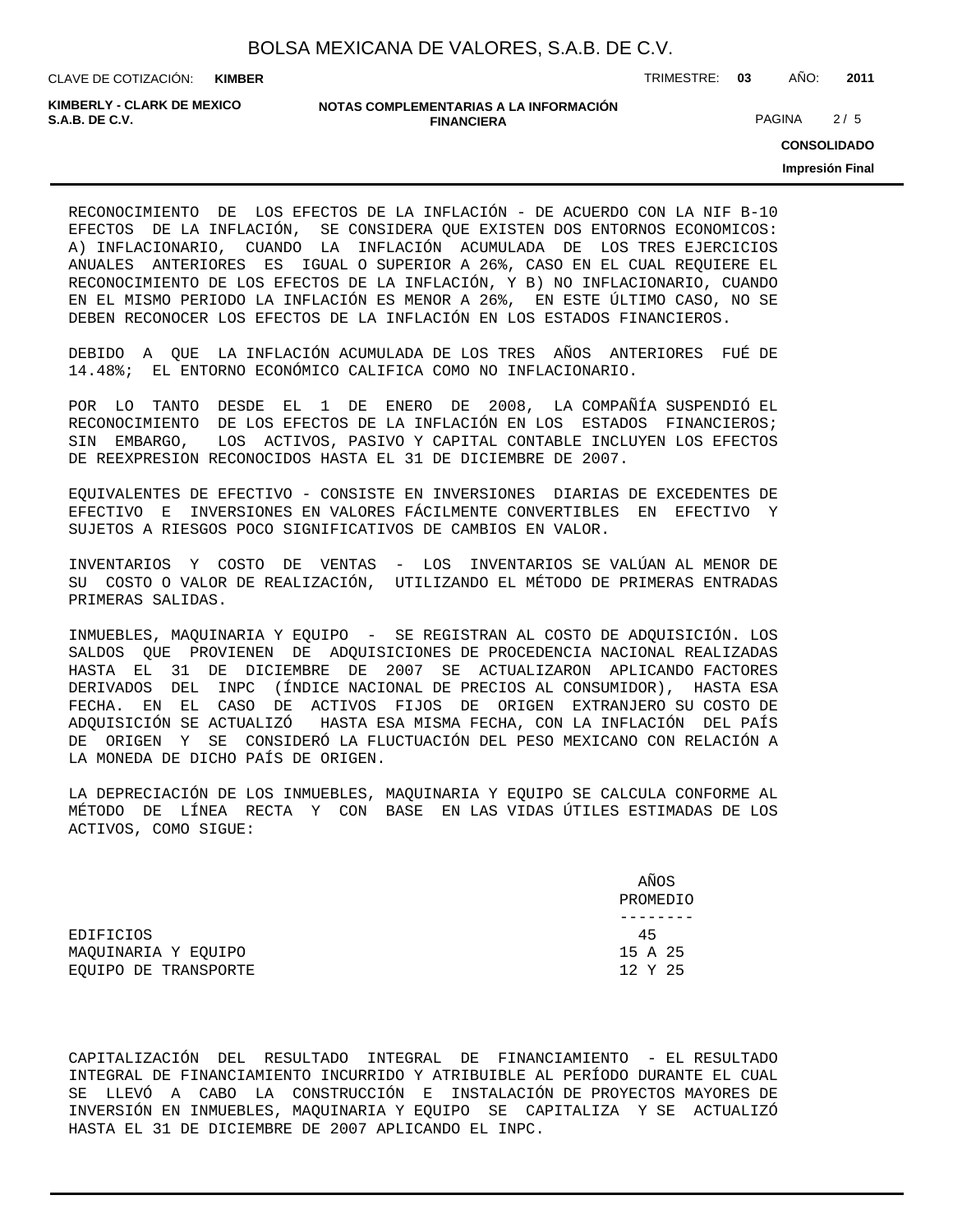**KIMBER**

CLAVE DE COTIZACIÓN: TRIMESTRE: **03** AÑO: **2011**

**KIMBERLY - CLARK DE MEXICO**

#### **NOTAS COMPLEMENTARIAS A LA INFORMACIÓN FINANCIERA S.A.B. DE C.V.** PAGINA 2 / 5

**CONSOLIDADO**

**Impresión Final**

RECONOCIMIENTO DE LOS EFECTOS DE LA INFLACIÓN - DE ACUERDO CON LA NIF B-10 EFECTOS DE LA INFLACIÓN, SE CONSIDERA QUE EXISTEN DOS ENTORNOS ECONOMICOS: A) INFLACIONARIO, CUANDO LA INFLACIÓN ACUMULADA DE LOS TRES EJERCICIOS ANUALES ANTERIORES ES IGUAL O SUPERIOR A 26%, CASO EN EL CUAL REQUIERE EL RECONOCIMIENTO DE LOS EFECTOS DE LA INFLACIÓN, Y B) NO INFLACIONARIO, CUANDO EN EL MISMO PERIODO LA INFLACIÓN ES MENOR A 26%, EN ESTE ÚLTIMO CASO, NO SE DEBEN RECONOCER LOS EFECTOS DE LA INFLACIÓN EN LOS ESTADOS FINANCIEROS.

DEBIDO A QUE LA INFLACIÓN ACUMULADA DE LOS TRES AÑOS ANTERIORES FUÉ DE 14.48%; EL ENTORNO ECONÓMICO CALIFICA COMO NO INFLACIONARIO.

POR LO TANTO DESDE EL 1 DE ENERO DE 2008, LA COMPAÑÍA SUSPENDIÓ EL RECONOCIMIENTO DE LOS EFECTOS DE LA INFLACIÓN EN LOS ESTADOS FINANCIEROS; SIN EMBARGO, LOS ACTIVOS, PASIVO Y CAPITAL CONTABLE INCLUYEN LOS EFECTOS DE REEXPRESION RECONOCIDOS HASTA EL 31 DE DICIEMBRE DE 2007.

EQUIVALENTES DE EFECTIVO - CONSISTE EN INVERSIONES DIARIAS DE EXCEDENTES DE EFECTIVO E INVERSIONES EN VALORES FÁCILMENTE CONVERTIBLES EN EFECTIVO Y SUJETOS A RIESGOS POCO SIGNIFICATIVOS DE CAMBIOS EN VALOR.

INVENTARIOS Y COSTO DE VENTAS - LOS INVENTARIOS SE VALÚAN AL MENOR DE SU COSTO O VALOR DE REALIZACIÓN, UTILIZANDO EL MÉTODO DE PRIMERAS ENTRADAS PRIMERAS SALIDAS.

INMUEBLES, MAQUINARIA Y EQUIPO - SE REGISTRAN AL COSTO DE ADQUISICIÓN. LOS SALDOS QUE PROVIENEN DE ADQUISICIONES DE PROCEDENCIA NACIONAL REALIZADAS HASTA EL 31 DE DICIEMBRE DE 2007 SE ACTUALIZARON APLICANDO FACTORES DERIVADOS DEL INPC (ÍNDICE NACIONAL DE PRECIOS AL CONSUMIDOR), HASTA ESA FECHA. EN EL CASO DE ACTIVOS FIJOS DE ORIGEN EXTRANJERO SU COSTO DE ADQUISICIÓN SE ACTUALIZÓ HASTA ESA MISMA FECHA, CON LA INFLACIÓN DEL PAÍS DE ORIGEN Y SE CONSIDERÓ LA FLUCTUACIÓN DEL PESO MEXICANO CON RELACIÓN A LA MONEDA DE DICHO PAÍS DE ORIGEN.

LA DEPRECIACIÓN DE LOS INMUEBLES, MAQUINARIA Y EQUIPO SE CALCULA CONFORME AL MÉTODO DE LÍNEA RECTA Y CON BASE EN LAS VIDAS ÚTILES ESTIMADAS DE LOS ACTIVOS, COMO SIGUE:

|                      | AÑOS     |
|----------------------|----------|
|                      | PROMEDIO |
|                      |          |
| EDIFICIOS            | 45       |
| MAOUINARIA Y EOUIPO  | 15 A 25  |
| EOUIPO DE TRANSPORTE | 12 Y 25  |

CAPITALIZACIÓN DEL RESULTADO INTEGRAL DE FINANCIAMIENTO - EL RESULTADO INTEGRAL DE FINANCIAMIENTO INCURRIDO Y ATRIBUIBLE AL PERÍODO DURANTE EL CUAL SE LLEVÓ A CABO LA CONSTRUCCIÓN E INSTALACIÓN DE PROYECTOS MAYORES DE INVERSIÓN EN INMUEBLES, MAQUINARIA Y EQUIPO SE CAPITALIZA Y SE ACTUALIZÓ HASTA EL 31 DE DICIEMBRE DE 2007 APLICANDO EL INPC.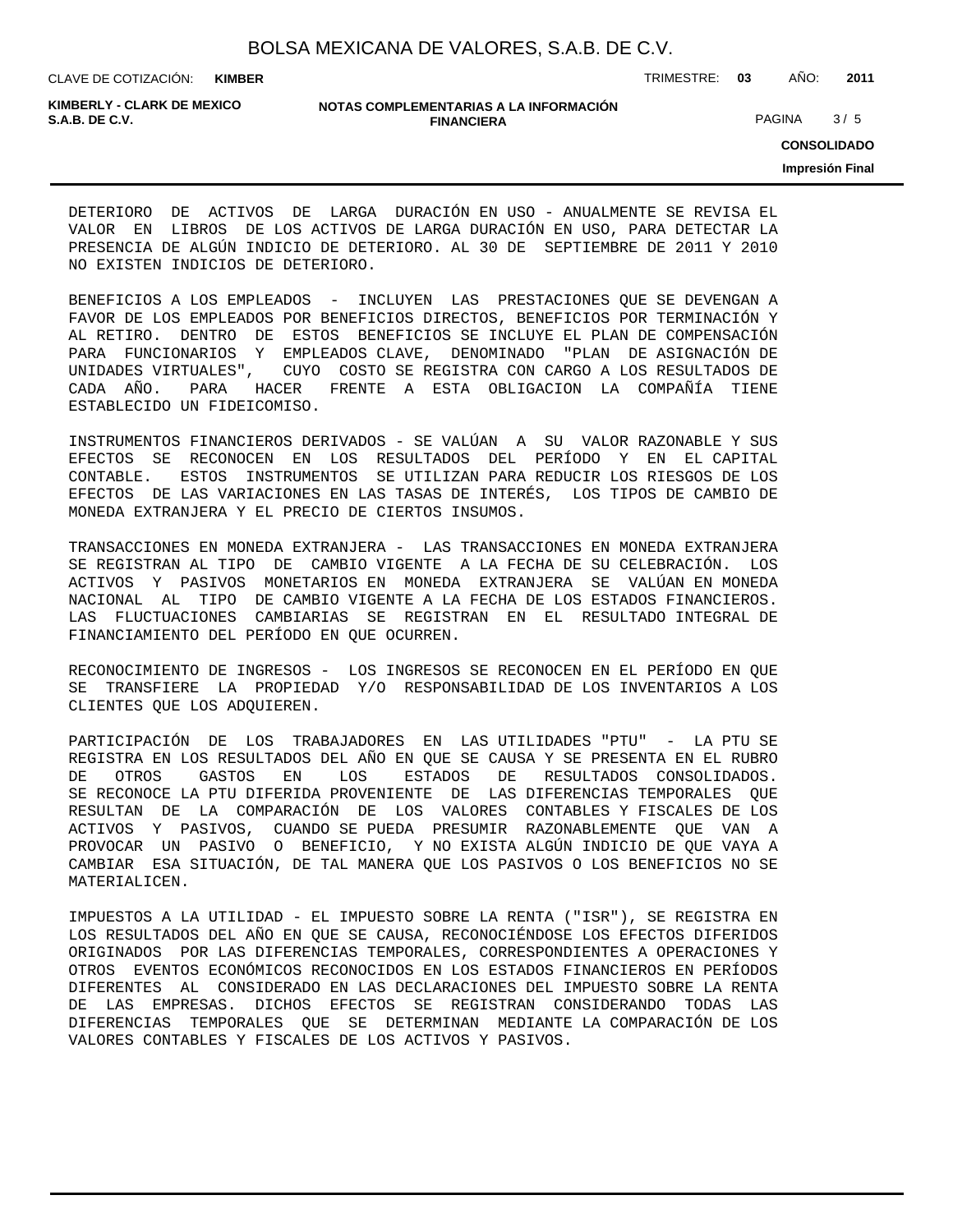| BOLSA MEXICANA DE VALORES, S.A.B. DE C.V. |  |  |
|-------------------------------------------|--|--|
|                                           |  |  |

CLAVE DE COTIZACIÓN: TRIMESTRE: **03** AÑO: **2011 KIMBER**

**KIMBERLY - CLARK DE MEXICO**

#### **NOTAS COMPLEMENTARIAS A LA INFORMACIÓN FINANCIERA S.A.B. DE C.V.** PAGINA 3 / 5

**CONSOLIDADO**

**Impresión Final**

DETERIORO DE ACTIVOS DE LARGA DURACIÓN EN USO - ANUALMENTE SE REVISA EL VALOR EN LIBROS DE LOS ACTIVOS DE LARGA DURACIÓN EN USO, PARA DETECTAR LA PRESENCIA DE ALGÚN INDICIO DE DETERIORO. AL 30 DE SEPTIEMBRE DE 2011 Y 2010 NO EXISTEN INDICIOS DE DETERIORO.

BENEFICIOS A LOS EMPLEADOS - INCLUYEN LAS PRESTACIONES QUE SE DEVENGAN A FAVOR DE LOS EMPLEADOS POR BENEFICIOS DIRECTOS, BENEFICIOS POR TERMINACIÓN Y AL RETIRO. DENTRO DE ESTOS BENEFICIOS SE INCLUYE EL PLAN DE COMPENSACIÓN PARA FUNCIONARIOS Y EMPLEADOS CLAVE, DENOMINADO "PLAN DE ASIGNACIÓN DE UNIDADES VIRTUALES", CUYO COSTO SE REGISTRA CON CARGO A LOS RESULTADOS DE CADA AÑO. PARA HACER FRENTE A ESTA OBLIGACION LA COMPAÑÍA TIENE ESTABLECIDO UN FIDEICOMISO.

INSTRUMENTOS FINANCIEROS DERIVADOS - SE VALÚAN A SU VALOR RAZONABLE Y SUS EFECTOS SE RECONOCEN EN LOS RESULTADOS DEL PERÍODO Y EN EL CAPITAL CONTABLE. ESTOS INSTRUMENTOS SE UTILIZAN PARA REDUCIR LOS RIESGOS DE LOS EFECTOS DE LAS VARIACIONES EN LAS TASAS DE INTERÉS, LOS TIPOS DE CAMBIO DE MONEDA EXTRANJERA Y EL PRECIO DE CIERTOS INSUMOS.

TRANSACCIONES EN MONEDA EXTRANJERA - LAS TRANSACCIONES EN MONEDA EXTRANJERA SE REGISTRAN AL TIPO DE CAMBIO VIGENTE A LA FECHA DE SU CELEBRACIÓN. LOS ACTIVOS Y PASIVOS MONETARIOS EN MONEDA EXTRANJERA SE VALÚAN EN MONEDA NACIONAL AL TIPO DE CAMBIO VIGENTE A LA FECHA DE LOS ESTADOS FINANCIEROS. LAS FLUCTUACIONES CAMBIARIAS SE REGISTRAN EN EL RESULTADO INTEGRAL DE FINANCIAMIENTO DEL PERÍODO EN QUE OCURREN.

RECONOCIMIENTO DE INGRESOS - LOS INGRESOS SE RECONOCEN EN EL PERÍODO EN QUE SE TRANSFIERE LA PROPIEDAD Y/O RESPONSABILIDAD DE LOS INVENTARIOS A LOS CLIENTES QUE LOS ADQUIEREN.

PARTICIPACIÓN DE LOS TRABAJADORES EN LAS UTILIDADES "PTU" - LA PTU SE REGISTRA EN LOS RESULTADOS DEL AÑO EN QUE SE CAUSA Y SE PRESENTA EN EL RUBRO DE OTROS GASTOS EN LOS ESTADOS DE RESULTADOS CONSOLIDADOS. SE RECONOCE LA PTU DIFERIDA PROVENIENTE DE LAS DIFERENCIAS TEMPORALES QUE RESULTAN DE LA COMPARACIÓN DE LOS VALORES CONTABLES Y FISCALES DE LOS ACTIVOS Y PASIVOS, CUANDO SE PUEDA PRESUMIR RAZONABLEMENTE QUE VAN A PROVOCAR UN PASIVO O BENEFICIO, Y NO EXISTA ALGÚN INDICIO DE QUE VAYA A CAMBIAR ESA SITUACIÓN, DE TAL MANERA QUE LOS PASIVOS O LOS BENEFICIOS NO SE MATERIALICEN.

IMPUESTOS A LA UTILIDAD - EL IMPUESTO SOBRE LA RENTA ("ISR"), SE REGISTRA EN LOS RESULTADOS DEL AÑO EN QUE SE CAUSA, RECONOCIÉNDOSE LOS EFECTOS DIFERIDOS ORIGINADOS POR LAS DIFERENCIAS TEMPORALES, CORRESPONDIENTES A OPERACIONES Y OTROS EVENTOS ECONÓMICOS RECONOCIDOS EN LOS ESTADOS FINANCIEROS EN PERÍODOS DIFERENTES AL CONSIDERADO EN LAS DECLARACIONES DEL IMPUESTO SOBRE LA RENTA DE LAS EMPRESAS. DICHOS EFECTOS SE REGISTRAN CONSIDERANDO TODAS LAS DIFERENCIAS TEMPORALES QUE SE DETERMINAN MEDIANTE LA COMPARACIÓN DE LOS VALORES CONTABLES Y FISCALES DE LOS ACTIVOS Y PASIVOS.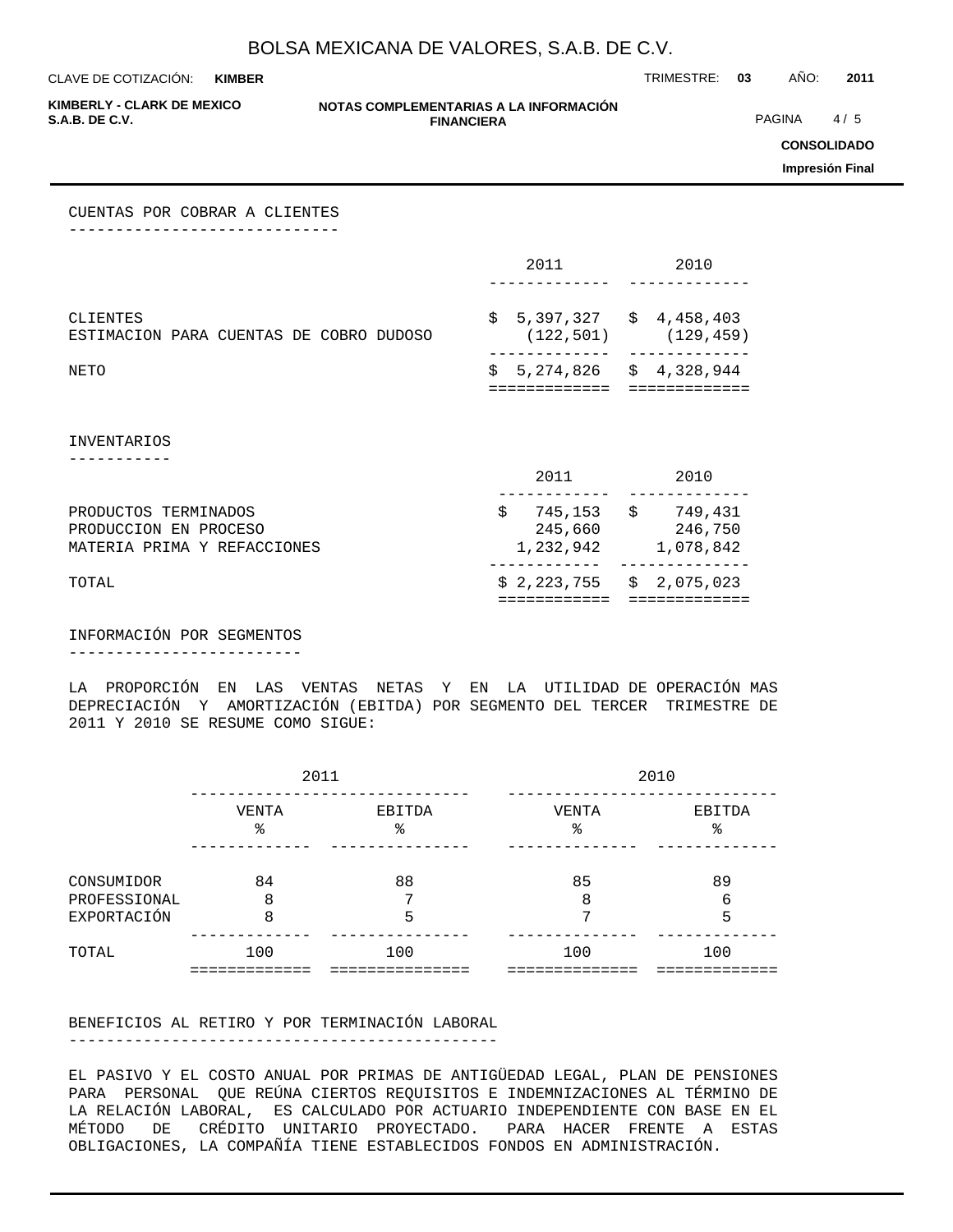**KIMBER**

CLAVE DE COTIZACIÓN: TRIMESTRE: **03** AÑO: **2011**

**KIMBERLY - CLARK DE MEXICO**

#### **NOTAS COMPLEMENTARIAS A LA INFORMACIÓN FINANCIERA**

**PAGINA** 4/5

**CONSOLIDADO**

**Impresión Final**

CUENTAS POR COBRAR A CLIENTES -----------------------------

|                                                                              | 2011                                       | 2010                                       |
|------------------------------------------------------------------------------|--------------------------------------------|--------------------------------------------|
| CLIENTES<br>ESTIMACION PARA CUENTAS DE COBRO DUDOSO                          | $$5,397,327$ $$4,458,403$<br>(122, 501)    | (129, 459)                                 |
| NETO                                                                         | $$5,274,826$ $$4,328,944$<br>:============ | ============                               |
| <b>INVENTARIOS</b>                                                           |                                            |                                            |
|                                                                              | 2011                                       | 2010                                       |
| PRODUCTOS TERMINADOS<br>PRODUCCION EN PROCESO<br>MATERIA PRIMA Y REFACCIONES | \$<br>245,660<br>1,232,942                 | 745,153 \$ 749,431<br>246,750<br>1,078,842 |
| TOTAL                                                                        | $$2,223,755$ $$2,075,023$<br>============  | =============                              |

INFORMACIÓN POR SEGMENTOS -------------------------

LA PROPORCIÓN EN LAS VENTAS NETAS Y EN LA UTILIDAD DE OPERACIÓN MAS DEPRECIACIÓN Y AMORTIZACIÓN (EBITDA) POR SEGMENTO DEL TERCER TRIMESTRE DE 2011 Y 2010 SE RESUME COMO SIGUE:

|                             |             | 2011         | 2010        |              |  |  |  |
|-----------------------------|-------------|--------------|-------------|--------------|--|--|--|
|                             | VENTA<br>ిన | EBITDA<br>နွ | VENTA<br>٩, | EBITDA<br>ిన |  |  |  |
| CONSUMIDOR                  | 84          | 88<br>⇁      | 85          | 89           |  |  |  |
| PROFESSIONAL<br>EXPORTACIÓN | 8<br>8      | 5            | 8<br>⇁      | 6<br>5       |  |  |  |
| TOTAL                       | 100         | 100          | 100         | 100          |  |  |  |

BENEFICIOS AL RETIRO Y POR TERMINACIÓN LABORAL

----------------------------------------------

EL PASIVO Y EL COSTO ANUAL POR PRIMAS DE ANTIGÜEDAD LEGAL, PLAN DE PENSIONES PARA PERSONAL QUE REÚNA CIERTOS REQUISITOS E INDEMNIZACIONES AL TÉRMINO DE LA RELACIÓN LABORAL, ES CALCULADO POR ACTUARIO INDEPENDIENTE CON BASE EN EL MÉTODO DE CRÉDITO UNITARIO PROYECTADO. PARA HACER FRENTE A ESTAS OBLIGACIONES, LA COMPAÑÍA TIENE ESTABLECIDOS FONDOS EN ADMINISTRACIÓN.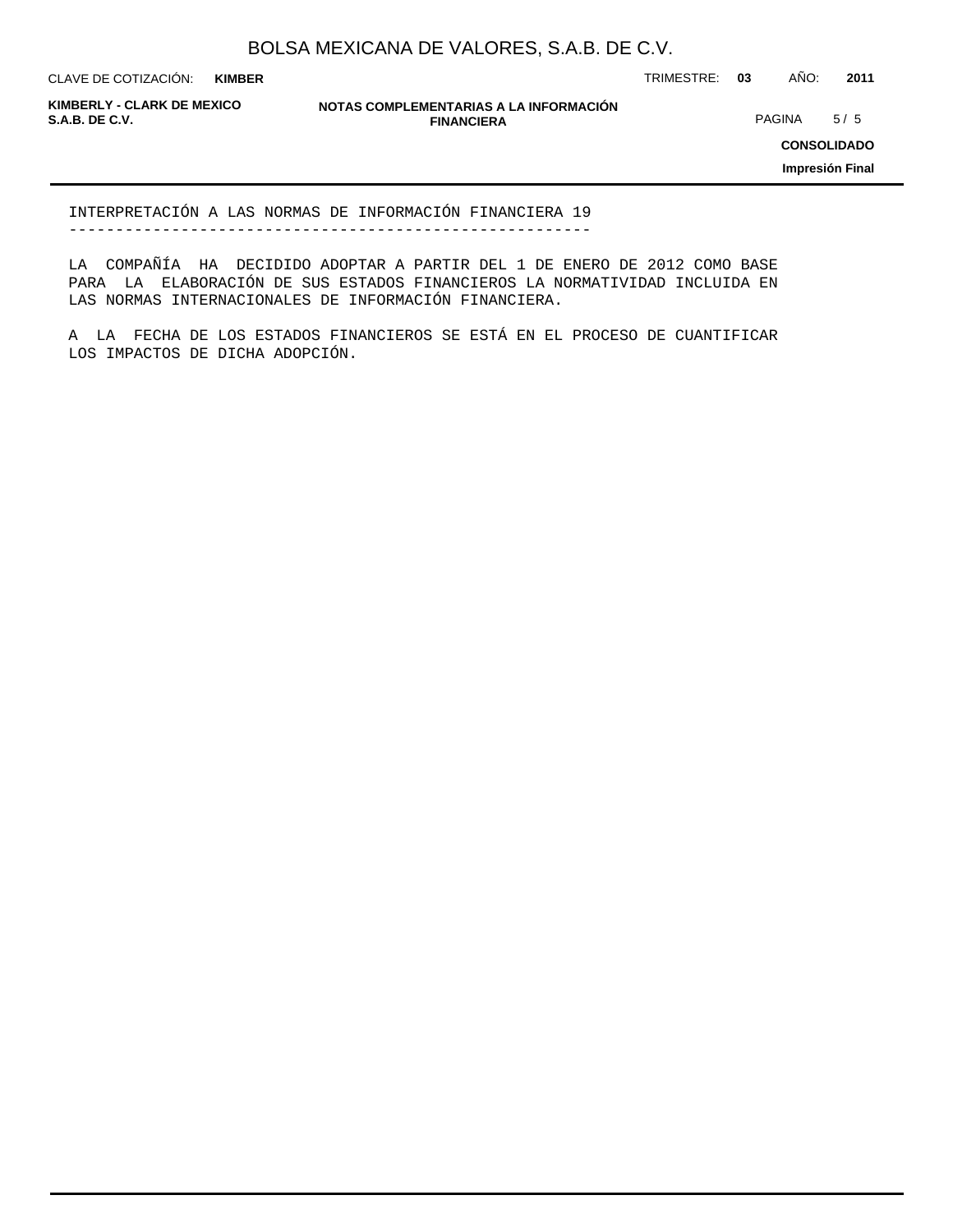**KIMBER**

CLAVE DE COTIZACIÓN: TRIMESTRE: **03** AÑO: **2011**

**KIMBERLY - CLARK DE MEXICO**

**NOTAS COMPLEMENTARIAS A LA INFORMACIÓN FINANCIERA S.A.B. DE C.V.** PAGINA 5 / 5

**CONSOLIDADO**

**Impresión Final**

INTERPRETACIÓN A LAS NORMAS DE INFORMACIÓN FINANCIERA 19 --------------------------------------------------------

LA COMPAÑÍA HA DECIDIDO ADOPTAR A PARTIR DEL 1 DE ENERO DE 2012 COMO BASE PARA LA ELABORACIÓN DE SUS ESTADOS FINANCIEROS LA NORMATIVIDAD INCLUIDA EN LAS NORMAS INTERNACIONALES DE INFORMACIÓN FINANCIERA.

A LA FECHA DE LOS ESTADOS FINANCIEROS SE ESTÁ EN EL PROCESO DE CUANTIFICAR LOS IMPACTOS DE DICHA ADOPCIÓN.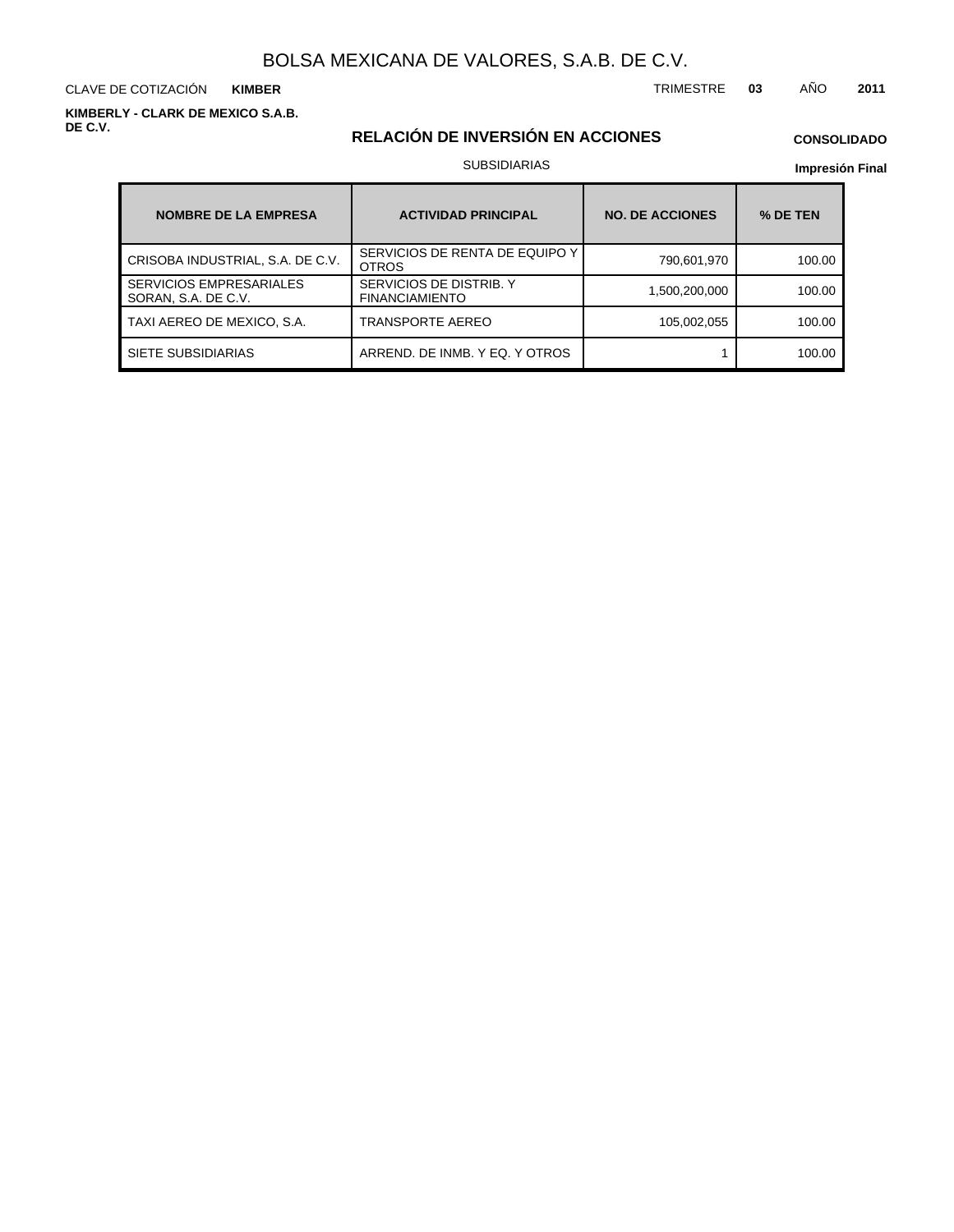CLAVE DE COTIZACIÓN TRIMESTRE **03** AÑO **2011 KIMBER**

**KIMBERLY - CLARK DE MEXICO S.A.B. DE C.V.**

## **RELACIÓN DE INVERSIÓN EN ACCIONES**

## **CONSOLIDADO**

### SUBSIDIARIAS

| <b>NOMBRE DE LA EMPRESA</b>                           | <b>ACTIVIDAD PRINCIPAL</b>                       | <b>NO. DE ACCIONES</b> | % DE TEN |  |  |
|-------------------------------------------------------|--------------------------------------------------|------------------------|----------|--|--|
| CRISOBA INDUSTRIAL, S.A. DE C.V.                      | SERVICIOS DE RENTA DE EQUIPO Y<br><b>OTROS</b>   | 790,601,970            | 100.00   |  |  |
| <b>SERVICIOS EMPRESARIALES</b><br>SORAN, S.A. DE C.V. | SERVICIOS DE DISTRIB. Y<br><b>FINANCIAMIENTO</b> | 1,500,200,000          | 100.00   |  |  |
| TAXI AEREO DE MEXICO, S.A.                            | <b>TRANSPORTE AEREO</b>                          | 105,002,055            | 100.00   |  |  |
| SIETE SUBSIDIARIAS                                    | ARREND. DE INMB. Y EQ. Y OTROS                   |                        | 100.00   |  |  |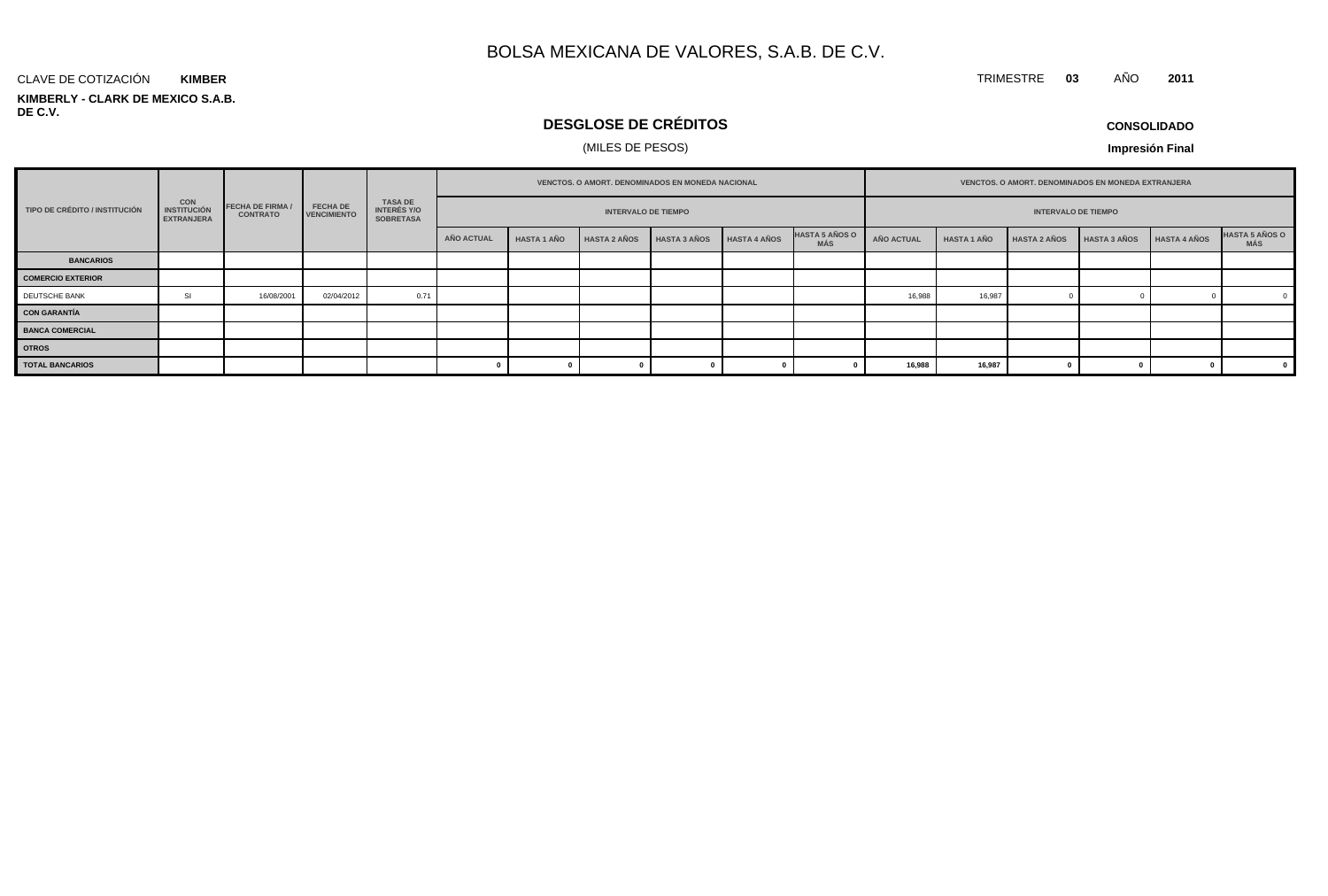#### **KIMBERLY - CLARK DE MEXICO S.A.B. DE C.V.** CLAVE DE COTIZACIÓN **KIMBER**

## **DESGLOSE DE CRÉDITOS**

## (MILES DE PESOS)

**CONSOLIDADO**

**Impresión Final**

|                               | CON<br><b>INSTITUCIÓN</b><br><b>EXTRANJERA</b> | <b>FECHA DE FIRMA /</b><br><b>CONTRATO</b> |                                       | TASA DE<br>INTERÉS Y/O<br><b>SOBRETASA</b> |            | <b>VENCTOS, O AMORT, DENOMINADOS EN MONEDA NACIONAL</b> |                     |                     |                     |                              | <b>VENCTOS, O AMORT, DENOMINADOS EN MONEDA EXTRANJERA</b> |                    |                     |                     |                     |                               |
|-------------------------------|------------------------------------------------|--------------------------------------------|---------------------------------------|--------------------------------------------|------------|---------------------------------------------------------|---------------------|---------------------|---------------------|------------------------------|-----------------------------------------------------------|--------------------|---------------------|---------------------|---------------------|-------------------------------|
| TIPO DE CRÉDITO / INSTITUCIÓN |                                                |                                            | <b>FECHA DE</b><br><b>VENCIMIENTO</b> |                                            |            | <b>INTERVALO DE TIEMPO</b>                              |                     |                     |                     |                              | <b>INTERVALO DE TIEMPO</b>                                |                    |                     |                     |                     |                               |
|                               |                                                |                                            |                                       |                                            | AÑO ACTUAL | <b>HASTA 1 AÑO</b>                                      | <b>HASTA 2 AÑOS</b> | <b>HASTA 3 AÑOS</b> | <b>HASTA 4 AÑOS</b> | <b>HASTA 5 AÑOS O</b><br>MÁS | <b>AÑO ACTUAL</b>                                         | <b>HASTA 1 AÑO</b> | <b>HASTA 2 AÑOS</b> | <b>HASTA 3 AÑOS</b> | <b>HASTA 4 AÑOS</b> | <b>HASTA 5 AÑOS O<br/>MÁS</b> |
| <b>BANCARIOS</b>              |                                                |                                            |                                       |                                            |            |                                                         |                     |                     |                     |                              |                                                           |                    |                     |                     |                     |                               |
| <b>COMERCIO EXTERIOR</b>      |                                                |                                            |                                       |                                            |            |                                                         |                     |                     |                     |                              |                                                           |                    |                     |                     |                     |                               |
| DEUTSCHE BANK                 | SI                                             | 16/08/2001                                 | 02/04/2012                            | 0.71                                       |            |                                                         |                     |                     |                     |                              | 16,988                                                    | 16,987             |                     |                     |                     |                               |
| <b>CON GARANTÍA</b>           |                                                |                                            |                                       |                                            |            |                                                         |                     |                     |                     |                              |                                                           |                    |                     |                     |                     |                               |
| <b>BANCA COMERCIAL</b>        |                                                |                                            |                                       |                                            |            |                                                         |                     |                     |                     |                              |                                                           |                    |                     |                     |                     |                               |
| <b>OTROS</b>                  |                                                |                                            |                                       |                                            |            |                                                         |                     |                     |                     |                              |                                                           |                    |                     |                     |                     |                               |
| <b>TOTAL BANCARIOS</b>        |                                                |                                            |                                       |                                            |            |                                                         |                     |                     |                     |                              | 16,98                                                     | 16,987             |                     |                     |                     |                               |

TRIMESTRE **03** AÑO **2011**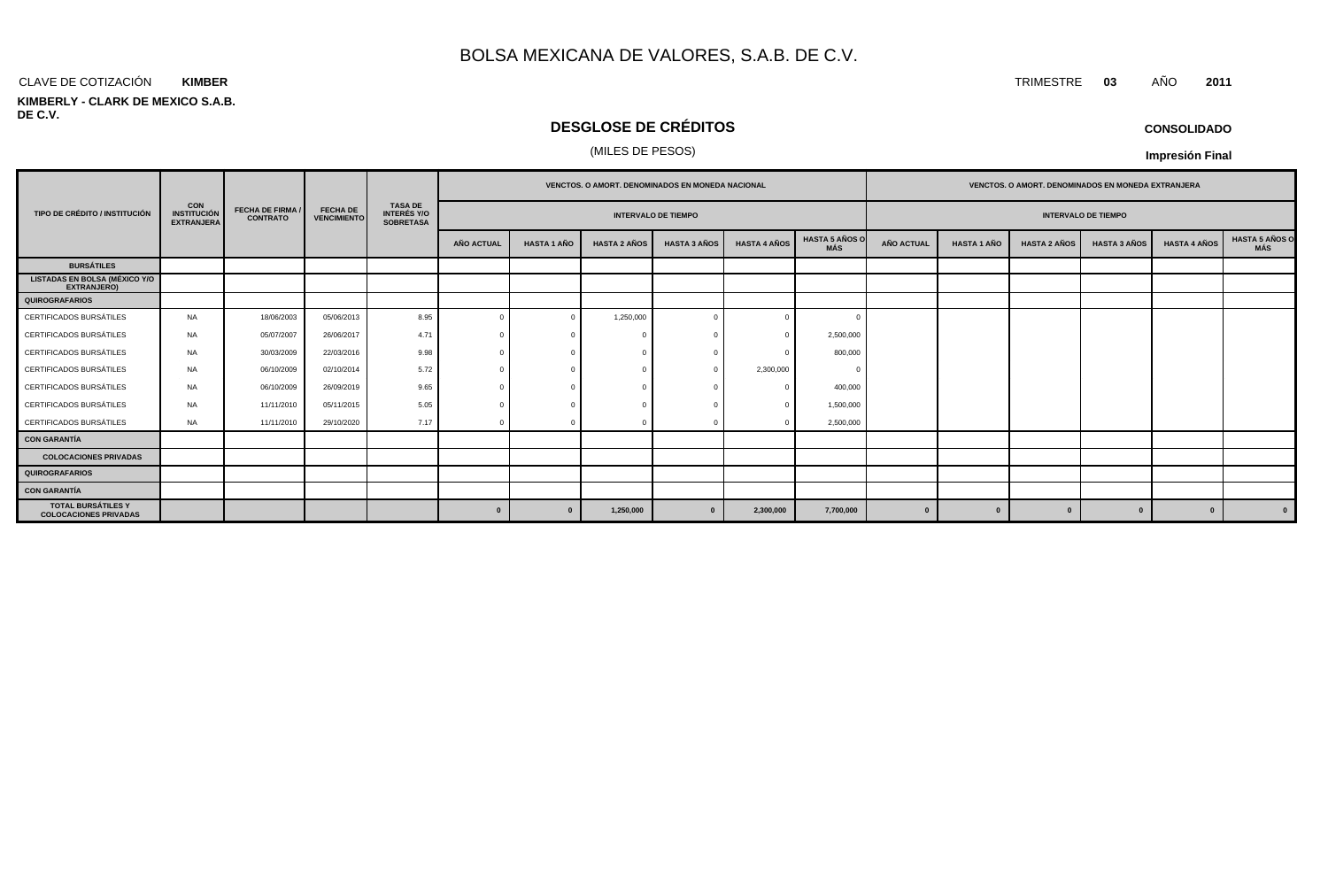#### CLAVE DE COTIZACIÓN TRIMESTRE **03** AÑO **2011 KIMBER**

#### **KIMBERLY - CLARK DE MEXICO S.A.B. DE C.V.**

## **DESGLOSE DE CRÉDITOS**

## (MILES DE PESOS)

| <b>CONSOLIDADO</b> |  |
|--------------------|--|
|--------------------|--|

|                                                            |                                                       |                                            |                                       | <b>TASA DE</b><br><b>INTERÉS Y/O</b><br><b>SOBRETASA</b> | <b>VENCTOS, O AMORT, DENOMINADOS EN MONEDA NACIONAL</b> |                    |                     |                     |                     | <b>VENCTOS, O AMORT, DENOMINADOS EN MONEDA EXTRANJERA</b> |                            |                    |                     |                     |                     |                                     |
|------------------------------------------------------------|-------------------------------------------------------|--------------------------------------------|---------------------------------------|----------------------------------------------------------|---------------------------------------------------------|--------------------|---------------------|---------------------|---------------------|-----------------------------------------------------------|----------------------------|--------------------|---------------------|---------------------|---------------------|-------------------------------------|
| TIPO DE CRÉDITO / INSTITUCIÓN                              | <b>CON</b><br><b>INSTITUCIÓN</b><br><b>EXTRANJERA</b> | <b>FECHA DE FIRMA /</b><br><b>CONTRATO</b> | <b>FECHA DE</b><br><b>VENCIMIENTO</b> |                                                          | <b>INTERVALO DE TIEMPO</b>                              |                    |                     |                     |                     |                                                           | <b>INTERVALO DE TIEMPO</b> |                    |                     |                     |                     |                                     |
|                                                            |                                                       |                                            |                                       |                                                          | <b>AÑO ACTUAL</b>                                       | <b>HASTA 1 AÑO</b> | <b>HASTA 2 AÑOS</b> | <b>HASTA 3 AÑOS</b> | <b>HASTA 4 AÑOS</b> | <b>HASTA 5 AÑOS O</b><br>MÁS                              | <b>AÑO ACTUAL</b>          | <b>HASTA 1 AÑO</b> | <b>HASTA 2 AÑOS</b> | <b>HASTA 3 AÑOS</b> | <b>HASTA 4 AÑOS</b> | <b>HASTA 5 AÑOS O</b><br><b>MÁS</b> |
| <b>BURSÁTILES</b>                                          |                                                       |                                            |                                       |                                                          |                                                         |                    |                     |                     |                     |                                                           |                            |                    |                     |                     |                     |                                     |
| <b>LISTADAS EN BOLSA (MÉXICO Y/O</b><br><b>EXTRANJERO)</b> |                                                       |                                            |                                       |                                                          |                                                         |                    |                     |                     |                     |                                                           |                            |                    |                     |                     |                     |                                     |
| QUIROGRAFARIOS                                             |                                                       |                                            |                                       |                                                          |                                                         |                    |                     |                     |                     |                                                           |                            |                    |                     |                     |                     |                                     |
| CERTIFICADOS BURSÁTILES                                    | NA                                                    | 18/06/2003                                 | 05/06/2013                            | 8.95                                                     |                                                         | $\Omega$           | 1,250,000           |                     |                     | $\sqrt{ }$                                                |                            |                    |                     |                     |                     |                                     |
| CERTIFICADOS BURSÁTILES                                    | <b>NA</b>                                             | 05/07/2007                                 | 26/06/2017                            | 4.71                                                     |                                                         |                    |                     |                     |                     | 2,500,000                                                 |                            |                    |                     |                     |                     |                                     |
| CERTIFICADOS BURSÁTILES                                    | <b>NA</b>                                             | 30/03/2009                                 | 22/03/2016                            | 9.98                                                     |                                                         |                    |                     |                     |                     | 800,000                                                   |                            |                    |                     |                     |                     |                                     |
| CERTIFICADOS BURSÁTILES                                    | <b>NA</b>                                             | 06/10/2009                                 | 02/10/2014                            | 5.72                                                     |                                                         |                    |                     |                     | 2,300,000           | $\Omega$                                                  |                            |                    |                     |                     |                     |                                     |
| CERTIFICADOS BURSÁTILES                                    | <b>NA</b>                                             | 06/10/2009                                 | 26/09/2019                            | 9.65                                                     |                                                         |                    |                     |                     |                     | 400,000                                                   |                            |                    |                     |                     |                     |                                     |
| CERTIFICADOS BURSÁTILES                                    | <b>NA</b>                                             | 11/11/2010                                 | 05/11/2015                            | 5.05                                                     |                                                         |                    |                     |                     |                     | 1,500,000                                                 |                            |                    |                     |                     |                     |                                     |
| CERTIFICADOS BURSÁTILES                                    | NA                                                    | 11/11/2010                                 | 29/10/2020                            | 7.17                                                     |                                                         |                    |                     |                     |                     | 2,500,000                                                 |                            |                    |                     |                     |                     |                                     |
| <b>CON GARANTÍA</b>                                        |                                                       |                                            |                                       |                                                          |                                                         |                    |                     |                     |                     |                                                           |                            |                    |                     |                     |                     |                                     |
| <b>COLOCACIONES PRIVADAS</b>                               |                                                       |                                            |                                       |                                                          |                                                         |                    |                     |                     |                     |                                                           |                            |                    |                     |                     |                     |                                     |
| <b>QUIROGRAFARIOS</b>                                      |                                                       |                                            |                                       |                                                          |                                                         |                    |                     |                     |                     |                                                           |                            |                    |                     |                     |                     |                                     |
| <b>CON GARANTÍA</b>                                        |                                                       |                                            |                                       |                                                          |                                                         |                    |                     |                     |                     |                                                           |                            |                    |                     |                     |                     |                                     |
| <b>TOTAL BURSÁTILES Y</b><br><b>COLOCACIONES PRIVADAS</b>  |                                                       |                                            |                                       |                                                          | $\mathbf{0}$                                            |                    | 1,250,000           |                     | 2,300,000           | 7,700,000                                                 | $\mathbf{0}$               | $\bf{0}$           | $\mathbf{a}$        |                     | $\mathbf{0}$        | $\mathbf{0}$                        |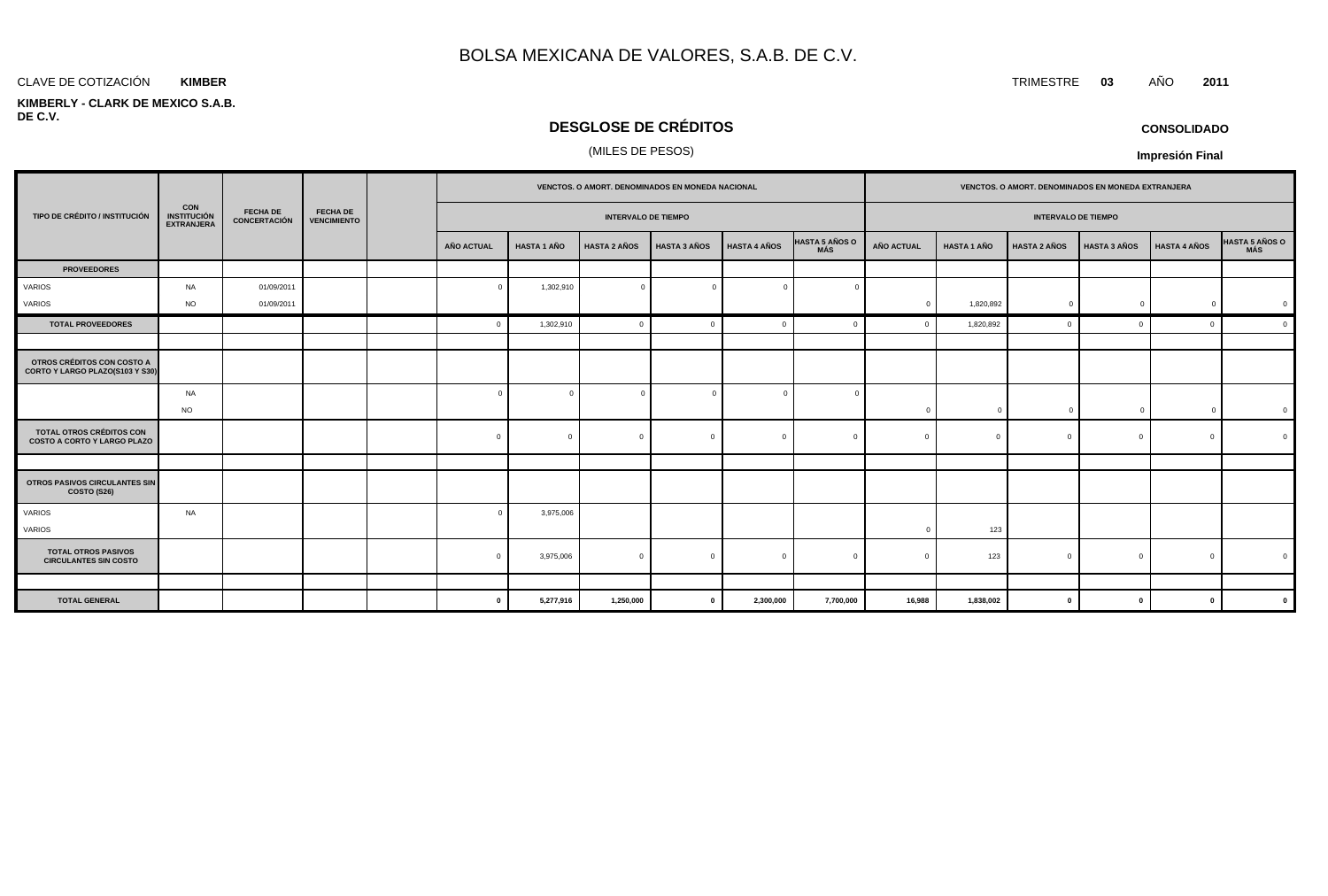#### **KIMBER**

#### **KIMBERLY - CLARK DE MEXICO S.A.B. DE C.V.**

## **DESGLOSE DE CRÉDITOS**

## (MILES DE PESOS)

|                                                                |                                                       | <b>FECHA DE</b><br><b>CONCERTACIÓN</b> |                                       |                            | VENCTOS. O AMORT. DENOMINADOS EN MONEDA NACIONAL |                     |                     |                     |                              | VENCTOS. O AMORT. DENOMINADOS EN MONEDA EXTRANJERA |                    |                     |                     |                     |                |
|----------------------------------------------------------------|-------------------------------------------------------|----------------------------------------|---------------------------------------|----------------------------|--------------------------------------------------|---------------------|---------------------|---------------------|------------------------------|----------------------------------------------------|--------------------|---------------------|---------------------|---------------------|----------------|
| TIPO DE CRÉDITO / INSTITUCIÓN                                  | <b>CON</b><br><b>INSTITUCIÓN</b><br><b>EXTRANJERA</b> |                                        | <b>FECHA DE</b><br><b>VENCIMIENTO</b> | <b>INTERVALO DE TIEMPO</b> |                                                  |                     |                     |                     | <b>INTERVALO DE TIEMPO</b>   |                                                    |                    |                     |                     |                     |                |
|                                                                |                                                       |                                        |                                       | AÑO ACTUAL                 | <b>HASTA 1 AÑO</b>                               | <b>HASTA 2 AÑOS</b> | <b>HASTA 3 AÑOS</b> | <b>HASTA 4 AÑOS</b> | <b>HASTA 5 AÑOS O</b><br>MÁS | <b>AÑO ACTUAL</b>                                  | <b>HASTA 1 AÑO</b> | <b>HASTA 2 AÑOS</b> | <b>HASTA 3 AÑOS</b> | <b>HASTA 4 AÑOS</b> | HASTA 5 AÑOS O |
| <b>PROVEEDORES</b>                                             |                                                       |                                        |                                       |                            |                                                  |                     |                     |                     |                              |                                                    |                    |                     |                     |                     |                |
| VARIOS                                                         | NA                                                    | 01/09/2011                             |                                       | $\Omega$                   | 1,302,910                                        | $\overline{0}$      | $\Omega$            | $\overline{0}$      |                              |                                                    |                    |                     |                     |                     |                |
| VARIOS                                                         | <b>NO</b>                                             | 01/09/2011                             |                                       |                            |                                                  |                     |                     |                     |                              | $\Omega$                                           | 1,820,892          | $\mathbf{0}$        | $\Omega$            | $\mathbf 0$         |                |
| <b>TOTAL PROVEEDORES</b>                                       |                                                       |                                        |                                       | $\Omega$                   | 1,302,910                                        | $\mathbf 0$         | c                   | $\Omega$            |                              |                                                    | 1,820,892          |                     |                     | $\Omega$            | $\mathfrak{c}$ |
|                                                                |                                                       |                                        |                                       |                            |                                                  |                     |                     |                     |                              |                                                    |                    |                     |                     |                     |                |
| OTROS CRÉDITOS CON COSTO A<br>CORTO Y LARGO PLAZO(S103 Y S30)  |                                                       |                                        |                                       |                            |                                                  |                     |                     |                     |                              |                                                    |                    |                     |                     |                     |                |
|                                                                | NA<br><b>NO</b>                                       |                                        |                                       | $\sqrt{ }$                 |                                                  | $\overline{0}$      |                     | $\Omega$            |                              | $\mathbf{0}$                                       | $\Omega$           | $\mathbf{0}$        | C                   | $\mathbf{0}$        |                |
| TOTAL OTROS CRÉDITOS CON<br><b>COSTO A CORTO Y LARGO PLAZO</b> |                                                       |                                        |                                       | $\mathbf{0}$               | $\Omega$                                         | $\overline{0}$      | $\Omega$            | $\mathbf{0}$        | $\Omega$                     | $\Omega$                                           | $\Omega$           | $\Omega$            | $\Omega$            | $\mathbf{0}$        |                |
|                                                                |                                                       |                                        |                                       |                            |                                                  |                     |                     |                     |                              |                                                    |                    |                     |                     |                     |                |
| OTROS PASIVOS CIRCULANTES SIN<br>COSTO (S26)                   |                                                       |                                        |                                       |                            |                                                  |                     |                     |                     |                              |                                                    |                    |                     |                     |                     |                |
| VARIOS<br>VARIOS                                               | <b>NA</b>                                             |                                        |                                       | $\sqrt{ }$                 | 3,975,006                                        |                     |                     |                     |                              |                                                    | 123                |                     |                     |                     |                |
| <b>TOTAL OTROS PASIVOS</b><br><b>CIRCULANTES SIN COSTO</b>     |                                                       |                                        |                                       | $\Omega$                   | 3,975,006                                        | $\overline{0}$      | $\Omega$            | $\Omega$            |                              |                                                    | 123                | $\Omega$            |                     | $\Omega$            |                |
|                                                                |                                                       |                                        |                                       |                            |                                                  |                     |                     |                     |                              |                                                    |                    |                     |                     |                     |                |
| <b>TOTAL GENERAL</b>                                           |                                                       |                                        |                                       | $\bf{0}$                   | 5,277,916                                        | 1,250,000           | $\mathbf{0}$        | 2,300,000           | 7,700,000                    | 16,988                                             | 1,838,002          | $\mathbf{0}$        | $\mathbf{0}$        | $\mathbf{0}$        |                |

**CONSOLIDADO**

**Impresión Final**

#### CLAVE DE COTIZACIÓN TRIMESTRE **03** AÑO **2011**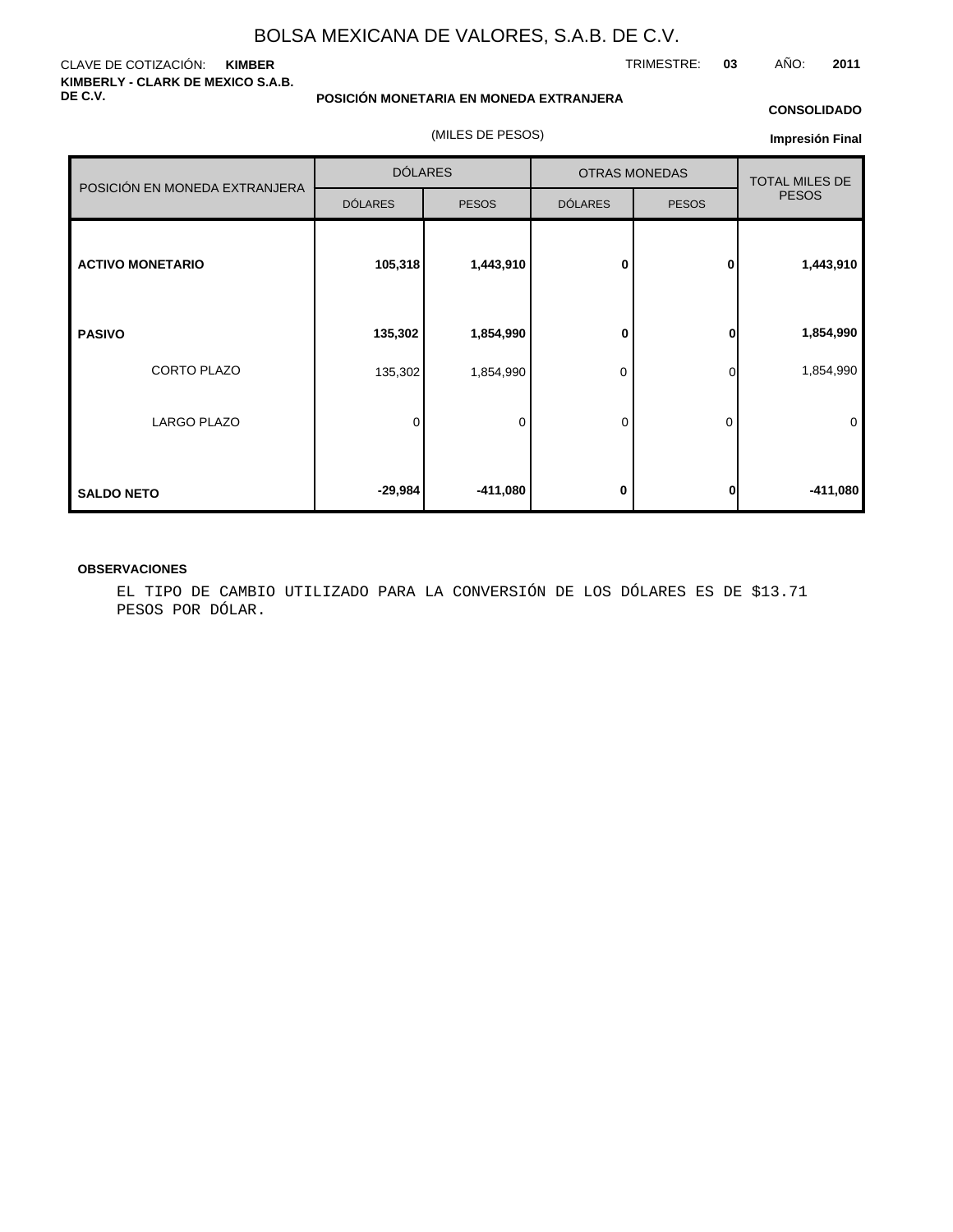#### CLAVE DE COTIZACIÓN: **KIMBER KIMBERLY - CLARK DE MEXICO S.A.B. DE C.V.**

**POSICIÓN MONETARIA EN MONEDA EXTRANJERA**

(MILES DE PESOS)

#### **CONSOLIDADO**

**Impresión Final**

| POSICIÓN EN MONEDA EXTRANJERA | <b>DÓLARES</b> |              | <b>OTRAS MONEDAS</b> | <b>TOTAL MILES DE</b> |              |  |
|-------------------------------|----------------|--------------|----------------------|-----------------------|--------------|--|
|                               | <b>DÓLARES</b> | <b>PESOS</b> | <b>DÓLARES</b>       | <b>PESOS</b>          | <b>PESOS</b> |  |
| <b>ACTIVO MONETARIO</b>       | 105,318        | 1,443,910    | $\bf{0}$             | $\mathbf{0}$          | 1,443,910    |  |
| <b>PASIVO</b>                 | 135,302        | 1,854,990    | 0                    | 0                     | 1,854,990    |  |
| CORTO PLAZO                   | 135,302        | 1,854,990    | 0                    | 0                     | 1,854,990    |  |
| <b>LARGO PLAZO</b>            | 0              | 0            | 0                    | 0                     | $\mathbf 0$  |  |
| <b>SALDO NETO</b>             | $-29,984$      | $-411,080$   | 0                    | 0                     | $-411,080$   |  |

### **OBSERVACIONES**

EL TIPO DE CAMBIO UTILIZADO PARA LA CONVERSIÓN DE LOS DÓLARES ES DE \$13.71 PESOS POR DÓLAR.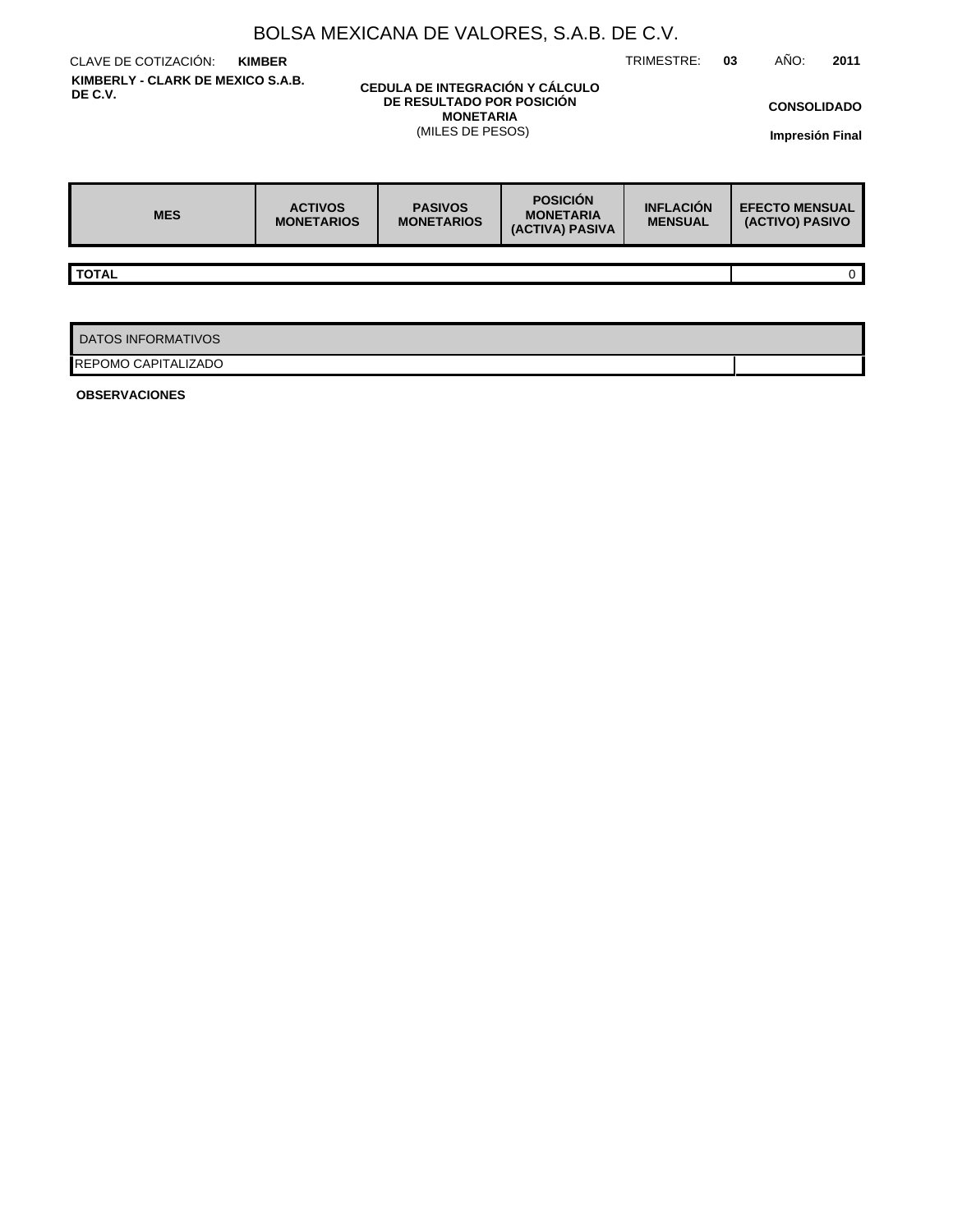|                                                                                                                                                      | BOLSA MEXICANA DE VALORES, S.A.B. DE C.V. |                                     |                                                        |                                    |                                          |                                       |
|------------------------------------------------------------------------------------------------------------------------------------------------------|-------------------------------------------|-------------------------------------|--------------------------------------------------------|------------------------------------|------------------------------------------|---------------------------------------|
| CLAVE DE COTIZACIÓN:                                                                                                                                 | <b>KIMBER</b>                             |                                     |                                                        | TRIMESTRE:                         | AÑO:<br>03                               | 2011                                  |
| KIMBERLY - CLARK DE MEXICO S.A.B.<br>CEDULA DE INTEGRACIÓN Y CÁLCULO<br>DE C.V.<br>DE RESULTADO POR POSICIÓN<br><b>MONETARIA</b><br>(MILES DE PESOS) |                                           |                                     |                                                        |                                    |                                          | <b>CONSOLIDADO</b><br>Impresión Final |
| <b>MES</b>                                                                                                                                           | <b>ACTIVOS</b><br><b>MONETARIOS</b>       | <b>PASIVOS</b><br><b>MONETARIOS</b> | <b>POSICIÓN</b><br><b>MONETARIA</b><br>(ACTIVA) PASIVA | <b>INFLACIÓN</b><br><b>MENSUAL</b> | <b>EFECTO MENSUAL</b><br>(ACTIVO) PASIVO |                                       |
|                                                                                                                                                      |                                           |                                     |                                                        |                                    |                                          |                                       |
| <b>TOTAL</b>                                                                                                                                         |                                           |                                     |                                                        |                                    |                                          | 0                                     |
|                                                                                                                                                      |                                           |                                     |                                                        |                                    |                                          |                                       |
| <b>DATOS INFORMATIVOS</b>                                                                                                                            |                                           |                                     |                                                        |                                    |                                          |                                       |
| REPOMO CAPITALIZADO                                                                                                                                  |                                           |                                     |                                                        |                                    |                                          |                                       |

**OBSERVACIONES**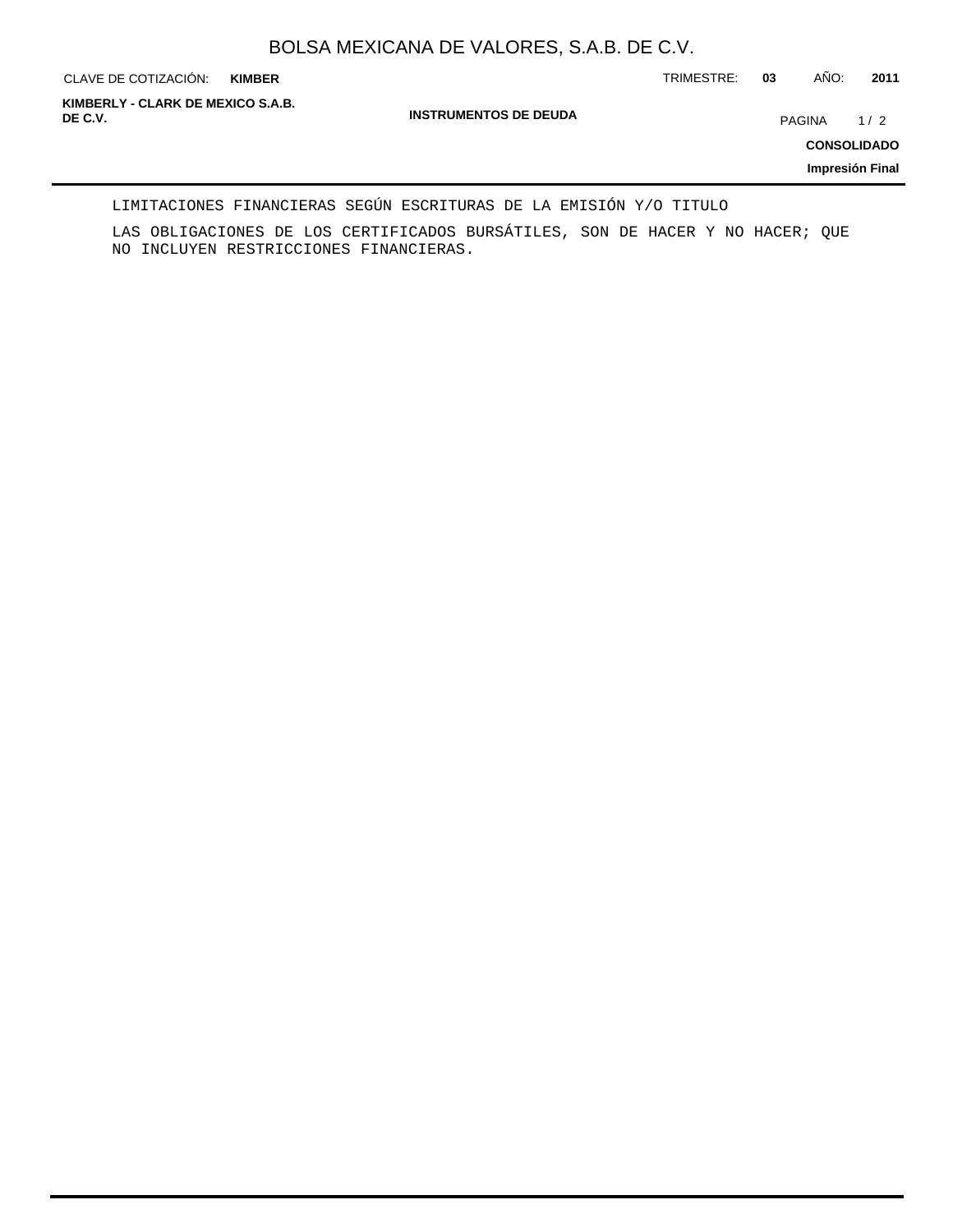**KIMBER**

CLAVE DE COTIZACIÓN: TRIMESTRE: **03** AÑO: **2011**

**INSTRUMENTOS DE DEUDA DE C.V.** PAGINA 1 / 2 **KIMBERLY - CLARK DE MEXICO S.A.B.**

**CONSOLIDADO**

**Impresión Final**

LIMITACIONES FINANCIERAS SEGÚN ESCRITURAS DE LA EMISIÓN Y/O TITULO

LAS OBLIGACIONES DE LOS CERTIFICADOS BURSÁTILES, SON DE HACER Y NO HACER; QUE NO INCLUYEN RESTRICCIONES FINANCIERAS.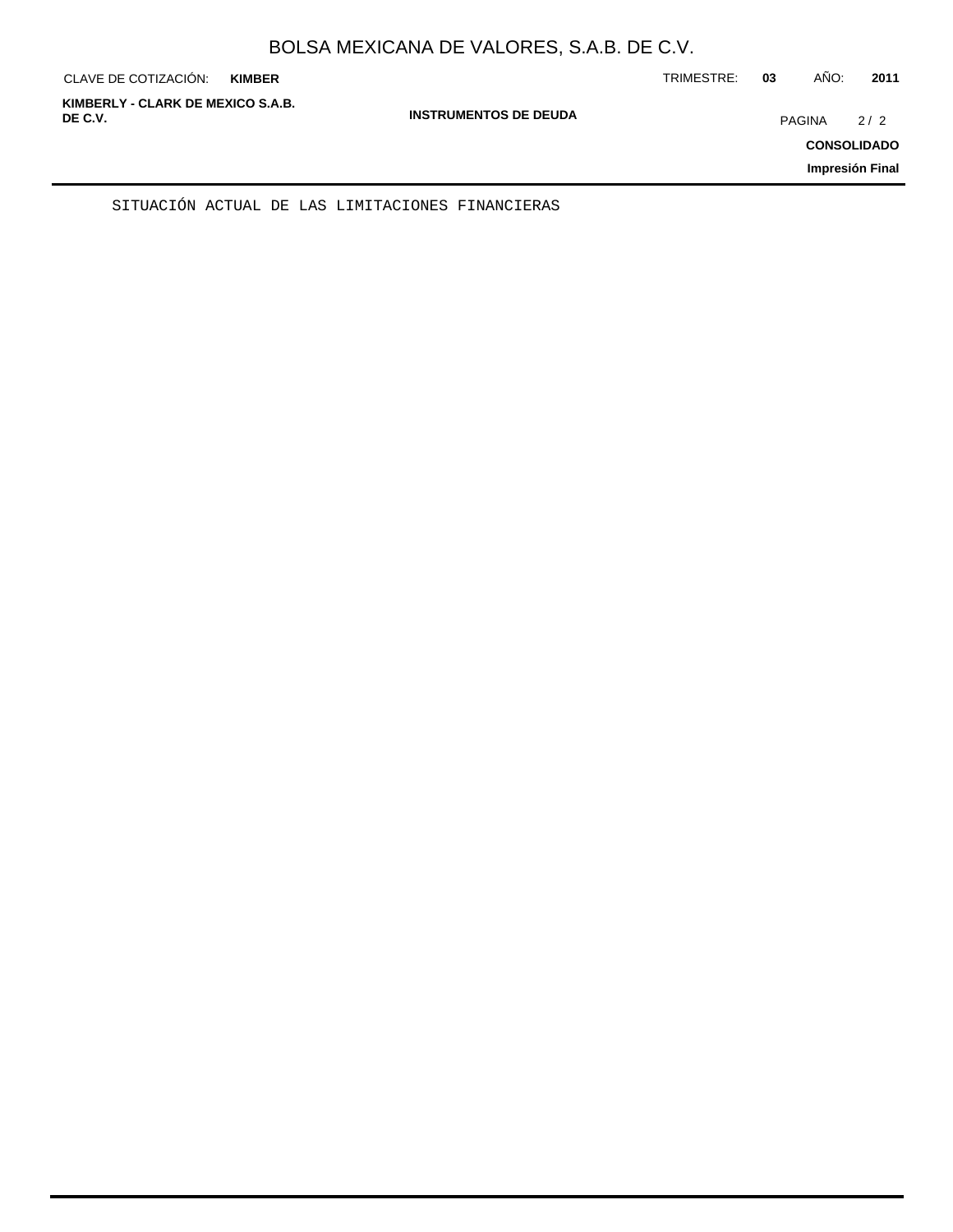| CLAVE DE COTIZACIÓN:                         | <b>KIMBER</b> |                              | TRIMESTRE: | 03            | AÑO: | 2011                                         |
|----------------------------------------------|---------------|------------------------------|------------|---------------|------|----------------------------------------------|
| KIMBERLY - CLARK DE MEXICO S.A.B.<br>DE C.V. |               | <b>INSTRUMENTOS DE DEUDA</b> |            | <b>PAGINA</b> |      | 2/2<br><b>CONSOLIDADO</b><br>Impresión Final |
|                                              |               |                              |            |               |      |                                              |

SITUACIÓN ACTUAL DE LAS LIMITACIONES FINANCIERAS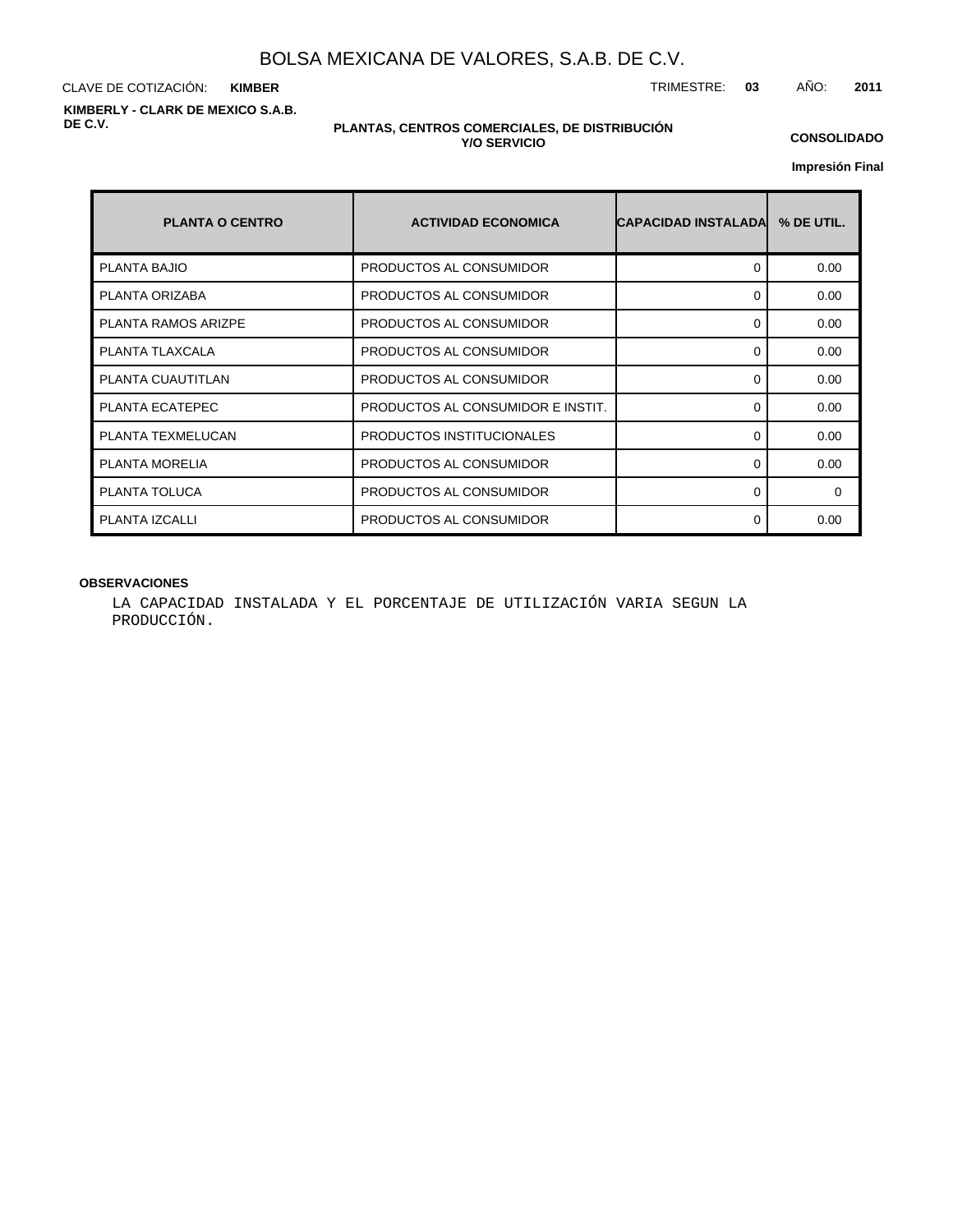CLAVE DE COTIZACIÓN: TRIMESTRE: **03** AÑO: **2011 KIMBER KIMBERLY - CLARK DE MEXICO S.A.B. DE C.V.**

#### **PLANTAS, CENTROS COMERCIALES, DE DISTRIBUCIÓN Y/O SERVICIO**

**CONSOLIDADO**

**Impresión Final**

| <b>PLANTA O CENTRO</b>     | <b>ACTIVIDAD ECONOMICA</b>        | <b>CAPACIDAD INSTALADAL</b> | % DE UTIL. |
|----------------------------|-----------------------------------|-----------------------------|------------|
| PLANTA BAJIO               | PRODUCTOS AL CONSUMIDOR           | 0                           | 0.00       |
| PLANTA ORIZABA             | PRODUCTOS AL CONSUMIDOR           | 0                           | 0.00       |
| <b>PLANTA RAMOS ARIZPE</b> | PRODUCTOS AL CONSUMIDOR           | 0                           | 0.00       |
| PLANTA TLAXCALA            | PRODUCTOS AL CONSUMIDOR           | 0                           | 0.00       |
| PLANTA CUAUTITLAN          | PRODUCTOS AL CONSUMIDOR           | 0                           | 0.00       |
| PLANTA ECATEPEC            | PRODUCTOS AL CONSUMIDOR E INSTIT. | 0                           | 0.00       |
| PLANTA TEXMELUCAN          | PRODUCTOS INSTITUCIONALES         | $\Omega$                    | 0.00       |
| <b>PLANTA MORELIA</b>      | PRODUCTOS AL CONSUMIDOR           | 0                           | 0.00       |
| PLANTA TOLUCA              | PRODUCTOS AL CONSUMIDOR           | 0                           | $\Omega$   |
| PLANTA IZCALLI             | PRODUCTOS AL CONSUMIDOR           | $\Omega$                    | 0.00       |

## **OBSERVACIONES**

LA CAPACIDAD INSTALADA Y EL PORCENTAJE DE UTILIZACIÓN VARIA SEGUN LA PRODUCCIÓN.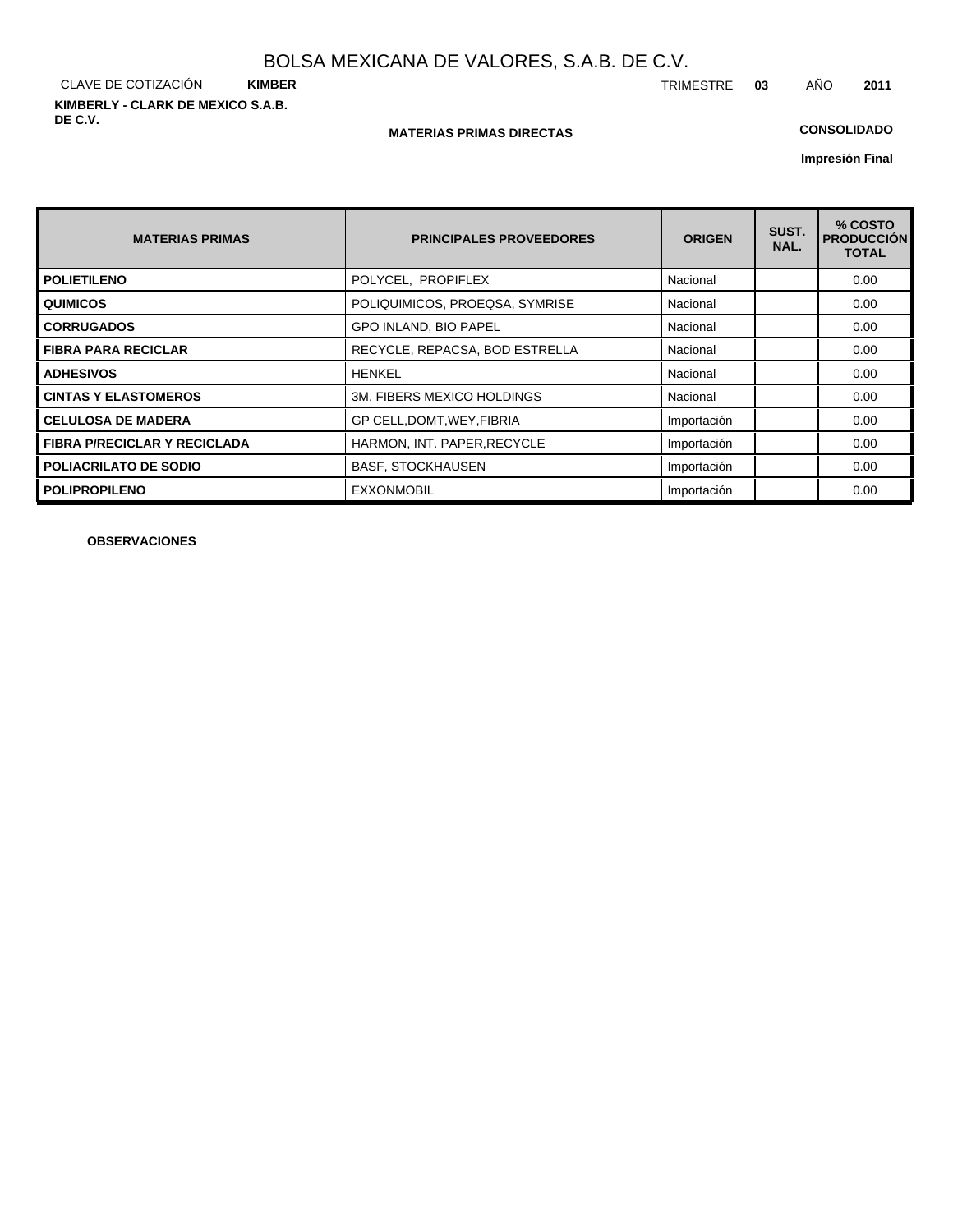CLAVE DE COTIZACIÓN **KIMBER KIMBERLY - CLARK DE MEXICO S.A.B. DE C.V.**

#### **MATERIAS PRIMAS DIRECTAS**

## **CONSOLIDADO**

**Impresión Final**

| <b>MATERIAS PRIMAS</b>              | <b>PRINCIPALES PROVEEDORES</b> | <b>ORIGEN</b> | SUST.<br>NAL. | % COSTO<br><b>PRODUCCION</b><br><b>TOTAL</b> |
|-------------------------------------|--------------------------------|---------------|---------------|----------------------------------------------|
| <b>POLIETILENO</b>                  | POLYCEL, PROPIFLEX             | Nacional      |               | 0.00                                         |
| <b>QUIMICOS</b>                     | POLIQUIMICOS, PROEQSA, SYMRISE | Nacional      |               | 0.00                                         |
| <b>CORRUGADOS</b>                   | <b>GPO INLAND, BIO PAPEL</b>   | Nacional      |               | 0.00                                         |
| <b>FIBRA PARA RECICLAR</b>          | RECYCLE, REPACSA, BOD ESTRELLA | Nacional      |               | 0.00                                         |
| <b>ADHESIVOS</b>                    | <b>HENKEL</b>                  | Nacional      |               | 0.00                                         |
| <b>CINTAS Y ELASTOMEROS</b>         | 3M, FIBERS MEXICO HOLDINGS     | Nacional      |               | 0.00                                         |
| <b>CELULOSA DE MADERA</b>           | GP CELL, DOMT, WEY, FIBRIA     | Importación   |               | 0.00                                         |
| <b>FIBRA P/RECICLAR Y RECICLADA</b> | HARMON, INT. PAPER, RECYCLE    | Importación   |               | 0.00                                         |
| <b>POLIACRILATO DE SODIO</b>        | <b>BASF, STOCKHAUSEN</b>       | Importación   |               | 0.00                                         |
| <b>POLIPROPILENO</b>                | <b>EXXONMOBIL</b>              | Importación   |               | 0.00                                         |

**OBSERVACIONES**

TRIMESTRE **03** AÑO **2011**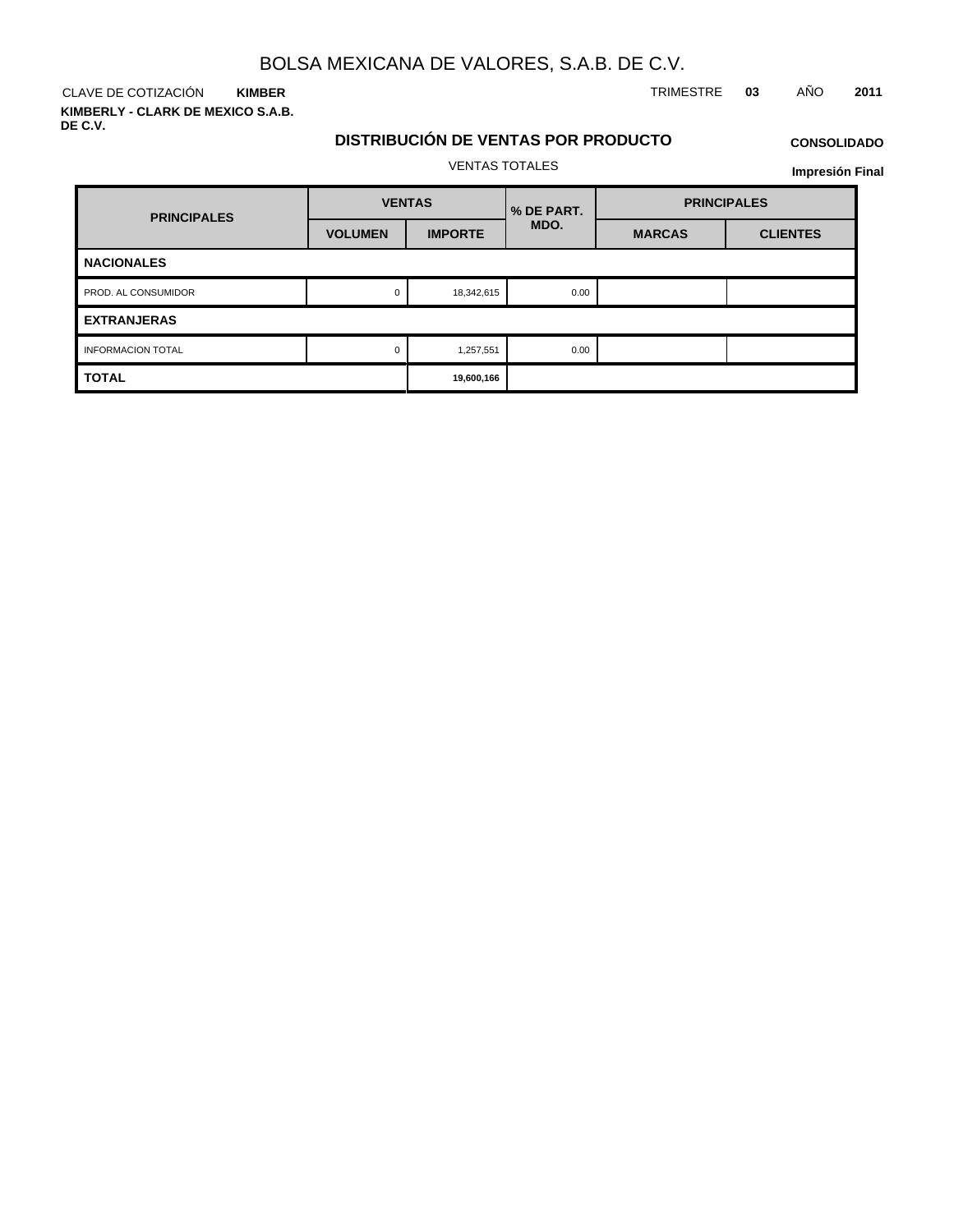CLAVE DE COTIZACIÓN TRIMESTRE **03** AÑO **2011 KIMBER**

**KIMBERLY - CLARK DE MEXICO S.A.B. DE C.V.**

## **DISTRIBUCIÓN DE VENTAS POR PRODUCTO**

## **CONSOLIDADO**

VENTAS TOTALES

| <b>PRINCIPALES</b>       | <b>VENTAS</b>  |                | <b>% DE PART.</b> | <b>PRINCIPALES</b> |                 |  |
|--------------------------|----------------|----------------|-------------------|--------------------|-----------------|--|
|                          | <b>VOLUMEN</b> | <b>IMPORTE</b> | MDO.              | <b>MARCAS</b>      | <b>CLIENTES</b> |  |
| <b>NACIONALES</b>        |                |                |                   |                    |                 |  |
| PROD. AL CONSUMIDOR      |                | 18,342,615     | 0.00              |                    |                 |  |
| <b>EXTRANJERAS</b>       |                |                |                   |                    |                 |  |
| <b>INFORMACION TOTAL</b> |                | 1,257,551      | 0.00              |                    |                 |  |
| <b>TOTAL</b>             |                | 19,600,166     |                   |                    |                 |  |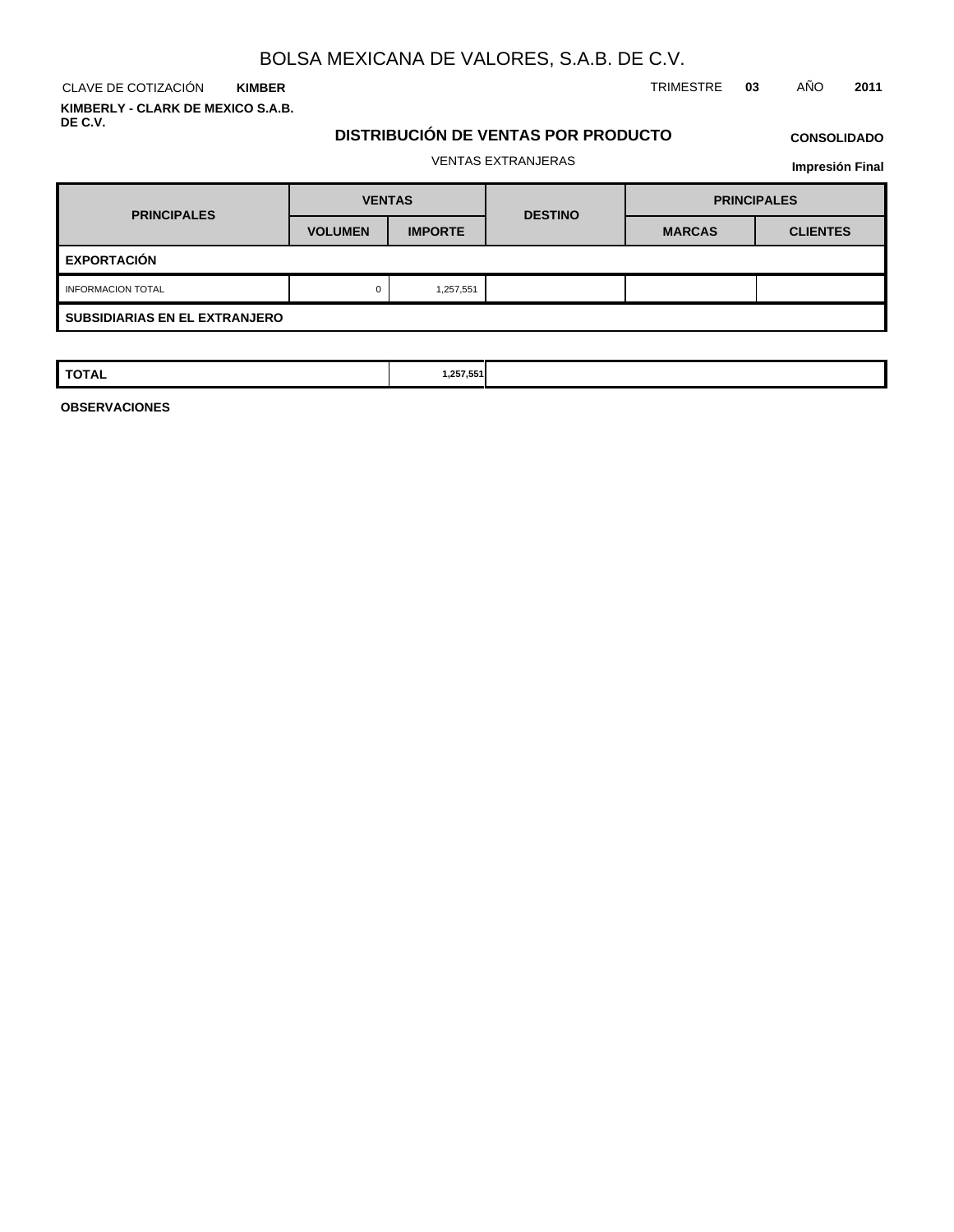**KIMBER KIMBERLY - CLARK DE MEXICO S.A.B. DE C.V.**

CLAVE DE COTIZACIÓN TRIMESTRE **03** AÑO **2011**

## **DISTRIBUCIÓN DE VENTAS POR PRODUCTO**

# **CONSOLIDADO**

VENTAS EXTRANJERAS

**Impresión Final**

| <b>PRINCIPALES</b>                   | <b>VENTAS</b>  |                | <b>DESTINO</b> | <b>PRINCIPALES</b> |                 |  |  |  |
|--------------------------------------|----------------|----------------|----------------|--------------------|-----------------|--|--|--|
|                                      | <b>VOLUMEN</b> | <b>IMPORTE</b> |                | <b>MARCAS</b>      | <b>CLIENTES</b> |  |  |  |
| <b>EXPORTACIÓN</b>                   |                |                |                |                    |                 |  |  |  |
| <b>INFORMACION TOTAL</b>             |                | 1,257,551      |                |                    |                 |  |  |  |
| <b>SUBSIDIARIAS EN EL EXTRANJERO</b> |                |                |                |                    |                 |  |  |  |

| <b>TOTAL</b> | 1,257,551 |  |  |
|--------------|-----------|--|--|
|              |           |  |  |

**OBSERVACIONES**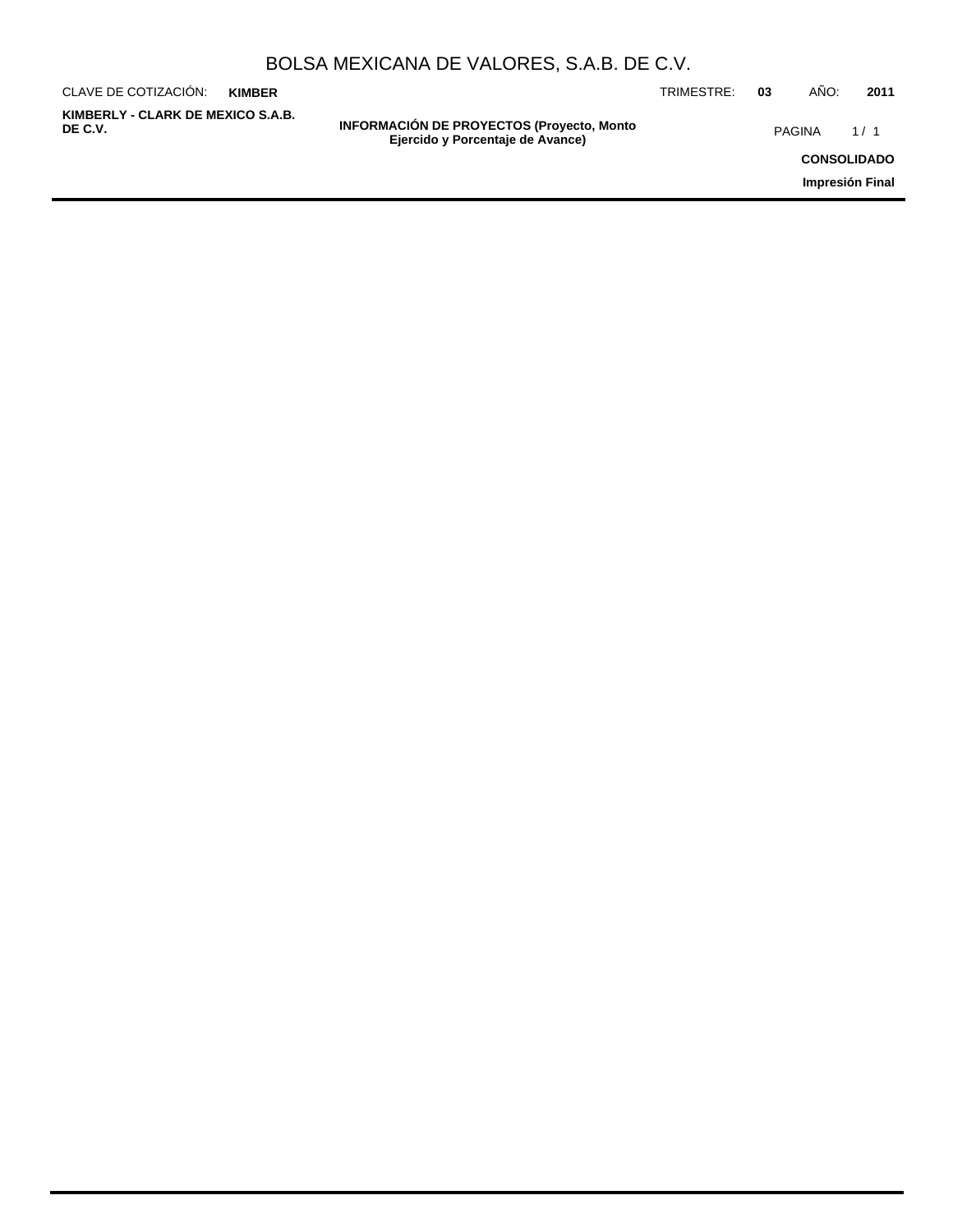| BOLSA MEXICANA DE VALORES, S.A.B. DE C.V. |  |  |  |
|-------------------------------------------|--|--|--|
|-------------------------------------------|--|--|--|

| CLAVE DE COTIZACIÓN:                         | <b>KIMBER</b> |                                                                                      | TRIMESTRE: | 03 | AÑO:               | 2011 |
|----------------------------------------------|---------------|--------------------------------------------------------------------------------------|------------|----|--------------------|------|
| KIMBERLY - CLARK DE MEXICO S.A.B.<br>DE C.V. |               | <b>INFORMACIÓN DE PROYECTOS (Proyecto, Monto</b><br>Ejercido y Porcentaje de Avance) |            |    | PAGINA             | 1/1  |
|                                              |               |                                                                                      |            |    | <b>CONSOLIDADO</b> |      |
|                                              |               |                                                                                      |            |    | Impresión Final    |      |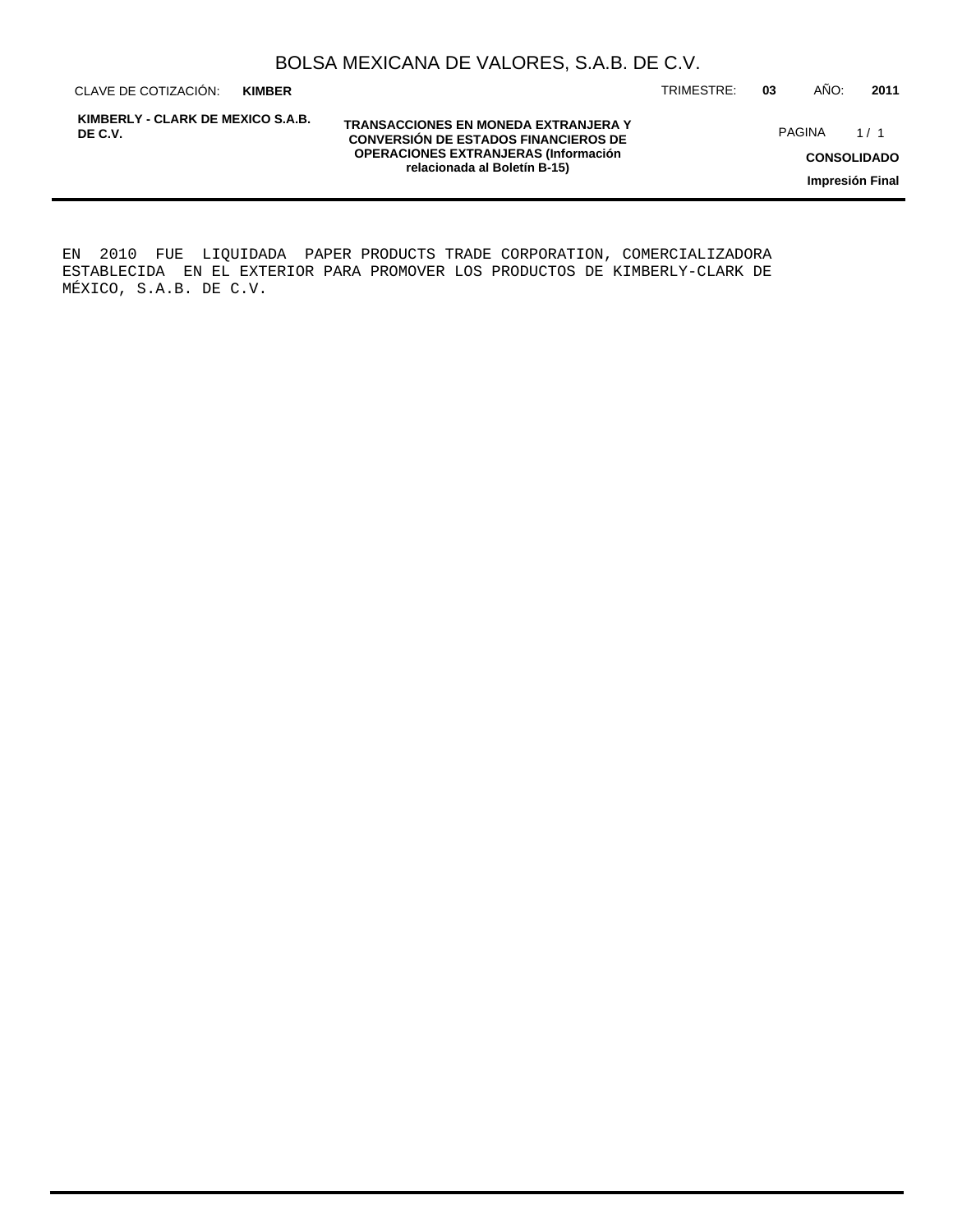**KIMBER**

**KIMBERLY - CLARK DE MEXICO S.A.B. DE C.V.**

**TRANSACCIONES EN MONEDA EXTRANJERA Y CONVERSIÓN DE ESTADOS FINANCIEROS DE OPERACIONES EXTRANJERAS (Información relacionada al Boletín B-15)**

CLAVE DE COTIZACIÓN: TRIMESTRE: **03** AÑO: **2011**

PAGINA 1/1

**CONSOLIDADO**

**Impresión Final**

EN 2010 FUE LIQUIDADA PAPER PRODUCTS TRADE CORPORATION, COMERCIALIZADORA ESTABLECIDA EN EL EXTERIOR PARA PROMOVER LOS PRODUCTOS DE KIMBERLY-CLARK DE MÉXICO, S.A.B. DE C.V.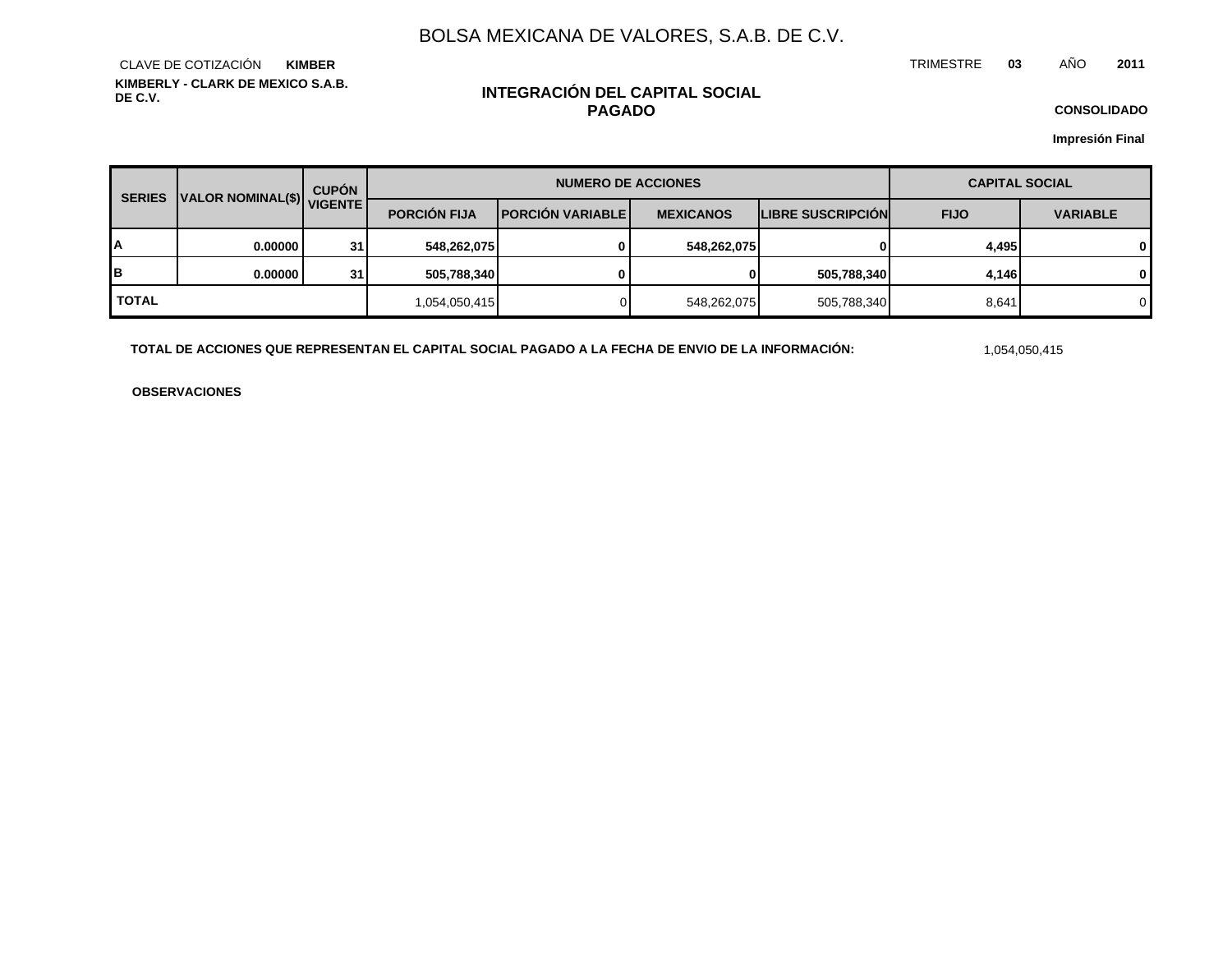TRIMESTRE **03** AÑO **2011**

**KIMBERLY - CLARK DE MEXICO S.A.B. DE C.V.** CLAVE DE COTIZACIÓN **KIMBER**

## **INTEGRACIÓN DEL CAPITAL SOCIAL PAGADO**

**CONSOLIDADO**

**Impresión Final**

| <b>SERIES</b>             |         | <b>CUPÓN</b> |                     | <b>NUMERO DE ACCIONES</b> | <b>CAPITAL SOCIAL</b> |                          |                                |   |
|---------------------------|---------|--------------|---------------------|---------------------------|-----------------------|--------------------------|--------------------------------|---|
| VALOR NOMINAL(\$) VIGENTE |         |              | <b>PORCIÓN FIJA</b> | <b>IPORCIÓN VARIABLEI</b> | <b>MEXICANOS</b>      | <b>LIBRE SUSCRIPCION</b> | <b>FIJO</b><br><b>VARIABLE</b> |   |
| A                         | 0.00000 | 31           | 548,262,075         |                           | 548,262,075           | 01                       | 4,495                          | 0 |
| B                         | 0.00000 | 31           | 505,788,340         |                           | 0                     | 505,788,340              | 4.146                          | 0 |
| <b>TOTAL</b>              |         |              | 1,054,050,415       |                           | 548,262,075           | 505,788,340              | 8,641                          | 0 |

**TOTAL DE ACCIONES QUE REPRESENTAN EL CAPITAL SOCIAL PAGADO A LA FECHA DE ENVIO DE LA INFORMACIÓN:** 1,054,050,415

**OBSERVACIONES**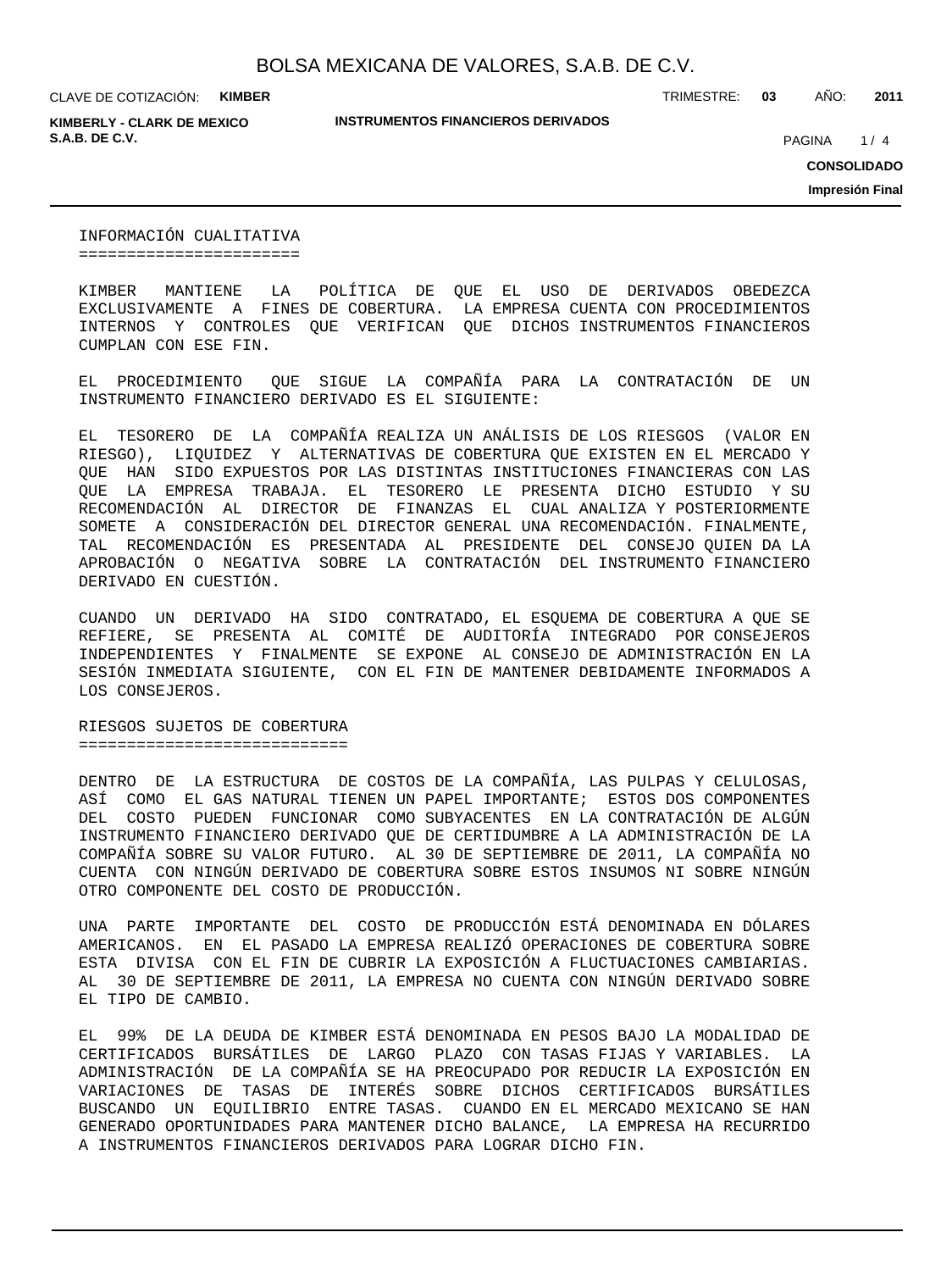**KIMBERLY - CLARK DE MEXICO S.A.B. DE C.V. PAGINA 1999** 

**INSTRUMENTOS FINANCIEROS DERIVADOS**

TRIMESTRE: **03** AÑO: **2011**

 $1/4$ 

**CONSOLIDADO**

**Impresión Final**

INFORMACIÓN CUALITATIVA =======================

KIMBER MANTIENE LA POLÍTICA DE QUE EL USO DE DERIVADOS OBEDEZCA EXCLUSIVAMENTE A FINES DE COBERTURA. LA EMPRESA CUENTA CON PROCEDIMIENTOS INTERNOS Y CONTROLES QUE VERIFICAN QUE DICHOS INSTRUMENTOS FINANCIEROS CUMPLAN CON ESE FIN.

EL PROCEDIMIENTO QUE SIGUE LA COMPAÑÍA PARA LA CONTRATACIÓN DE UN INSTRUMENTO FINANCIERO DERIVADO ES EL SIGUIENTE:

EL TESORERO DE LA COMPAÑÍA REALIZA UN ANÁLISIS DE LOS RIESGOS (VALOR EN RIESGO), LIQUIDEZ Y ALTERNATIVAS DE COBERTURA QUE EXISTEN EN EL MERCADO Y QUE HAN SIDO EXPUESTOS POR LAS DISTINTAS INSTITUCIONES FINANCIERAS CON LAS QUE LA EMPRESA TRABAJA. EL TESORERO LE PRESENTA DICHO ESTUDIO Y SU RECOMENDACIÓN AL DIRECTOR DE FINANZAS EL CUAL ANALIZA Y POSTERIORMENTE SOMETE A CONSIDERACIÓN DEL DIRECTOR GENERAL UNA RECOMENDACIÓN. FINALMENTE, TAL RECOMENDACIÓN ES PRESENTADA AL PRESIDENTE DEL CONSEJO QUIEN DA LA APROBACIÓN O NEGATIVA SOBRE LA CONTRATACIÓN DEL INSTRUMENTO FINANCIERO DERIVADO EN CUESTIÓN.

CUANDO UN DERIVADO HA SIDO CONTRATADO, EL ESQUEMA DE COBERTURA A QUE SE REFIERE, SE PRESENTA AL COMITÉ DE AUDITORÍA INTEGRADO POR CONSEJEROS INDEPENDIENTES Y FINALMENTE SE EXPONE AL CONSEJO DE ADMINISTRACIÓN EN LA SESIÓN INMEDIATA SIGUIENTE, CON EL FIN DE MANTENER DEBIDAMENTE INFORMADOS A LOS CONSEJEROS.

RIESGOS SUJETOS DE COBERTURA ============================

DENTRO DE LA ESTRUCTURA DE COSTOS DE LA COMPAÑÍA, LAS PULPAS Y CELULOSAS, ASÍ COMO EL GAS NATURAL TIENEN UN PAPEL IMPORTANTE; ESTOS DOS COMPONENTES DEL COSTO PUEDEN FUNCIONAR COMO SUBYACENTES EN LA CONTRATACIÓN DE ALGÚN INSTRUMENTO FINANCIERO DERIVADO QUE DE CERTIDUMBRE A LA ADMINISTRACIÓN DE LA COMPAÑÍA SOBRE SU VALOR FUTURO. AL 30 DE SEPTIEMBRE DE 2011, LA COMPAÑÍA NO CUENTA CON NINGÚN DERIVADO DE COBERTURA SOBRE ESTOS INSUMOS NI SOBRE NINGÚN OTRO COMPONENTE DEL COSTO DE PRODUCCIÓN.

UNA PARTE IMPORTANTE DEL COSTO DE PRODUCCIÓN ESTÁ DENOMINADA EN DÓLARES AMERICANOS. EN EL PASADO LA EMPRESA REALIZÓ OPERACIONES DE COBERTURA SOBRE ESTA DIVISA CON EL FIN DE CUBRIR LA EXPOSICIÓN A FLUCTUACIONES CAMBIARIAS. AL 30 DE SEPTIEMBRE DE 2011, LA EMPRESA NO CUENTA CON NINGÚN DERIVADO SOBRE EL TIPO DE CAMBIO.

EL 99% DE LA DEUDA DE KIMBER ESTÁ DENOMINADA EN PESOS BAJO LA MODALIDAD DE CERTIFICADOS BURSÁTILES DE LARGO PLAZO CON TASAS FIJAS Y VARIABLES. LA ADMINISTRACIÓN DE LA COMPAÑÍA SE HA PREOCUPADO POR REDUCIR LA EXPOSICIÓN EN VARIACIONES DE TASAS DE INTERÉS SOBRE DICHOS CERTIFICADOS BURSÁTILES BUSCANDO UN EQUILIBRIO ENTRE TASAS. CUANDO EN EL MERCADO MEXICANO SE HAN GENERADO OPORTUNIDADES PARA MANTENER DICHO BALANCE, LA EMPRESA HA RECURRIDO A INSTRUMENTOS FINANCIEROS DERIVADOS PARA LOGRAR DICHO FIN.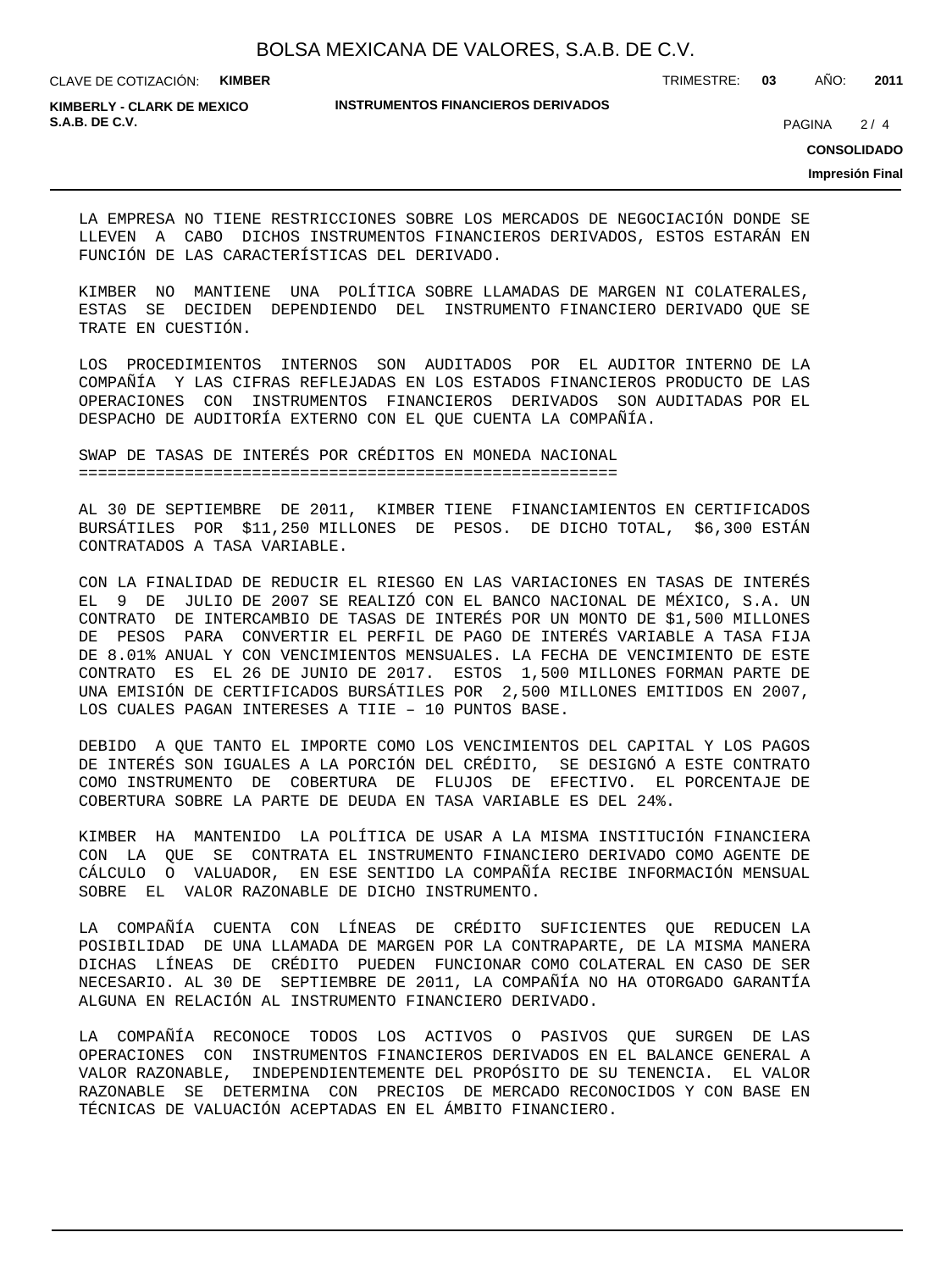TRIMESTRE: **03** AÑO: **2011**

**KIMBERLY - CLARK DE MEXICO S.A.B. DE C.V.** 2/4

#### **INSTRUMENTOS FINANCIEROS DERIVADOS**

 $2/4$ 

**CONSOLIDADO**

**Impresión Final**

LA EMPRESA NO TIENE RESTRICCIONES SOBRE LOS MERCADOS DE NEGOCIACIÓN DONDE SE LLEVEN A CABO DICHOS INSTRUMENTOS FINANCIEROS DERIVADOS, ESTOS ESTARÁN EN FUNCIÓN DE LAS CARACTERÍSTICAS DEL DERIVADO.

KIMBER NO MANTIENE UNA POLÍTICA SOBRE LLAMADAS DE MARGEN NI COLATERALES, ESTAS SE DECIDEN DEPENDIENDO DEL INSTRUMENTO FINANCIERO DERIVADO QUE SE TRATE EN CUESTIÓN.

LOS PROCEDIMIENTOS INTERNOS SON AUDITADOS POR EL AUDITOR INTERNO DE LA COMPAÑÍA Y LAS CIFRAS REFLEJADAS EN LOS ESTADOS FINANCIEROS PRODUCTO DE LAS OPERACIONES CON INSTRUMENTOS FINANCIEROS DERIVADOS SON AUDITADAS POR EL DESPACHO DE AUDITORÍA EXTERNO CON EL QUE CUENTA LA COMPAÑÍA.

SWAP DE TASAS DE INTERÉS POR CRÉDITOS EN MONEDA NACIONAL ========================================================

AL 30 DE SEPTIEMBRE DE 2011, KIMBER TIENE FINANCIAMIENTOS EN CERTIFICADOS BURSÁTILES POR \$11,250 MILLONES DE PESOS. DE DICHO TOTAL, \$6,300 ESTÁN CONTRATADOS A TASA VARIABLE.

CON LA FINALIDAD DE REDUCIR EL RIESGO EN LAS VARIACIONES EN TASAS DE INTERÉS EL 9 DE JULIO DE 2007 SE REALIZÓ CON EL BANCO NACIONAL DE MÉXICO, S.A. UN CONTRATO DE INTERCAMBIO DE TASAS DE INTERÉS POR UN MONTO DE \$1,500 MILLONES DE PESOS PARA CONVERTIR EL PERFIL DE PAGO DE INTERÉS VARIABLE A TASA FIJA DE 8.01% ANUAL Y CON VENCIMIENTOS MENSUALES. LA FECHA DE VENCIMIENTO DE ESTE CONTRATO ES EL 26 DE JUNIO DE 2017. ESTOS 1,500 MILLONES FORMAN PARTE DE UNA EMISIÓN DE CERTIFICADOS BURSÁTILES POR 2,500 MILLONES EMITIDOS EN 2007, LOS CUALES PAGAN INTERESES A TIIE – 10 PUNTOS BASE.

DEBIDO A QUE TANTO EL IMPORTE COMO LOS VENCIMIENTOS DEL CAPITAL Y LOS PAGOS DE INTERÉS SON IGUALES A LA PORCIÓN DEL CRÉDITO, SE DESIGNÓ A ESTE CONTRATO COMO INSTRUMENTO DE COBERTURA DE FLUJOS DE EFECTIVO. EL PORCENTAJE DE COBERTURA SOBRE LA PARTE DE DEUDA EN TASA VARIABLE ES DEL 24%.

KIMBER HA MANTENIDO LA POLÍTICA DE USAR A LA MISMA INSTITUCIÓN FINANCIERA CON LA QUE SE CONTRATA EL INSTRUMENTO FINANCIERO DERIVADO COMO AGENTE DE CÁLCULO O VALUADOR, EN ESE SENTIDO LA COMPAÑÍA RECIBE INFORMACIÓN MENSUAL SOBRE EL VALOR RAZONABLE DE DICHO INSTRUMENTO.

LA COMPAÑÍA CUENTA CON LÍNEAS DE CRÉDITO SUFICIENTES QUE REDUCEN LA POSIBILIDAD DE UNA LLAMADA DE MARGEN POR LA CONTRAPARTE, DE LA MISMA MANERA DICHAS LÍNEAS DE CRÉDITO PUEDEN FUNCIONAR COMO COLATERAL EN CASO DE SER NECESARIO. AL 30 DE SEPTIEMBRE DE 2011, LA COMPAÑÍA NO HA OTORGADO GARANTÍA ALGUNA EN RELACIÓN AL INSTRUMENTO FINANCIERO DERIVADO.

LA COMPAÑÍA RECONOCE TODOS LOS ACTIVOS O PASIVOS QUE SURGEN DE LAS OPERACIONES CON INSTRUMENTOS FINANCIEROS DERIVADOS EN EL BALANCE GENERAL A VALOR RAZONABLE, INDEPENDIENTEMENTE DEL PROPÓSITO DE SU TENENCIA. EL VALOR RAZONABLE SE DETERMINA CON PRECIOS DE MERCADO RECONOCIDOS Y CON BASE EN TÉCNICAS DE VALUACIÓN ACEPTADAS EN EL ÁMBITO FINANCIERO.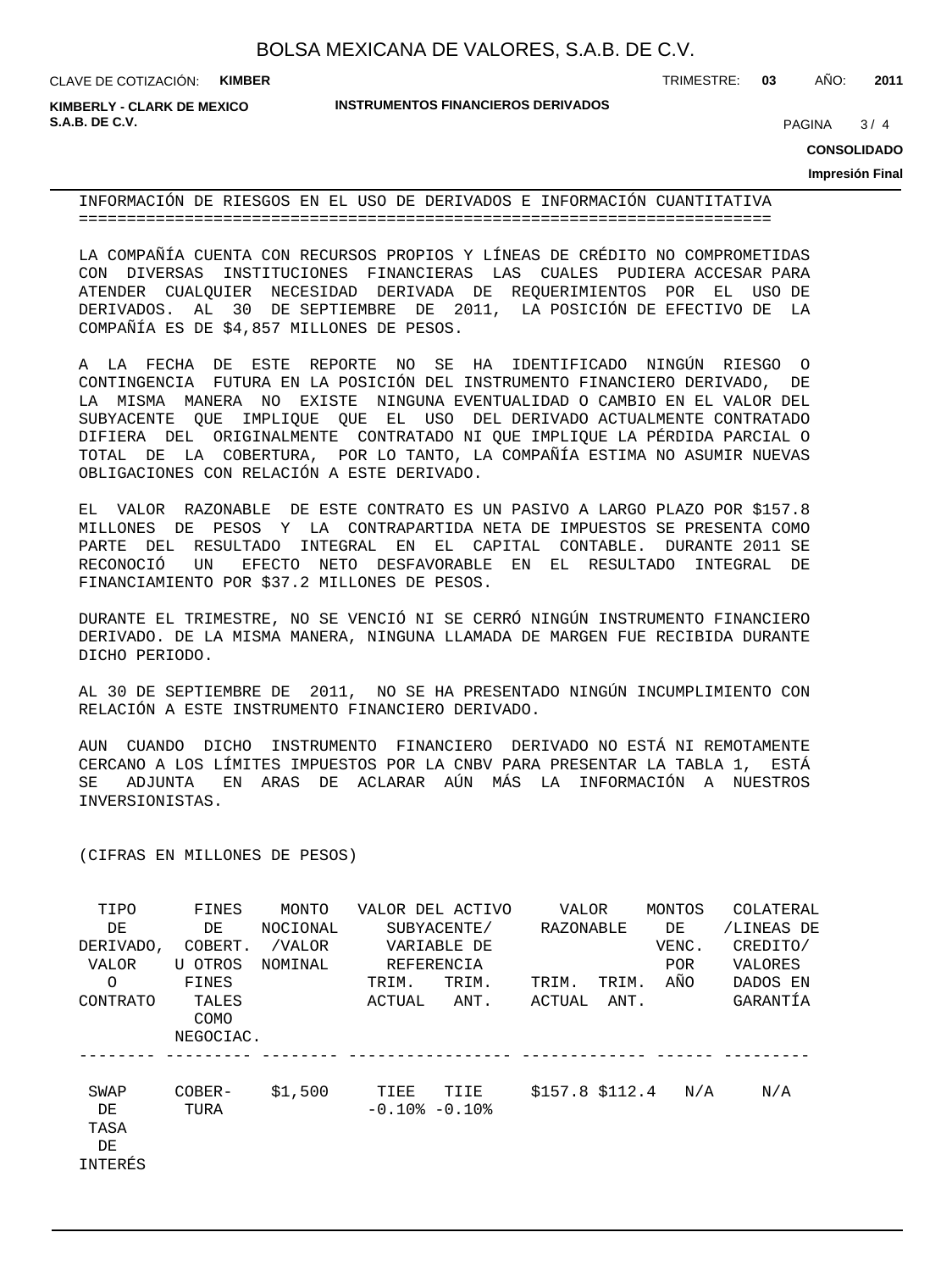**KIMBERLY - CLARK DE MEXICO S.A.B. DE C.V.** 2004 **PAGINA 2006** 2006 **PAGINA** 2006 2007 **PAGINA** 2006 2007 **PAGINA** 2007 2008 2014

**INSTRUMENTOS FINANCIEROS DERIVADOS**

TRIMESTRE: **03** AÑO: **2011**

 $3/4$ 

**CONSOLIDADO**

**Impresión Final**

INFORMACIÓN DE RIESGOS EN EL USO DE DERIVADOS E INFORMACIÓN CUANTITATIVA ========================================================================

LA COMPAÑÍA CUENTA CON RECURSOS PROPIOS Y LÍNEAS DE CRÉDITO NO COMPROMETIDAS CON DIVERSAS INSTITUCIONES FINANCIERAS LAS CUALES PUDIERA ACCESAR PARA ATENDER CUALQUIER NECESIDAD DERIVADA DE REQUERIMIENTOS POR EL USO DE DERIVADOS. AL 30 DE SEPTIEMBRE DE 2011, LA POSICIÓN DE EFECTIVO DE LA COMPAÑÍA ES DE \$4,857 MILLONES DE PESOS.

A LA FECHA DE ESTE REPORTE NO SE HA IDENTIFICADO NINGÚN RIESGO O CONTINGENCIA FUTURA EN LA POSICIÓN DEL INSTRUMENTO FINANCIERO DERIVADO, DE LA MISMA MANERA NO EXISTE NINGUNA EVENTUALIDAD O CAMBIO EN EL VALOR DEL SUBYACENTE QUE IMPLIQUE QUE EL USO DEL DERIVADO ACTUALMENTE CONTRATADO DIFIERA DEL ORIGINALMENTE CONTRATADO NI QUE IMPLIQUE LA PÉRDIDA PARCIAL O TOTAL DE LA COBERTURA, POR LO TANTO, LA COMPAÑÍA ESTIMA NO ASUMIR NUEVAS OBLIGACIONES CON RELACIÓN A ESTE DERIVADO.

EL VALOR RAZONABLE DE ESTE CONTRATO ES UN PASIVO A LARGO PLAZO POR \$157.8 MILLONES DE PESOS Y LA CONTRAPARTIDA NETA DE IMPUESTOS SE PRESENTA COMO PARTE DEL RESULTADO INTEGRAL EN EL CAPITAL CONTABLE. DURANTE 2011 SE RECONOCIÓ UN EFECTO NETO DESFAVORABLE EN EL RESULTADO INTEGRAL DE FINANCIAMIENTO POR \$37.2 MILLONES DE PESOS.

DURANTE EL TRIMESTRE, NO SE VENCIÓ NI SE CERRÓ NINGÚN INSTRUMENTO FINANCIERO DERIVADO. DE LA MISMA MANERA, NINGUNA LLAMADA DE MARGEN FUE RECIBIDA DURANTE DICHO PERIODO.

AL 30 DE SEPTIEMBRE DE 2011, NO SE HA PRESENTADO NINGÚN INCUMPLIMIENTO CON RELACIÓN A ESTE INSTRUMENTO FINANCIERO DERIVADO.

AUN CUANDO DICHO INSTRUMENTO FINANCIERO DERIVADO NO ESTÁ NI REMOTAMENTE CERCANO A LOS LÍMITES IMPUESTOS POR LA CNBV PARA PRESENTAR LA TABLA 1, ESTÁ SE ADJUNTA EN ARAS DE ACLARAR AÚN MÁS LA INFORMACIÓN A NUESTROS INVERSIONISTAS.

(CIFRAS EN MILLONES DE PESOS)

| TIPO      | FINES     | MONTO    |                     | VALOR DEL ACTIVO | VALOR           |       | MONTOS     | COLATERAL  |
|-----------|-----------|----------|---------------------|------------------|-----------------|-------|------------|------------|
| DE        | DE        | NOCIONAL |                     | SUBYACENTE/      | RAZONABLE       |       | DE         | /LINEAS DE |
| DERIVADO, | COBERT.   | /VALOR   |                     | VARIABLE DE      |                 |       | VENC.      | CREDITO/   |
| VALOR     | U OTROS   | NOMINAL  | REFERENCIA          |                  |                 |       | <b>POR</b> | VALORES    |
| $\Omega$  | FINES     |          | TRIM.               | TRIM.            | TRIM.           | TRIM. | AÑO        | DADOS EN   |
| CONTRATO  | TALES     |          | ACTUAL              | ANT.             | ACTUAL          | ANT.  |            | GARANTÍA   |
|           | COMO      |          |                     |                  |                 |       |            |            |
|           | NEGOCIAC. |          |                     |                  |                 |       |            |            |
|           |           |          |                     |                  |                 |       |            |            |
| SWAP      | COBER-    | \$1,500  | TIEE                | TIIE             | \$157.8 \$112.4 |       | N/A        | N/A        |
| DE        | TURA      |          | $-0.10$ % $-0.10$ % |                  |                 |       |            |            |
| TASA      |           |          |                     |                  |                 |       |            |            |
| DE        |           |          |                     |                  |                 |       |            |            |
| INTERÉS   |           |          |                     |                  |                 |       |            |            |